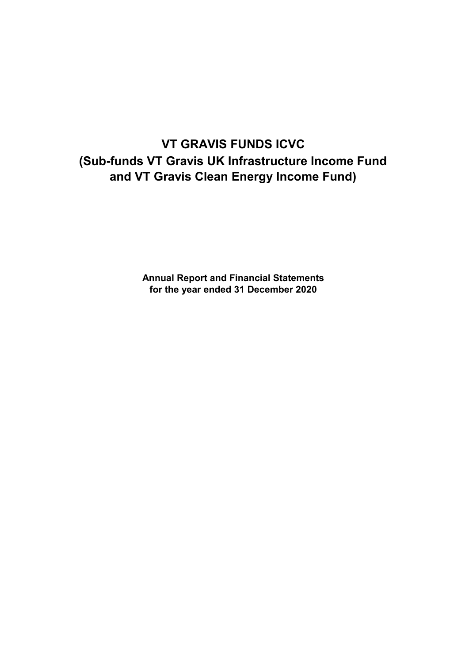# **VT GRAVIS FUNDS ICVC (Sub-funds VT Gravis UK Infrastructure Income Fund and VT Gravis Clean Energy Income Fund)**

**Annual Report and Financial Statements for the year ended 31 December 2020**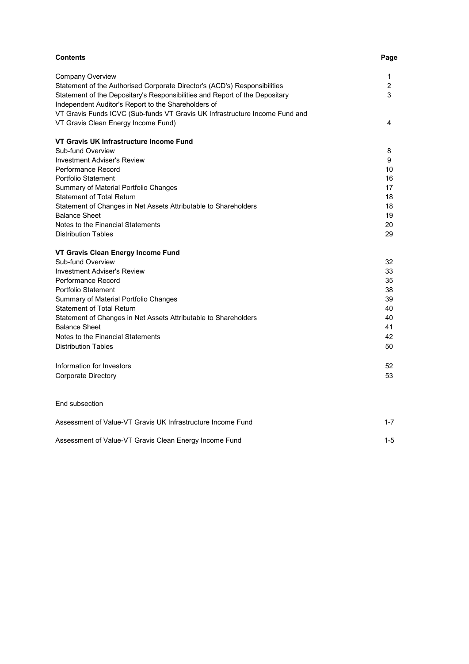| Contents                                                                    | Page           |
|-----------------------------------------------------------------------------|----------------|
| <b>Company Overview</b>                                                     | 1              |
| Statement of the Authorised Corporate Director's (ACD's) Responsibilities   | $\overline{c}$ |
| Statement of the Depositary's Responsibilities and Report of the Depositary | 3              |
| Independent Auditor's Report to the Shareholders of                         |                |
| VT Gravis Funds ICVC (Sub-funds VT Gravis UK Infrastructure Income Fund and |                |
| VT Gravis Clean Energy Income Fund)                                         | 4              |
| VT Gravis UK Infrastructure Income Fund                                     |                |
| Sub-fund Overview                                                           | 8              |
| <b>Investment Adviser's Review</b>                                          | 9              |
| Performance Record                                                          | 10             |
| <b>Portfolio Statement</b>                                                  | 16             |
| Summary of Material Portfolio Changes                                       | 17             |
| <b>Statement of Total Return</b>                                            | 18             |
| Statement of Changes in Net Assets Attributable to Shareholders             | 18             |
| <b>Balance Sheet</b>                                                        | 19             |
| Notes to the Financial Statements                                           | 20             |
| <b>Distribution Tables</b>                                                  | 29             |
| VT Gravis Clean Energy Income Fund                                          |                |
| Sub-fund Overview                                                           | 32             |
| <b>Investment Adviser's Review</b>                                          | 33             |
| Performance Record                                                          | 35             |
| <b>Portfolio Statement</b>                                                  | 38             |
| Summary of Material Portfolio Changes                                       | 39             |
| <b>Statement of Total Return</b>                                            | 40             |
| Statement of Changes in Net Assets Attributable to Shareholders             | 40             |
| <b>Balance Sheet</b>                                                        | 41             |
| Notes to the Financial Statements                                           | 42             |
| <b>Distribution Tables</b>                                                  | 50             |
| Information for Investors                                                   | 52             |
| Corporate Directory                                                         | 53             |
| End subsection                                                              |                |

| Assessment of Value-VT Gravis UK Infrastructure Income Fund |       |
|-------------------------------------------------------------|-------|
| Assessment of Value-VT Gravis Clean Energy Income Fund      | $1-5$ |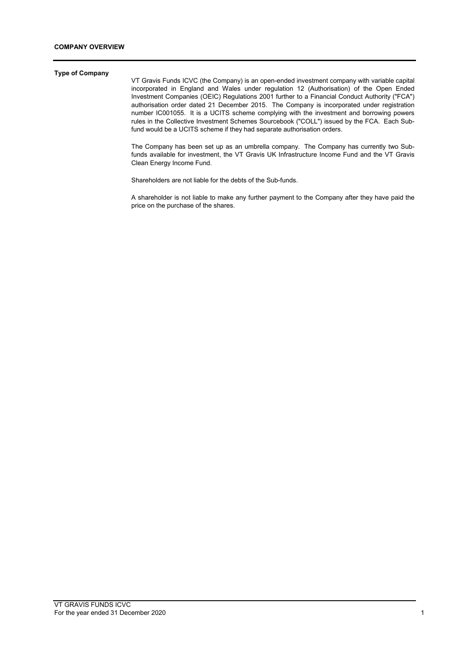### **Type of Company**

VT Gravis Funds ICVC (the Company) is an open-ended investment company with variable capital incorporated in England and Wales under regulation 12 (Authorisation) of the Open Ended Investment Companies (OEIC) Regulations 2001 further to a Financial Conduct Authority ("FCA") authorisation order dated 21 December 2015. The Company is incorporated under registration number IC001055. It is a UCITS scheme complying with the investment and borrowing powers rules in the Collective Investment Schemes Sourcebook ("COLL") issued by the FCA. Each Subfund would be a UCITS scheme if they had separate authorisation orders.

The Company has been set up as an umbrella company. The Company has currently two Subfunds available for investment, the VT Gravis UK Infrastructure Income Fund and the VT Gravis Clean Energy Income Fund.

Shareholders are not liable for the debts of the Sub-funds.

A shareholder is not liable to make any further payment to the Company after they have paid the price on the purchase of the shares.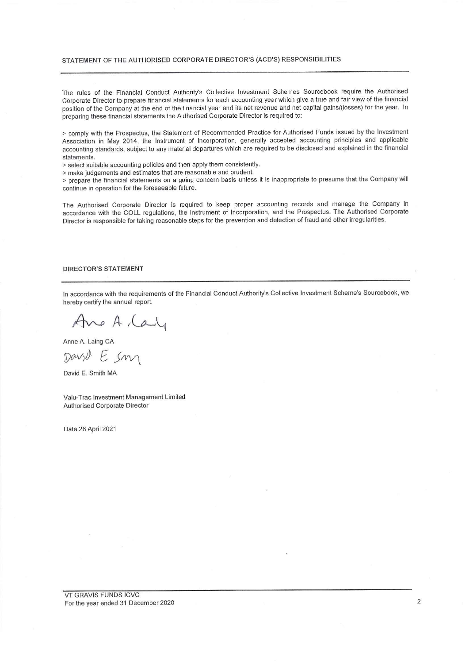### STATEMENT OF THE AUTHORISED CORPORATE DIRECTOR'S (ACD'S) RESPONSIBILITIES

The rules of the Financial Conduct Authority's Collective Investment Schemes Sourcebook require the Authorised Corporate Director to prepare financial statements for each accounting year which give a true and fair view of the financial position of the Company at the end of the financial year and its net revenue and net capital gains/(losses) for the year. In preparing these financial statements the Authorised Corporate Director is required to:

> comply with the Prospectus, the Statement of Recommended Practice for Authorised Funds issued by the Investment Association in May 2014, the Instrument of Incorporation, generally accepted accounting principles and applicable accounting standards, subject to any material departures which are required to be disclosed and explained in the financial statements.

> select suitable accounting policies and then apply them consistently.

> make judgements and estimates that are reasonable and prudent.

> prepare the financial statements on a going concern basis unless it is inappropriate to presume that the Company will continue in operation for the foreseeable future.

The Authorised Corporate Director is required to keep proper accounting records and manage the Company in accordance with the COLL regulations, the Instrument of Incorporation, and the Prospectus. The Authorised Corporate Director is responsible for taking reasonable steps for the prevention and detection of fraud and other irregularities.

#### **DIRECTOR'S STATEMENT**

In accordance with the requirements of the Financial Conduct Authority's Collective Investment Scheme's Sourcebook, we hereby certify the annual report.

Ano A Cay<br>Anne A Laing CA<br>David E Sm

David E. Smith MA

Valu-Trac Investment Management Limited Authorised Corporate Director

Date 28 April 2021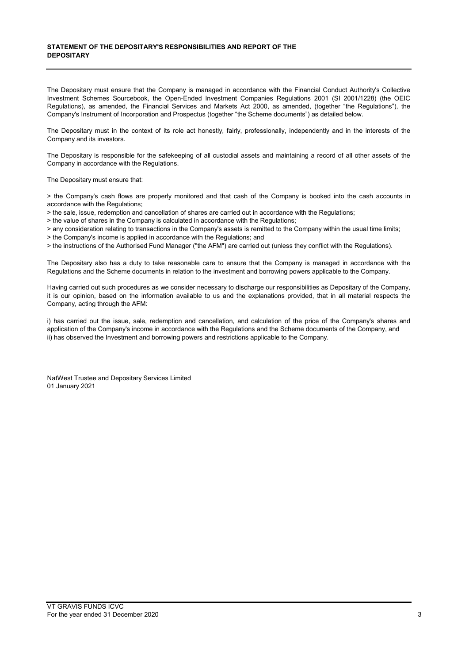### **STATEMENT OF THE DEPOSITARY'S RESPONSIBILITIES AND REPORT OF THE DEPOSITARY**

The Depositary must ensure that the Company is managed in accordance with the Financial Conduct Authority's Collective Investment Schemes Sourcebook, the Open-Ended Investment Companies Regulations 2001 (SI 2001/1228) (the OEIC Regulations), as amended, the Financial Services and Markets Act 2000, as amended, (together "the Regulations"), the Company's Instrument of Incorporation and Prospectus (together "the Scheme documents") as detailed below.

The Depositary must in the context of its role act honestly, fairly, professionally, independently and in the interests of the Company and its investors.

The Depositary is responsible for the safekeeping of all custodial assets and maintaining a record of all other assets of the Company in accordance with the Regulations.

The Depositary must ensure that:

> the Company's cash flows are properly monitored and that cash of the Company is booked into the cash accounts in accordance with the Regulations;

> the sale, issue, redemption and cancellation of shares are carried out in accordance with the Regulations;

> the value of shares in the Company is calculated in accordance with the Regulations;

> any consideration relating to transactions in the Company's assets is remitted to the Company within the usual time limits;

> the Company's income is applied in accordance with the Regulations; and

> the instructions of the Authorised Fund Manager ("the AFM") are carried out (unless they conflict with the Regulations).

The Depositary also has a duty to take reasonable care to ensure that the Company is managed in accordance with the Regulations and the Scheme documents in relation to the investment and borrowing powers applicable to the Company.

Having carried out such procedures as we consider necessary to discharge our responsibilities as Depositary of the Company, it is our opinion, based on the information available to us and the explanations provided, that in all material respects the Company, acting through the AFM:

i) has carried out the issue, sale, redemption and cancellation, and calculation of the price of the Company's shares and application of the Company's income in accordance with the Regulations and the Scheme documents of the Company, and ii) has observed the Investment and borrowing powers and restrictions applicable to the Company.

NatWest Trustee and Depositary Services Limited 01 January 2021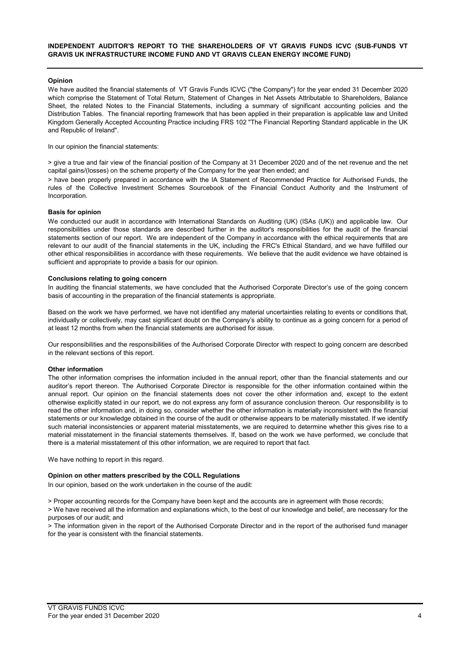### **INDEPENDENT AUDITOR'S REPORT TO THE SHAREHOLDERS OF VT GRAVIS FUNDS ICVC (SUB-FUNDS VT GRAVIS UK INFRASTRUCTURE INCOME FUND AND VT GRAVIS CLEAN ENERGY INCOME FUND)**

### **Opinion**

We have audited the financial statements of VT Gravis Funds ICVC ("the Company") for the year ended 31 December 2020 which comprise the Statement of Total Return, Statement of Changes in Net Assets Attributable to Shareholders, Balance Sheet, the related Notes to the Financial Statements, including a summary of significant accounting policies and the Distribution Tables. The financial reporting framework that has been applied in their preparation is applicable law and United Kingdom Generally Accepted Accounting Practice including FRS 102 "The Financial Reporting Standard applicable in the UK and Republic of Ireland".

In our opinion the financial statements:

> give a true and fair view of the financial position of the Company at 31 December 2020 and of the net revenue and the net capital gains/(losses) on the scheme property of the Company for the year then ended; and

> have been properly prepared in accordance with the IA Statement of Recommended Practice for Authorised Funds, the rules of the Collective Investment Schemes Sourcebook of the Financial Conduct Authority and the Instrument of Incorporation.

### **Basis for opinion**

We conducted our audit in accordance with International Standards on Auditing (UK) (ISAs (UK)) and applicable law. Our responsibilities under those standards are described further in the auditor's responsibilities for the audit of the financial statements section of our report. We are independent of the Company in accordance with the ethical requirements that are relevant to our audit of the financial statements in the UK, including the FRC's Ethical Standard, and we have fulfilled our other ethical responsibilities in accordance with these requirements. We believe that the audit evidence we have obtained is sufficient and appropriate to provide a basis for our opinion.

### **Conclusions relating to going concern**

In auditing the financial statements, we have concluded that the Authorised Corporate Director's use of the going concern basis of accounting in the preparation of the financial statements is appropriate.

Based on the work we have performed, we have not identified any material uncertainties relating to events or conditions that, individually or collectively, may cast significant doubt on the Company's ability to continue as a going concern for a period of at least 12 months from when the financial statements are authorised for issue.

Our responsibilities and the responsibilities of the Authorised Corporate Director with respect to going concern are described in the relevant sections of this report.

#### **Other information**

The other information comprises the information included in the annual report, other than the financial statements and our auditor's report thereon. The Authorised Corporate Director is responsible for the other information contained within the annual report. Our opinion on the financial statements does not cover the other information and, except to the extent otherwise explicitly stated in our report, we do not express any form of assurance conclusion thereon. Our responsibility is to read the other information and, in doing so, consider whether the other information is materially inconsistent with the financial statements or our knowledge obtained in the course of the audit or otherwise appears to be materially misstated. If we identify such material inconsistencies or apparent material misstatements, we are required to determine whether this gives rise to a material misstatement in the financial statements themselves. If, based on the work we have performed, we conclude that there is a material misstatement of this other information, we are required to report that fact.

We have nothing to report in this regard.

### **Opinion on other matters prescribed by the COLL Regulations**

In our opinion, based on the work undertaken in the course of the audit:

> Proper accounting records for the Company have been kept and the accounts are in agreement with those records;

> We have received all the information and explanations which, to the best of our knowledge and belief, are necessary for the purposes of our audit; and

> The information given in the report of the Authorised Corporate Director and in the report of the authorised fund manager for the year is consistent with the financial statements.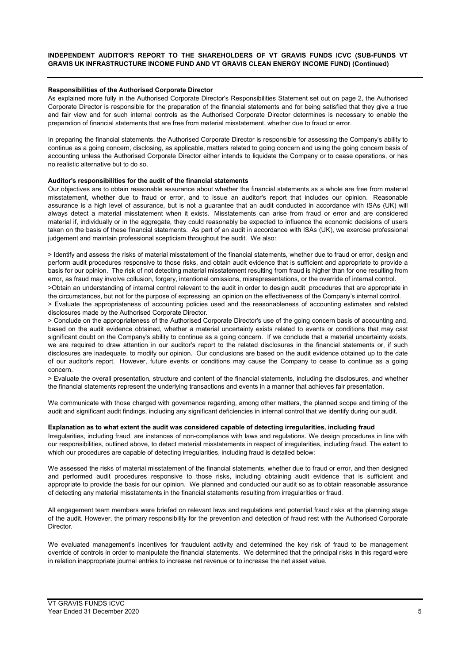### **Responsibilities of the Authorised Corporate Director**

As explained more fully in the Authorised Corporate Director's Responsibilities Statement set out on page 2, the Authorised Corporate Director is responsible for the preparation of the financial statements and for being satisfied that they give a true and fair view and for such internal controls as the Authorised Corporate Director determines is necessary to enable the preparation of financial statements that are free from material misstatement, whether due to fraud or error.

In preparing the financial statements, the Authorised Corporate Director is responsible for assessing the Company's ability to continue as a going concern, disclosing, as applicable, matters related to going concern and using the going concern basis of accounting unless the Authorised Corporate Director either intends to liquidate the Company or to cease operations, or has no realistic alternative but to do so.

#### **Auditor's responsibilities for the audit of the financial statements**

Our objectives are to obtain reasonable assurance about whether the financial statements as a whole are free from material misstatement, whether due to fraud or error, and to issue an auditor's report that includes our opinion. Reasonable assurance is a high level of assurance, but is not a guarantee that an audit conducted in accordance with ISAs (UK) will always detect a material misstatement when it exists. Misstatements can arise from fraud or error and are considered material if, individually or in the aggregate, they could reasonably be expected to influence the economic decisions of users taken on the basis of these financial statements. As part of an audit in accordance with ISAs (UK), we exercise professional judgement and maintain professional scepticism throughout the audit. We also:

> Identify and assess the risks of material misstatement of the financial statements, whether due to fraud or error, design and perform audit procedures responsive to those risks, and obtain audit evidence that is sufficient and appropriate to provide a basis for our opinion. The risk of not detecting material misstatement resulting from fraud is higher than for one resulting from error, as fraud may involve collusion, forgery, intentional omissions, misrepresentations, or the override of internal control.

>Obtain an understanding of internal control relevant to the audit in order to design audit procedures that are appropriate in the circumstances, but not for the purpose of expressing an opinion on the effectiveness of the Company's internal control. > Evaluate the appropriateness of accounting policies used and the reasonableness of accounting estimates and related disclosures made by the Authorised Corporate Director.

> Conclude on the appropriateness of the Authorised Corporate Director's use of the going concern basis of accounting and, based on the audit evidence obtained, whether a material uncertainty exists related to events or conditions that may cast significant doubt on the Company's ability to continue as a going concern. If we conclude that a material uncertainty exists, we are required to draw attention in our auditor's report to the related disclosures in the financial statements or, if such disclosures are inadequate, to modify our opinion. Our conclusions are based on the audit evidence obtained up to the date of our auditor's report. However, future events or conditions may cause the Company to cease to continue as a going concern.

> Evaluate the overall presentation, structure and content of the financial statements, including the disclosures, and whether the financial statements represent the underlying transactions and events in a manner that achieves fair presentation.

We communicate with those charged with governance regarding, among other matters, the planned scope and timing of the audit and significant audit findings, including any significant deficiencies in internal control that we identify during our audit.

### **Explanation as to what extent the audit was considered capable of detecting irregularities, including fraud**

Irregularities, including fraud, are instances of non-compliance with laws and regulations. We design procedures in line with our responsibilities, outlined above, to detect material misstatements in respect of irregularities, including fraud. The extent to which our procedures are capable of detecting irregularities, including fraud is detailed below:

We assessed the risks of material misstatement of the financial statements, whether due to fraud or error, and then designed and performed audit procedures responsive to those risks, including obtaining audit evidence that is sufficient and appropriate to provide the basis for our opinion. We planned and conducted our audit so as to obtain reasonable assurance of detecting any material misstatements in the financial statements resulting from irregularities or fraud.

All engagement team members were briefed on relevant laws and regulations and potential fraud risks at the planning stage of the audit. However, the primary responsibility for the prevention and detection of fraud rest with the Authorised Corporate **Director** 

We evaluated management's incentives for fraudulent activity and determined the key risk of fraud to be management override of controls in order to manipulate the financial statements. We determined that the principal risks in this regard were in relation inappropriate journal entries to increase net revenue or to increase the net asset value.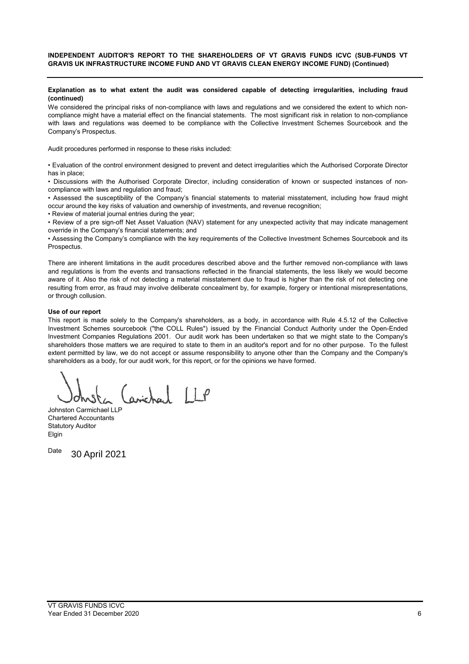### **INDEPENDENT AUDITOR'S REPORT TO THE SHAREHOLDERS OF VT GRAVIS FUNDS ICVC (SUB-FUNDS VT GRAVIS UK INFRASTRUCTURE INCOME FUND AND VT GRAVIS CLEAN ENERGY INCOME FUND) (Continued)**

### **Explanation as to what extent the audit was considered capable of detecting irregularities, including fraud (continued)**

We considered the principal risks of non-compliance with laws and regulations and we considered the extent to which noncompliance might have a material effect on the financial statements. The most significant risk in relation to non-compliance with laws and regulations was deemed to be compliance with the Collective Investment Schemes Sourcebook and the Company's Prospectus.

Audit procedures performed in response to these risks included:

• Evaluation of the control environment designed to prevent and detect irregularities which the Authorised Corporate Director has in place;

• Discussions with the Authorised Corporate Director, including consideration of known or suspected instances of noncompliance with laws and regulation and fraud;

• Assessed the susceptibility of the Company's financial statements to material misstatement, including how fraud might occur around the key risks of valuation and ownership of investments, and revenue recognition;

• Review of material journal entries during the year;

• Review of a pre sign-off Net Asset Valuation (NAV) statement for any unexpected activity that may indicate management override in the Company's financial statements; and

• Assessing the Company's compliance with the key requirements of the Collective Investment Schemes Sourcebook and its Prospectus.

There are inherent limitations in the audit procedures described above and the further removed non-compliance with laws and regulations is from the events and transactions reflected in the financial statements, the less likely we would become aware of it. Also the risk of not detecting a material misstatement due to fraud is higher than the risk of not detecting one resulting from error, as fraud may involve deliberate concealment by, for example, forgery or intentional misrepresentations, or through collusion.

### **Use of our report**

This report is made solely to the Company's shareholders, as a body, in accordance with Rule 4.5.12 of the Collective Investment Schemes sourcebook ("the COLL Rules") issued by the Financial Conduct Authority under the Open-Ended Investment Companies Regulations 2001. Our audit work has been undertaken so that we might state to the Company's shareholders those matters we are required to state to them in an auditor's report and for no other purpose. To the fullest extent permitted by law, we do not accept or assume responsibility to anyone other than the Company and the Company's shareholders as a body, for our audit work, for this report, or for the opinions we have formed.

Carichard LLP

Johnston Carmichael LLP Chartered Accountants Statutory Auditor **Elgin** 

Date 30 April 2021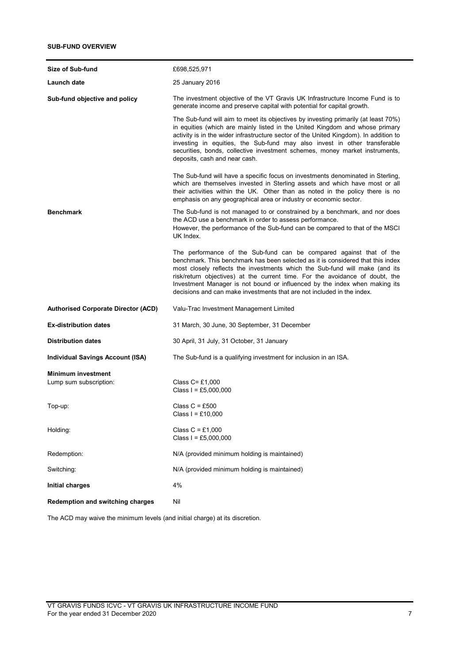### **SUB-FUND OVERVIEW**

| <b>Size of Sub-fund</b>                             | £698,525,971                                                                                                                                                                                                                                                                                                                                                                                                                                                                  |
|-----------------------------------------------------|-------------------------------------------------------------------------------------------------------------------------------------------------------------------------------------------------------------------------------------------------------------------------------------------------------------------------------------------------------------------------------------------------------------------------------------------------------------------------------|
| Launch date                                         | 25 January 2016                                                                                                                                                                                                                                                                                                                                                                                                                                                               |
| Sub-fund objective and policy                       | The investment objective of the VT Gravis UK Infrastructure Income Fund is to<br>generate income and preserve capital with potential for capital growth.                                                                                                                                                                                                                                                                                                                      |
|                                                     | The Sub-fund will aim to meet its objectives by investing primarily (at least 70%)<br>in equities (which are mainly listed in the United Kingdom and whose primary<br>activity is in the wider infrastructure sector of the United Kingdom). In addition to<br>investing in equities, the Sub-fund may also invest in other transferable<br>securities, bonds, collective investment schemes, money market instruments,<br>deposits, cash and near cash.                      |
|                                                     | The Sub-fund will have a specific focus on investments denominated in Sterling,<br>which are themselves invested in Sterling assets and which have most or all<br>their activities within the UK. Other than as noted in the policy there is no<br>emphasis on any geographical area or industry or economic sector.                                                                                                                                                          |
| <b>Benchmark</b>                                    | The Sub-fund is not managed to or constrained by a benchmark, and nor does<br>the ACD use a benchmark in order to assess performance.<br>However, the performance of the Sub-fund can be compared to that of the MSCI<br>UK Index.                                                                                                                                                                                                                                            |
|                                                     | The performance of the Sub-fund can be compared against that of the<br>benchmark. This benchmark has been selected as it is considered that this index<br>most closely reflects the investments which the Sub-fund will make (and its<br>risk/return objectives) at the current time. For the avoidance of doubt, the<br>Investment Manager is not bound or influenced by the index when making its<br>decisions and can make investments that are not included in the index. |
| <b>Authorised Corporate Director (ACD)</b>          | Valu-Trac Investment Management Limited                                                                                                                                                                                                                                                                                                                                                                                                                                       |
| <b>Ex-distribution dates</b>                        | 31 March, 30 June, 30 September, 31 December                                                                                                                                                                                                                                                                                                                                                                                                                                  |
| <b>Distribution dates</b>                           | 30 April, 31 July, 31 October, 31 January                                                                                                                                                                                                                                                                                                                                                                                                                                     |
| <b>Individual Savings Account (ISA)</b>             | The Sub-fund is a qualifying investment for inclusion in an ISA.                                                                                                                                                                                                                                                                                                                                                                                                              |
| <b>Minimum investment</b><br>Lump sum subscription: | Class $C = £1,000$<br>Class $I = £5,000,000$                                                                                                                                                                                                                                                                                                                                                                                                                                  |
| Top-up:                                             | Class $C = £500$<br>Class $I = £10,000$                                                                                                                                                                                                                                                                                                                                                                                                                                       |
| Holding:                                            | Class $C = £1,000$<br>Class $I = £5,000,000$                                                                                                                                                                                                                                                                                                                                                                                                                                  |
| Redemption:                                         | N/A (provided minimum holding is maintained)                                                                                                                                                                                                                                                                                                                                                                                                                                  |
| Switching:                                          | N/A (provided minimum holding is maintained)                                                                                                                                                                                                                                                                                                                                                                                                                                  |
| Initial charges                                     | 4%                                                                                                                                                                                                                                                                                                                                                                                                                                                                            |
| Redemption and switching charges                    | Nil                                                                                                                                                                                                                                                                                                                                                                                                                                                                           |

The ACD may waive the minimum levels (and initial charge) at its discretion.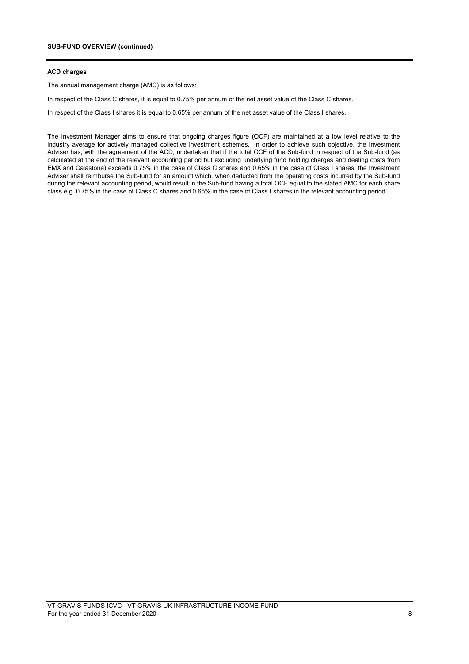#### **ACD charges**

The annual management charge (AMC) is as follows:

In respect of the Class C shares, it is equal to 0.75% per annum of the net asset value of the Class C shares.

In respect of the Class I shares it is equal to 0.65% per annum of the net asset value of the Class I shares.

The Investment Manager aims to ensure that ongoing charges figure (OCF) are maintained at a low level relative to the industry average for actively managed collective investment schemes. In order to achieve such objective, the Investment Adviser has, with the agreement of the ACD, undertaken that if the total OCF of the Sub-fund in respect of the Sub-fund (as calculated at the end of the relevant accounting period but excluding underlying fund holding charges and dealing costs from EMX and Calastone) exceeds 0.75% in the case of Class C shares and 0.65% in the case of Class I shares, the Investment Adviser shall reimburse the Sub-fund for an amount which, when deducted from the operating costs incurred by the Sub-fund during the relevant accounting period, would result in the Sub-fund having a total OCF equal to the stated AMC for each share class e.g. 0.75% in the case of Class C shares and 0.65% in the case of Class I shares in the relevant accounting period.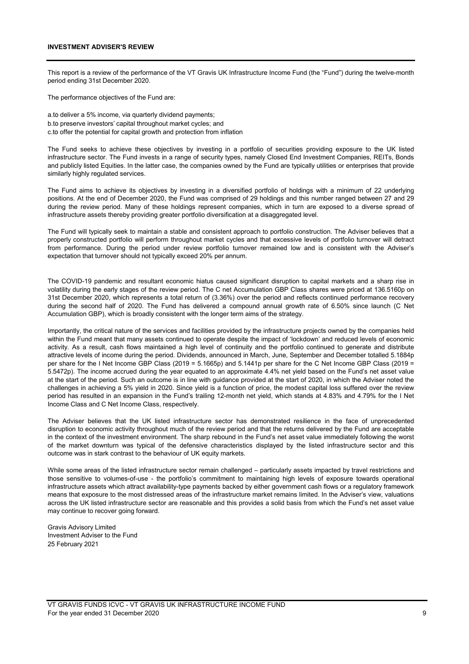#### **INVESTMENT ADVISER'S REVIEW**

This report is a review of the performance of the VT Gravis UK Infrastructure Income Fund (the "Fund") during the twelve-month period ending 31st December 2020.

The performance objectives of the Fund are:

a. to deliver a 5% income, via quarterly dividend payments; b. to preserve investors' capital throughout market cycles; and c. to offer the potential for capital growth and protection from inflation

The Fund seeks to achieve these objectives by investing in a portfolio of securities providing exposure to the UK listed infrastructure sector. The Fund invests in a range of security types, namely Closed End Investment Companies, REITs, Bonds and publicly listed Equities. In the latter case, the companies owned by the Fund are typically utilities or enterprises that provide similarly highly regulated services.

The Fund aims to achieve its objectives by investing in a diversified portfolio of holdings with a minimum of 22 underlying positions. At the end of December 2020, the Fund was comprised of 29 holdings and this number ranged between 27 and 29 during the review period. Many of these holdings represent companies, which in turn are exposed to a diverse spread of infrastructure assets thereby providing greater portfolio diversification at a disaggregated level.

The Fund will typically seek to maintain a stable and consistent approach to portfolio construction. The Adviser believes that a properly constructed portfolio will perform throughout market cycles and that excessive levels of portfolio turnover will detract from performance. During the period under review portfolio turnover remained low and is consistent with the Adviser's expectation that turnover should not typically exceed 20% per annum.

The COVID-19 pandemic and resultant economic hiatus caused significant disruption to capital markets and a sharp rise in volatility during the early stages of the review period. The C net Accumulation GBP Class shares were priced at 136.5160p on 31st December 2020, which represents a total return of (3.36%) over the period and reflects continued performance recovery during the second half of 2020. The Fund has delivered a compound annual growth rate of 6.50% since launch (C Net Accumulation GBP), which is broadly consistent with the longer term aims of the strategy.

Importantly, the critical nature of the services and facilities provided by the infrastructure projects owned by the companies held within the Fund meant that many assets continued to operate despite the impact of 'lockdown' and reduced levels of economic activity. As a result, cash flows maintained a high level of continuity and the portfolio continued to generate and distribute attractive levels of income during the period. Dividends, announced in March, June, September and December totalled 5.1884p per share for the I Net Income GBP Class (2019 = 5.1665p) and 5.1441p per share for the C Net Income GBP Class (2019 = 5.5472p). The income accrued during the year equated to an approximate 4.4% net yield based on the Fund's net asset value at the start of the period. Such an outcome is in line with guidance provided at the start of 2020, in which the Adviser noted the challenges in achieving a 5% yield in 2020. Since yield is a function of price, the modest capital loss suffered over the review period has resulted in an expansion in the Fund's trailing 12-month net yield, which stands at 4.83% and 4.79% for the I Net Income Class and C Net Income Class, respectively.

The Adviser believes that the UK listed infrastructure sector has demonstrated resilience in the face of unprecedented disruption to economic activity throughout much of the review period and that the returns delivered by the Fund are acceptable in the context of the investment environment. The sharp rebound in the Fund's net asset value immediately following the worst of the market downturn was typical of the defensive characteristics displayed by the listed infrastructure sector and this outcome was in stark contrast to the behaviour of UK equity markets.

While some areas of the listed infrastructure sector remain challenged – particularly assets impacted by travel restrictions and those sensitive to volumes-of-use - the portfolio's commitment to maintaining high levels of exposure towards operational infrastructure assets which attract availability-type payments backed by either government cash flows or a regulatory framework means that exposure to the most distressed areas of the infrastructure market remains limited. In the Adviser's view, valuations across the UK listed infrastructure sector are reasonable and this provides a solid basis from which the Fund's net asset value may continue to recover going forward.

Gravis Advisory Limited Investment Adviser to the Fund 25 February 2021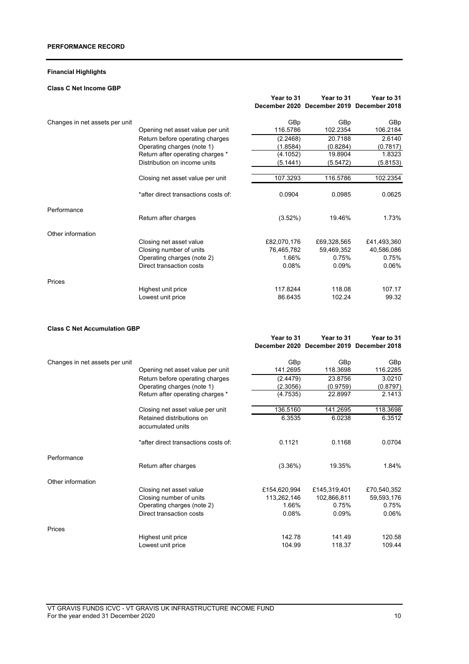### **Financial Highlights**

### **Class C Net Income GBP**

|                                     |                                      | Year to 31  | Year to 31                                | Year to 31  |
|-------------------------------------|--------------------------------------|-------------|-------------------------------------------|-------------|
|                                     |                                      |             | December 2020 December 2019 December 2018 |             |
| Changes in net assets per unit      |                                      | GBp         | GBp                                       | GBp         |
|                                     | Opening net asset value per unit     | 116.5786    | 102.2354                                  | 106.2184    |
|                                     | Return before operating charges      | (2.2468)    | 20.7188                                   | 2.6140      |
|                                     | Operating charges (note 1)           | (1.8584)    | (0.8284)                                  | (0.7817)    |
|                                     | Return after operating charges *     | (4.1052)    | 19.8904                                   | 1.8323      |
|                                     | Distribution on income units         | (5.1441)    | (5.5472)                                  | (5.8153)    |
|                                     | Closing net asset value per unit     | 107.3293    | 116.5786                                  | 102.2354    |
|                                     | *after direct transactions costs of: | 0.0904      | 0.0985                                    | 0.0625      |
| Performance                         |                                      |             |                                           |             |
|                                     | Return after charges                 | $(3.52\%)$  | 19.46%                                    | 1.73%       |
| Other information                   |                                      |             |                                           |             |
|                                     | Closing net asset value              | £82,070,176 | £69,328,565                               | £41,493,360 |
|                                     | Closing number of units              | 76,465,782  | 59,469,352                                | 40,586,086  |
|                                     | Operating charges (note 2)           | 1.66%       | 0.75%                                     | 0.75%       |
|                                     | Direct transaction costs             | 0.08%       | 0.09%                                     | 0.06%       |
| Prices                              |                                      |             |                                           |             |
|                                     | Highest unit price                   | 117.8244    | 118.08                                    | 107.17      |
|                                     | Lowest unit price                    | 86.6435     | 102.24                                    | 99.32       |
| <b>Class C Net Accumulation GBP</b> |                                      |             |                                           |             |
|                                     |                                      | Year to 31  | Year to 31                                | Year to 31  |

|                                |                                                |                 | December 2020 December 2019 December 2018 |                 |
|--------------------------------|------------------------------------------------|-----------------|-------------------------------------------|-----------------|
|                                |                                                |                 |                                           |                 |
| Changes in net assets per unit | Opening net asset value per unit               | GBp<br>141.2695 | GBp<br>118.3698                           | GBp<br>116.2285 |
|                                | Return before operating charges                | (2.4479)        | 23.8756                                   | 3.0210          |
|                                | Operating charges (note 1)                     | (2.3056)        | (0.9759)                                  | (0.8797)        |
|                                | Return after operating charges *               | (4.7535)        | 22.8997                                   | 2.1413          |
|                                | Closing net asset value per unit               | 136.5160        | 141.2695                                  | 118.3698        |
|                                | Retained distributions on<br>accumulated units | 6.3535          | 6.0238                                    | 6.3512          |
|                                | *after direct transactions costs of:           | 0.1121          | 0.1168                                    | 0.0704          |
| Performance                    |                                                |                 |                                           |                 |
|                                | Return after charges                           | (3.36%)         | 19.35%                                    | 1.84%           |
| Other information              |                                                |                 |                                           |                 |
|                                | Closing net asset value                        | £154,620,994    | £145,319,401                              | £70,540,352     |
|                                | Closing number of units                        | 113,262,146     | 102,866,811                               | 59,593,176      |
|                                | Operating charges (note 2)                     | 1.66%           | 0.75%                                     | 0.75%           |
|                                | Direct transaction costs                       | 0.08%           | 0.09%                                     | 0.06%           |
| Prices                         |                                                |                 |                                           |                 |
|                                | Highest unit price                             | 142.78          | 141.49                                    | 120.58          |
|                                | Lowest unit price                              | 104.99          | 118.37                                    | 109.44          |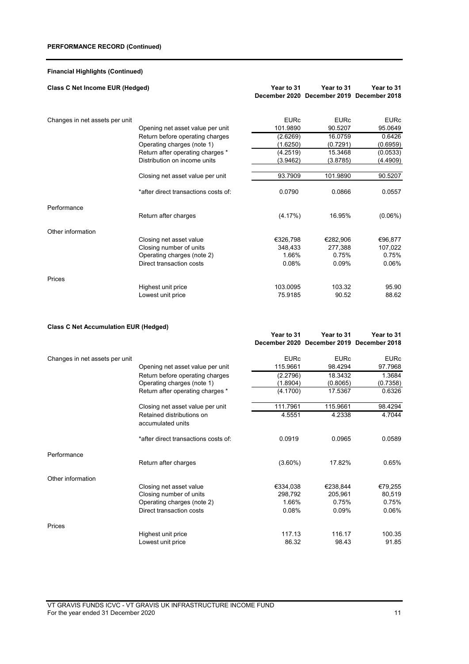### **Financial Highlights (Continued)**

| Class C Net Income EUR (Hedged) |                                      | Year to 31  | Year to 31<br>December 2020 December 2019 December 2018 | Year to 31  |
|---------------------------------|--------------------------------------|-------------|---------------------------------------------------------|-------------|
| Changes in net assets per unit  |                                      | <b>EURc</b> | <b>EURc</b>                                             | <b>EURc</b> |
|                                 | Opening net asset value per unit     | 101.9890    | 90.5207                                                 | 95.0649     |
|                                 | Return before operating charges      | (2.6269)    | 16.0759                                                 | 0.6426      |
|                                 | Operating charges (note 1)           | (1.6250)    | (0.7291)                                                | (0.6959)    |
|                                 | Return after operating charges *     | (4.2519)    | 15.3468                                                 | (0.0533)    |
|                                 | Distribution on income units         | (3.9462)    | (3.8785)                                                | (4.4909)    |
|                                 | Closing net asset value per unit     | 93.7909     | 101.9890                                                | 90.5207     |
|                                 | *after direct transactions costs of: | 0.0790      | 0.0866                                                  | 0.0557      |
| Performance                     |                                      |             |                                                         |             |
|                                 | Return after charges                 | (4.17%)     | 16.95%                                                  | $(0.06\%)$  |
| Other information               |                                      |             |                                                         |             |
|                                 | Closing net asset value              | €326,798    | €282,906                                                | €96,877     |
|                                 | Closing number of units              | 348.433     | 277.388                                                 | 107,022     |
|                                 | Operating charges (note 2)           | 1.66%       | 0.75%                                                   | 0.75%       |
|                                 | Direct transaction costs             | 0.08%       | 0.09%                                                   | 0.06%       |
| Prices                          |                                      |             |                                                         |             |
|                                 | Highest unit price                   | 103.0095    | 103.32                                                  | 95.90       |
|                                 | Lowest unit price                    | 75.9185     | 90.52                                                   | 88.62       |

### **Class C Net Accumulation EUR (Hedged)**

|                                |                                                | <b>Year to 31</b> | <b>Year to 31</b>                         | Year to 31  |
|--------------------------------|------------------------------------------------|-------------------|-------------------------------------------|-------------|
|                                |                                                |                   | December 2020 December 2019 December 2018 |             |
|                                |                                                | <b>EURc</b>       | <b>EURc</b>                               | <b>EURc</b> |
| Changes in net assets per unit | Opening net asset value per unit               | 115.9661          | 98.4294                                   | 97.7968     |
|                                |                                                |                   |                                           | 1.3684      |
|                                | Return before operating charges                | (2.2796)          | 18.3432                                   |             |
|                                | Operating charges (note 1)                     | (1.8904)          | (0.8065)                                  | (0.7358)    |
|                                | Return after operating charges *               | (4.1700)          | 17.5367                                   | 0.6326      |
|                                | Closing net asset value per unit               | 111.7961          | 115.9661                                  | 98.4294     |
|                                | Retained distributions on<br>accumulated units | 4.5551            | 4.2338                                    | 4.7044      |
|                                | *after direct transactions costs of:           | 0.0919            | 0.0965                                    | 0.0589      |
| Performance                    |                                                |                   |                                           |             |
|                                | Return after charges                           | $(3.60\%)$        | 17.82%                                    | 0.65%       |
| Other information              |                                                |                   |                                           |             |
|                                | Closing net asset value                        | €334,038          | €238,844                                  | €79,255     |
|                                | Closing number of units                        | 298,792           | 205,961                                   | 80,519      |
|                                | Operating charges (note 2)                     | 1.66%             | 0.75%                                     | 0.75%       |
|                                | Direct transaction costs                       | 0.08%             | 0.09%                                     | 0.06%       |
| Prices                         |                                                |                   |                                           |             |
|                                | Highest unit price                             | 117.13            | 116.17                                    | 100.35      |
|                                | Lowest unit price                              | 86.32             | 98.43                                     | 91.85       |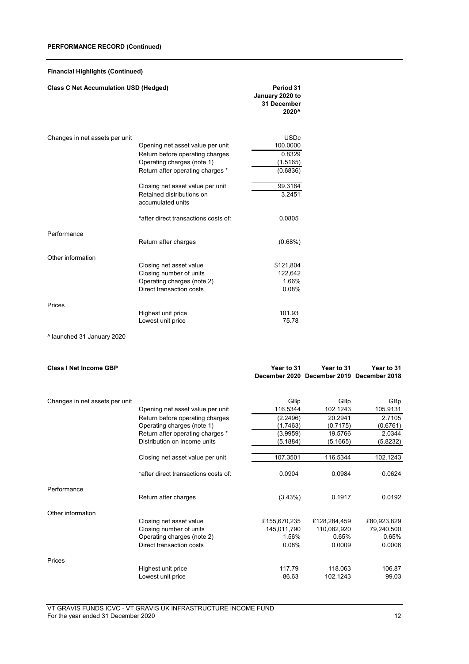| <b>Financial Highlights (Continued)</b>      |                                                                                                                                                                                                        |                                                                                |                                                               |                                                             |
|----------------------------------------------|--------------------------------------------------------------------------------------------------------------------------------------------------------------------------------------------------------|--------------------------------------------------------------------------------|---------------------------------------------------------------|-------------------------------------------------------------|
| <b>Class C Net Accumulation USD (Hedged)</b> |                                                                                                                                                                                                        | Period 31<br>January 2020 to<br>31 December<br>2020^                           |                                                               |                                                             |
| Changes in net assets per unit               | Opening net asset value per unit<br>Return before operating charges<br>Operating charges (note 1)<br>Return after operating charges *<br>Closing net asset value per unit<br>Retained distributions on | <b>USDc</b><br>100.0000<br>0.8329<br>(1.5165)<br>(0.6836)<br>99.3164<br>3.2451 |                                                               |                                                             |
|                                              | accumulated units<br>*after direct transactions costs of:                                                                                                                                              | 0.0805                                                                         |                                                               |                                                             |
| Performance                                  | Return after charges                                                                                                                                                                                   | (0.68%)                                                                        |                                                               |                                                             |
| Other information                            | Closing net asset value<br>Closing number of units<br>Operating charges (note 2)<br>Direct transaction costs                                                                                           | \$121,804<br>122,642<br>1.66%<br>0.08%                                         |                                                               |                                                             |
| Prices                                       | Highest unit price<br>Lowest unit price                                                                                                                                                                | 101.93<br>75.78                                                                |                                                               |                                                             |
| ^ launched 31 January 2020                   |                                                                                                                                                                                                        |                                                                                |                                                               |                                                             |
| <b>Class I Net Income GBP</b>                |                                                                                                                                                                                                        | Year to 31                                                                     | Year to 31<br>December 2020 December 2019 December 2018       | Year to 31                                                  |
| Changes in net assets per unit               | Opening net asset value per unit<br>Return before operating charges<br>Operating charges (note 1)<br>Return after operating charges *<br>Distribution on income units                                  | GBp<br>116.5344<br>(2.2496)<br>(1.7463)<br>(3.9959)<br>(5.1884)                | GBp<br>102.1243<br>20.2941<br>(0.7175)<br>19.5766<br>(5.1665) | GBp<br>105.9131<br>2.7105<br>(0.6761)<br>2.0344<br>(5.8232) |
|                                              | Closing net asset value per unit                                                                                                                                                                       | 107.3501                                                                       | 116.5344                                                      | 102.1243                                                    |
|                                              | *after direct transactions costs of:                                                                                                                                                                   | 0.0904                                                                         | 0.0984                                                        | 0.0624                                                      |
| Performance                                  | Return after charges                                                                                                                                                                                   | (3.43%)                                                                        | 0.1917                                                        | 0.0192                                                      |
| Other information                            | Closing net asset value<br>Closing number of units<br>Operating charges (note 2)<br>Direct transaction costs                                                                                           | £155,670,235<br>145,011,790<br>1.56%<br>0.08%                                  | £128,284,459<br>110,082,920<br>0.65%<br>0.0009                | £80,923,829<br>79,240,500<br>0.65%<br>0.0006                |

Lowest unit price

Highest unit price 117.79 118.063 106.87<br>
Lowest unit price 118.063 102.1243 99.03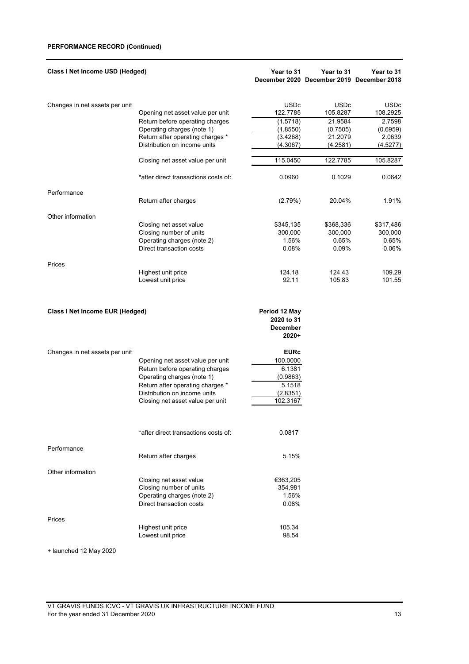| Class I Net Income USD (Hedged) |                                      | Year to 31                                                | Year to 31<br>December 2020 December 2019 December 2018 | Year to 31              |
|---------------------------------|--------------------------------------|-----------------------------------------------------------|---------------------------------------------------------|-------------------------|
| Changes in net assets per unit  | Opening net asset value per unit     | <b>USDc</b><br>122.7785                                   | <b>USDc</b><br>105.8287                                 | <b>USDc</b><br>108.2925 |
|                                 | Return before operating charges      | (1.5718)                                                  | 21.9584                                                 | 2.7598                  |
|                                 | Operating charges (note 1)           | (1.8550)                                                  | (0.7505)                                                | (0.6959)                |
|                                 | Return after operating charges *     | (3.4268)                                                  | 21.2079                                                 | 2.0639                  |
|                                 | Distribution on income units         | (4.3067)                                                  | (4.2581)                                                | (4.5277)                |
|                                 | Closing net asset value per unit     | 115.0450                                                  | 122.7785                                                | 105.8287                |
|                                 | *after direct transactions costs of: | 0.0960                                                    | 0.1029                                                  | 0.0642                  |
| Performance                     |                                      |                                                           |                                                         |                         |
|                                 | Return after charges                 | (2.79%)                                                   | 20.04%                                                  | 1.91%                   |
| Other information               |                                      |                                                           |                                                         |                         |
|                                 | Closing net asset value              | \$345,135                                                 | \$368,336                                               | \$317,486               |
|                                 | Closing number of units              | 300,000                                                   | 300,000                                                 | 300,000                 |
|                                 | Operating charges (note 2)           | 1.56%                                                     | 0.65%                                                   | 0.65%                   |
|                                 | Direct transaction costs             | 0.08%                                                     | 0.09%                                                   | 0.06%                   |
| Prices                          |                                      |                                                           |                                                         |                         |
|                                 | Highest unit price                   | 124.18                                                    | 124.43                                                  | 109.29                  |
|                                 | Lowest unit price                    | 92.11                                                     | 105.83                                                  | 101.55                  |
| Class I Net Income EUR (Hedged) |                                      | Period 12 May<br>2020 to 31<br><b>December</b><br>$2020+$ |                                                         |                         |
| Changes in net assets per unit  |                                      | <b>EURc</b>                                               |                                                         |                         |
|                                 | Opening net asset value per unit     | 100.0000                                                  |                                                         |                         |
|                                 | Return before operating charges      | 6.1381                                                    |                                                         |                         |
|                                 | Operating charges (note 1)           | (0.9863)                                                  |                                                         |                         |
|                                 | Return after operating charges *     | 5.1518                                                    |                                                         |                         |
|                                 | Distribution on income units         | (2.8351)                                                  |                                                         |                         |
|                                 | Closing net asset value per unit     | 102.3167                                                  |                                                         |                         |
|                                 |                                      |                                                           |                                                         |                         |
|                                 | *after direct transactions costs of: | 0.0817                                                    |                                                         |                         |
| Performance                     |                                      |                                                           |                                                         |                         |
|                                 | Return after charges                 | 5.15%                                                     |                                                         |                         |
| Other information               |                                      |                                                           |                                                         |                         |
|                                 | Closing net asset value              | €363,205                                                  |                                                         |                         |
|                                 | Closing number of units              | 354,981                                                   |                                                         |                         |
|                                 | Operating charges (note 2)           | 1.56%                                                     |                                                         |                         |
|                                 | Direct transaction costs             | 0.08%                                                     |                                                         |                         |
| Prices                          |                                      |                                                           |                                                         |                         |
|                                 | Highest unit price                   | 105.34                                                    |                                                         |                         |
|                                 | Lowest unit price                    | 98.54                                                     |                                                         |                         |
|                                 |                                      |                                                           |                                                         |                         |

+ launched 12 May 2020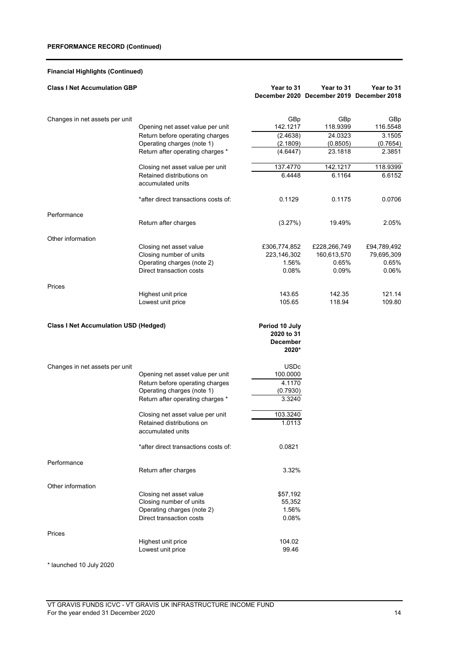### **Financial Highlights (Continued)**

| <b>Class I Net Accumulation GBP</b>          |                                                                | Year to 31                                      | Year to 31<br>December 2020 December 2019 December 2018 | Year to 31  |
|----------------------------------------------|----------------------------------------------------------------|-------------------------------------------------|---------------------------------------------------------|-------------|
| Changes in net assets per unit               |                                                                | GBp                                             | GBp                                                     | GBp         |
|                                              | Opening net asset value per unit                               | 142.1217                                        | 118.9399                                                | 116.5548    |
|                                              | Return before operating charges                                | (2.4638)                                        | 24.0323                                                 | 3.1505      |
|                                              | Operating charges (note 1)                                     | (2.1809)                                        | (0.8505)                                                | (0.7654)    |
|                                              | Return after operating charges *                               | (4.6447)                                        | 23.1818                                                 | 2.3851      |
|                                              | Closing net asset value per unit                               | 137.4770                                        | 142.1217                                                | 118.9399    |
|                                              | Retained distributions on<br>accumulated units                 | 6.4448                                          | 6.1164                                                  | 6.6152      |
|                                              | *after direct transactions costs of:                           | 0.1129                                          | 0.1175                                                  | 0.0706      |
| Performance                                  | Return after charges                                           | (3.27%)                                         | 19.49%                                                  | 2.05%       |
|                                              |                                                                |                                                 |                                                         |             |
| Other information                            | Closing net asset value                                        | £306,774,852                                    | £228,266,749                                            | £94,789,492 |
|                                              | Closing number of units                                        | 223,146,302                                     | 160,613,570                                             | 79,695,309  |
|                                              | Operating charges (note 2)                                     | 1.56%                                           | 0.65%                                                   | 0.65%       |
|                                              | Direct transaction costs                                       | 0.08%                                           | 0.09%                                                   | 0.06%       |
| Prices                                       |                                                                |                                                 |                                                         |             |
|                                              | Highest unit price                                             | 143.65                                          | 142.35                                                  | 121.14      |
|                                              | Lowest unit price                                              | 105.65                                          | 118.94                                                  | 109.80      |
| <b>Class I Net Accumulation USD (Hedged)</b> |                                                                | Period 10 July<br>2020 to 31<br><b>December</b> |                                                         |             |
|                                              |                                                                | 2020*                                           |                                                         |             |
| Changes in net assets per unit               |                                                                | <b>USDc</b>                                     |                                                         |             |
|                                              | Opening net asset value per unit                               | 100.0000                                        |                                                         |             |
|                                              | Return before operating charges                                | 4.1170                                          |                                                         |             |
|                                              | Operating charges (note 1)<br>Return after operating charges * | (0.7930)<br>3.3240                              |                                                         |             |
|                                              | Closing net asset value per unit                               | 103.3240                                        |                                                         |             |
|                                              | Retained distributions on<br>accumulated units                 | 1.0113                                          |                                                         |             |
|                                              | *after direct transactions costs of:                           | 0.0821                                          |                                                         |             |
| Performance                                  |                                                                |                                                 |                                                         |             |
|                                              | Return after charges                                           | 3.32%                                           |                                                         |             |
| Other information                            | Closing net asset value                                        | \$57,192                                        |                                                         |             |
|                                              | Closing number of units                                        | 55,352                                          |                                                         |             |
|                                              | Operating charges (note 2)                                     | 1.56%                                           |                                                         |             |
|                                              | Direct transaction costs                                       | 0.08%                                           |                                                         |             |
| Prices                                       |                                                                |                                                 |                                                         |             |
|                                              | Highest unit price                                             | 104.02                                          |                                                         |             |
|                                              | Lowest unit price                                              | 99.46                                           |                                                         |             |

\* launched 10 July 2020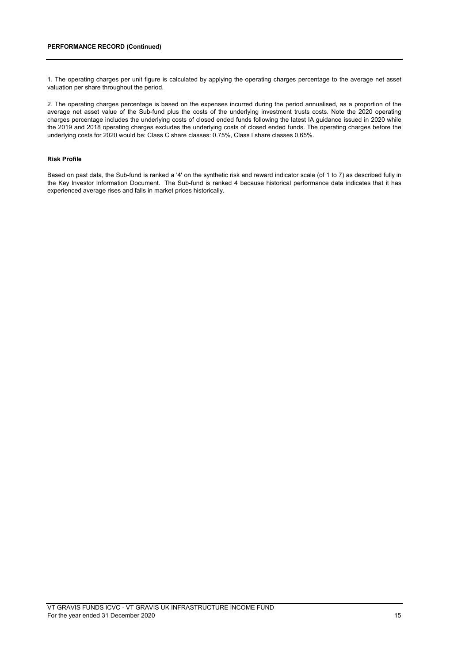1. The operating charges per unit figure is calculated by applying the operating charges percentage to the average net asset valuation per share throughout the period.

2. The operating charges percentage is based on the expenses incurred during the period annualised, as a proportion of the average net asset value of the Sub-fund plus the costs of the underlying investment trusts costs. Note the 2020 operating charges percentage includes the underlying costs of closed ended funds following the latest IA guidance issued in 2020 while the 2019 and 2018 operating charges excludes the underlying costs of closed ended funds. The operating charges before the underlying costs for 2020 would be: Class C share classes: 0.75%, Class I share classes 0.65%.

#### **Risk Profile**

Based on past data, the Sub-fund is ranked a '4' on the synthetic risk and reward indicator scale (of 1 to 7) as described fully in the Key Investor Information Document. The Sub-fund is ranked 4 because historical performance data indicates that it has experienced average rises and falls in market prices historically.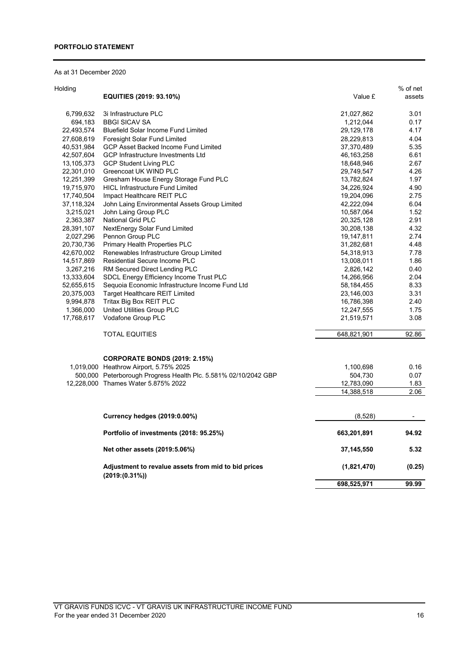As at 31 December 2020

| Holding    |                                                                         |              | % of net                 |
|------------|-------------------------------------------------------------------------|--------------|--------------------------|
|            | <b>EQUITIES (2019: 93.10%)</b>                                          | Value £      | assets                   |
| 6,799,632  | 3i Infrastructure PLC                                                   | 21,027,862   | 3.01                     |
| 694,183    | <b>BBGI SICAV SA</b>                                                    | 1,212,044    | 0.17                     |
| 22,493,574 | <b>Bluefield Solar Income Fund Limited</b>                              | 29,129,178   | 4.17                     |
| 27,608,619 | Foresight Solar Fund Limited                                            | 28,229,813   | 4.04                     |
| 40,531,984 | GCP Asset Backed Income Fund Limited                                    | 37,370,489   | 5.35                     |
| 42,507,604 | <b>GCP Infrastructure Investments Ltd</b>                               | 46, 163, 258 | 6.61                     |
| 13,105,373 | <b>GCP Student Living PLC</b>                                           | 18,648,946   | 2.67                     |
| 22,301,010 | Greencoat UK WIND PLC                                                   | 29,749,547   | 4.26                     |
| 12,251,399 | Gresham House Energy Storage Fund PLC                                   | 13,782,824   | 1.97                     |
| 19,715,970 | <b>HICL Infrastructure Fund Limited</b>                                 | 34,226,924   | 4.90                     |
| 17,740,504 | Impact Healthcare REIT PLC                                              | 19,204,096   | 2.75                     |
| 37,118,324 | John Laing Environmental Assets Group Limited                           | 42,222,094   | 6.04                     |
| 3,215,021  | John Laing Group PLC                                                    | 10,587,064   | 1.52                     |
| 2,363,387  | National Grid PLC                                                       | 20,325,128   | 2.91                     |
| 28,391,107 | NextEnergy Solar Fund Limited                                           | 30,208,138   | 4.32                     |
| 2,027,296  | Pennon Group PLC                                                        | 19,147,811   | 2.74                     |
| 20,730,736 | Primary Health Properties PLC                                           | 31,282,681   | 4.48                     |
| 42,670,002 | Renewables Infrastructure Group Limited                                 | 54,318,913   | 7.78                     |
| 14,517,869 | <b>Residential Secure Income PLC</b>                                    | 13,008,011   | 1.86                     |
| 3,267,216  | RM Secured Direct Lending PLC                                           | 2,826,142    | 0.40                     |
| 13,333,604 | SDCL Energy Efficiency Income Trust PLC                                 | 14,266,956   | 2.04                     |
| 52,655,615 | Sequoia Economic Infrastructure Income Fund Ltd                         | 58,184,455   | 8.33                     |
| 20,375,003 | <b>Target Healthcare REIT Limited</b>                                   | 23,146,003   | 3.31                     |
| 9,994,878  | Tritax Big Box REIT PLC                                                 | 16,786,398   | 2.40                     |
| 1,366,000  | United Utilities Group PLC                                              | 12,247,555   | 1.75                     |
| 17,768,617 | Vodafone Group PLC                                                      | 21,519,571   | 3.08                     |
|            | <b>TOTAL EQUITIES</b>                                                   | 648,821,901  | 92.86                    |
|            | <b>CORPORATE BONDS (2019: 2.15%)</b>                                    |              |                          |
|            | 1,019,000 Heathrow Airport, 5.75% 2025                                  | 1,100,698    | 0.16                     |
|            | 500,000 Peterborough Progress Health Plc. 5.581% 02/10/2042 GBP         | 504,730      | 0.07                     |
|            | 12,228,000 Thames Water 5.875% 2022                                     | 12,783,090   | 1.83                     |
|            |                                                                         | 14,388,518   | 2.06                     |
|            |                                                                         |              |                          |
|            | Currency hedges (2019:0.00%)                                            | (8,528)      | $\overline{\phantom{a}}$ |
|            | Portfolio of investments (2018: 95.25%)                                 | 663,201,891  | 94.92                    |
|            | Net other assets (2019:5.06%)                                           | 37,145,550   | 5.32                     |
|            | Adjustment to revalue assets from mid to bid prices<br>$(2019:(0.31\%)$ | (1,821,470)  | (0.25)                   |
|            |                                                                         | 698,525,971  | 99.99                    |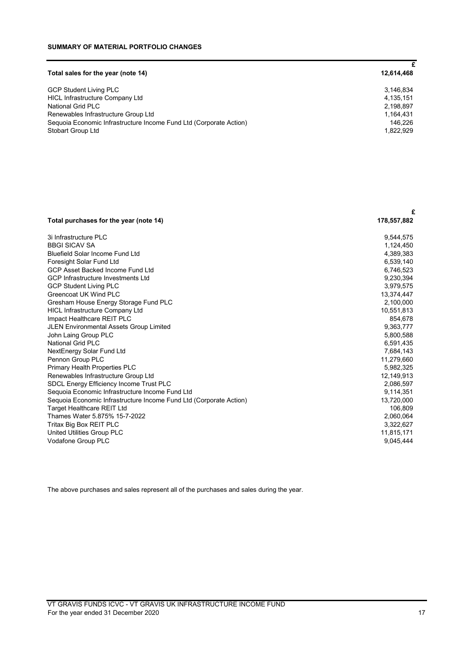### **SUMMARY OF MATERIAL PORTFOLIO CHANGES**

| Total sales for the year (note 14)                                 | 12,614,468 |
|--------------------------------------------------------------------|------------|
| <b>GCP Student Living PLC</b>                                      | 3.146.834  |
| <b>HICL Infrastructure Company Ltd</b>                             | 4,135,151  |
| National Grid PLC                                                  | 2,198,897  |
| Renewables Infrastructure Group Ltd                                | 1,164,431  |
| Sequoia Economic Infrastructure Income Fund Ltd (Corporate Action) | 146.226    |
| Stobart Group Ltd                                                  | 1.822.929  |

|                                                                    | £           |
|--------------------------------------------------------------------|-------------|
| Total purchases for the year (note 14)                             | 178,557,882 |
| 3i Infrastructure PLC                                              | 9,544,575   |
| <b>BBGI SICAV SA</b>                                               | 1,124,450   |
| <b>Bluefield Solar Income Fund Ltd</b>                             | 4,389,383   |
| Foresight Solar Fund Ltd                                           | 6,539,140   |
| <b>GCP Asset Backed Income Fund Ltd</b>                            | 6,746,523   |
| <b>GCP Infrastructure Investments Ltd</b>                          | 9,230,394   |
| <b>GCP Student Living PLC</b>                                      | 3,979,575   |
| <b>Greencoat UK Wind PLC</b>                                       | 13,374,447  |
| Gresham House Energy Storage Fund PLC                              | 2,100,000   |
| <b>HICL Infrastructure Company Ltd</b>                             | 10,551,813  |
| Impact Healthcare REIT PLC                                         | 854,678     |
| JLEN Environmental Assets Group Limited                            | 9,363,777   |
| John Laing Group PLC                                               | 5,800,588   |
| National Grid PLC                                                  | 6,591,435   |
| NextEnergy Solar Fund Ltd                                          | 7,684,143   |
| Pennon Group PLC                                                   | 11,279,660  |
| Primary Health Properties PLC                                      | 5,982,325   |
| Renewables Infrastructure Group Ltd                                | 12,149,913  |
| <b>SDCL Energy Efficiency Income Trust PLC</b>                     | 2,086,597   |
| Sequoia Economic Infrastructure Income Fund Ltd                    | 9,114,351   |
| Sequoia Economic Infrastructure Income Fund Ltd (Corporate Action) | 13,720,000  |
| <b>Target Healthcare REIT Ltd</b>                                  | 106,809     |
| Thames Water 5.875% 15-7-2022                                      | 2,060,064   |
| Tritax Big Box REIT PLC                                            | 3,322,627   |
| United Utilities Group PLC                                         | 11,815,171  |
| Vodafone Group PLC                                                 | 9,045,444   |

The above purchases and sales represent all of the purchases and sales during the year.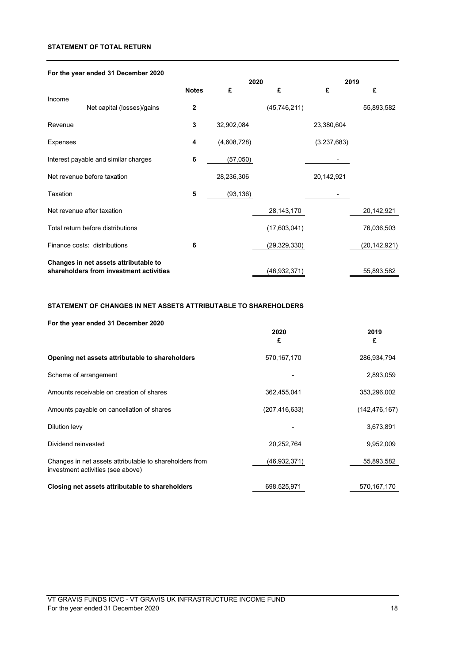### **STATEMENT OF TOTAL RETURN**

| For the year ended 31 December 2020                                              |                                      |              |             |                |             |                |
|----------------------------------------------------------------------------------|--------------------------------------|--------------|-------------|----------------|-------------|----------------|
|                                                                                  |                                      | <b>Notes</b> | £           | 2020<br>£      | £           | 2019<br>£      |
| Income                                                                           | Net capital (losses)/gains           | $\mathbf{2}$ |             | (45, 746, 211) |             | 55,893,582     |
| Revenue                                                                          |                                      | 3            | 32,902,084  |                | 23,380,604  |                |
| <b>Expenses</b>                                                                  |                                      | 4            | (4,608,728) |                | (3,237,683) |                |
|                                                                                  | Interest payable and similar charges | 6            | (57,050)    |                |             |                |
|                                                                                  | Net revenue before taxation          |              | 28,236,306  |                | 20,142,921  |                |
| Taxation                                                                         |                                      | 5            | (93, 136)   |                |             |                |
| Net revenue after taxation                                                       |                                      |              |             | 28, 143, 170   |             | 20,142,921     |
| Total return before distributions                                                |                                      |              |             | (17,603,041)   |             | 76,036,503     |
| Finance costs: distributions                                                     |                                      | 6            |             | (29, 329, 330) |             | (20, 142, 921) |
| Changes in net assets attributable to<br>shareholders from investment activities |                                      |              |             | (46, 932, 371) |             | 55,893,582     |

### **STATEMENT OF CHANGES IN NET ASSETS ATTRIBUTABLE TO SHAREHOLDERS**

| For the year ended 31 December 2020                                                          |                 |                 |  |  |  |
|----------------------------------------------------------------------------------------------|-----------------|-----------------|--|--|--|
|                                                                                              | 2020<br>£       | 2019<br>£       |  |  |  |
|                                                                                              |                 |                 |  |  |  |
| Opening net assets attributable to shareholders                                              | 570,167,170     | 286,934,794     |  |  |  |
| Scheme of arrangement                                                                        |                 | 2,893,059       |  |  |  |
| Amounts receivable on creation of shares                                                     | 362,455,041     | 353,296,002     |  |  |  |
| Amounts payable on cancellation of shares                                                    | (207, 416, 633) | (142, 476, 167) |  |  |  |
| Dilution levy                                                                                |                 | 3,673,891       |  |  |  |
| Dividend reinvested                                                                          | 20,252,764      | 9,952,009       |  |  |  |
| Changes in net assets attributable to shareholders from<br>investment activities (see above) | (46,932,371)    | 55,893,582      |  |  |  |
| Closing net assets attributable to shareholders                                              | 698,525,971     | 570,167,170     |  |  |  |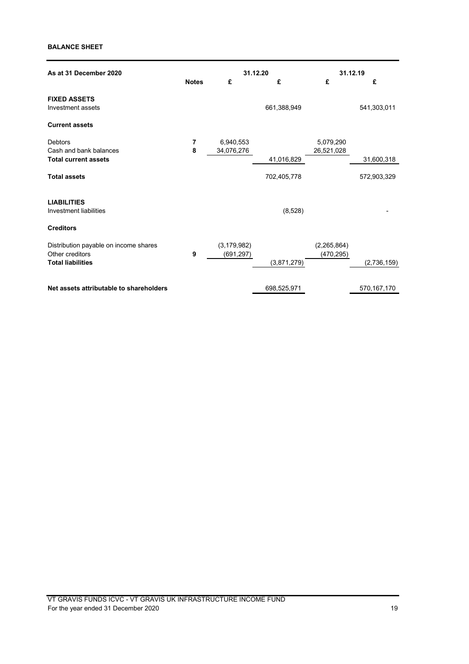### **BALANCE SHEET**

| As at 31 December 2020                                                               | 31.12.20     |                             | 31.12.19    |                           |             |
|--------------------------------------------------------------------------------------|--------------|-----------------------------|-------------|---------------------------|-------------|
|                                                                                      | <b>Notes</b> | £                           | £           | £                         | £           |
| <b>FIXED ASSETS</b><br>Investment assets                                             |              |                             | 661,388,949 |                           | 541,303,011 |
| <b>Current assets</b>                                                                |              |                             |             |                           |             |
| Debtors<br>Cash and bank balances<br><b>Total current assets</b>                     | 7<br>8       | 6,940,553<br>34,076,276     | 41,016,829  | 5,079,290<br>26,521,028   | 31,600,318  |
| <b>Total assets</b>                                                                  |              |                             | 702,405,778 |                           | 572,903,329 |
| <b>LIABILITIES</b><br><b>Investment liabilities</b>                                  |              |                             | (8,528)     |                           |             |
| <b>Creditors</b>                                                                     |              |                             |             |                           |             |
| Distribution payable on income shares<br>Other creditors<br><b>Total liabilities</b> | 9            | (3, 179, 982)<br>(691, 297) | (3,871,279) | (2,265,864)<br>(470, 295) | (2,736,159) |
| Net assets attributable to shareholders                                              |              |                             | 698,525,971 |                           | 570,167,170 |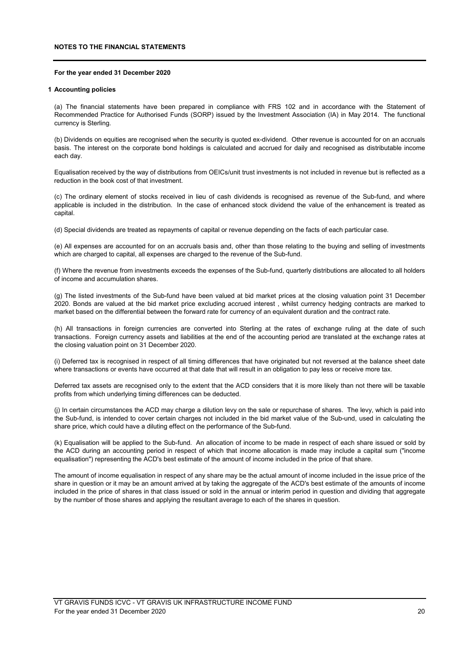#### **For the year ended 31 December 2020**

#### **1 Accounting policies**

(a) The financial statements have been prepared in compliance with FRS 102 and in accordance with the Statement of Recommended Practice for Authorised Funds (SORP) issued by the Investment Association (IA) in May 2014. The functional currency is Sterling.

(b) Dividends on equities are recognised when the security is quoted ex-dividend. Other revenue is accounted for on an accruals basis. The interest on the corporate bond holdings is calculated and accrued for daily and recognised as distributable income each day.

Equalisation received by the way of distributions from OEICs/unit trust investments is not included in revenue but is reflected as a reduction in the book cost of that investment.

(c) The ordinary element of stocks received in lieu of cash dividends is recognised as revenue of the Sub-fund, and where applicable is included in the distribution. In the case of enhanced stock dividend the value of the enhancement is treated as capital.

(d) Special dividends are treated as repayments of capital or revenue depending on the facts of each particular case.

(e) All expenses are accounted for on an accruals basis and, other than those relating to the buying and selling of investments which are charged to capital, all expenses are charged to the revenue of the Sub-fund.

(f) Where the revenue from investments exceeds the expenses of the Sub-fund, quarterly distributions are allocated to all holders of income and accumulation shares.

(g) The listed investments of the Sub-fund have been valued at bid market prices at the closing valuation point 31 December 2020. Bonds are valued at the bid market price excluding accrued interest , whilst currency hedging contracts are marked to market based on the differential between the forward rate for currency of an equivalent duration and the contract rate.

(h) All transactions in foreign currencies are converted into Sterling at the rates of exchange ruling at the date of such transactions. Foreign currency assets and liabilities at the end of the accounting period are translated at the exchange rates at the closing valuation point on 31 December 2020.

(i) Deferred tax is recognised in respect of all timing differences that have originated but not reversed at the balance sheet date where transactions or events have occurred at that date that will result in an obligation to pay less or receive more tax.

Deferred tax assets are recognised only to the extent that the ACD considers that it is more likely than not there will be taxable profits from which underlying timing differences can be deducted.

(j) In certain circumstances the ACD may charge a dilution levy on the sale or repurchase of shares. The levy, which is paid into the Sub-fund, is intended to cover certain charges not included in the bid market value of the Sub-und, used in calculating the share price, which could have a diluting effect on the performance of the Sub-fund.

(k) Equalisation will be applied to the Sub-fund. An allocation of income to be made in respect of each share issued or sold by the ACD during an accounting period in respect of which that income allocation is made may include a capital sum ("income equalisation") representing the ACD's best estimate of the amount of income included in the price of that share.

The amount of income equalisation in respect of any share may be the actual amount of income included in the issue price of the share in question or it may be an amount arrived at by taking the aggregate of the ACD's best estimate of the amounts of income included in the price of shares in that class issued or sold in the annual or interim period in question and dividing that aggregate by the number of those shares and applying the resultant average to each of the shares in question.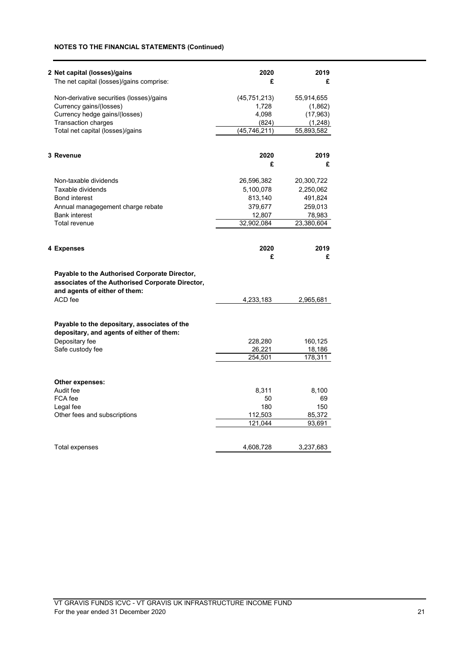| 2 Net capital (losses)/gains<br>The net capital (losses)/gains comprise:                                                           | 2020<br>£      | 2019<br>£  |
|------------------------------------------------------------------------------------------------------------------------------------|----------------|------------|
| Non-derivative securities (losses)/gains                                                                                           | (45, 751, 213) | 55,914,655 |
| Currency gains/(losses)                                                                                                            | 1,728          | (1,862)    |
| Currency hedge gains/(losses)                                                                                                      | 4,098          | (17, 963)  |
| <b>Transaction charges</b>                                                                                                         | (824)          | (1,248)    |
| Total net capital (losses)/gains                                                                                                   | (45, 746, 211) | 55,893,582 |
| 3 Revenue                                                                                                                          | 2020           | 2019       |
|                                                                                                                                    | £              | £          |
|                                                                                                                                    |                |            |
| Non-taxable dividends                                                                                                              | 26,596,382     | 20,300,722 |
| Taxable dividends                                                                                                                  | 5,100,078      | 2,250,062  |
| <b>Bond interest</b>                                                                                                               | 813,140        | 491,824    |
| Annual managegement charge rebate                                                                                                  | 379,677        | 259,013    |
| <b>Bank interest</b>                                                                                                               | 12,807         | 78,983     |
| Total revenue                                                                                                                      | 32,902,084     | 23,380,604 |
| 4 Expenses                                                                                                                         | 2020           | 2019       |
|                                                                                                                                    | £              | £          |
| Payable to the Authorised Corporate Director,<br>associates of the Authorised Corporate Director,<br>and agents of either of them: |                |            |
| ACD fee                                                                                                                            | 4,233,183      | 2,965,681  |
| Payable to the depositary, associates of the<br>depositary, and agents of either of them:                                          |                |            |
| Depositary fee                                                                                                                     | 228,280        | 160,125    |
| Safe custody fee                                                                                                                   | 26,221         | 18,186     |
|                                                                                                                                    | 254,501        | 178,311    |
| Other expenses:                                                                                                                    |                |            |
| Audit fee                                                                                                                          | 8,311          | 8,100      |
| FCA fee                                                                                                                            | 50             | 69         |
| Legal fee                                                                                                                          | 180            | 150        |
| Other fees and subscriptions                                                                                                       | 112,503        | 85,372     |
|                                                                                                                                    | 121,044        | 93,691     |
| Total expenses                                                                                                                     | 4,608,728      | 3,237,683  |
|                                                                                                                                    |                |            |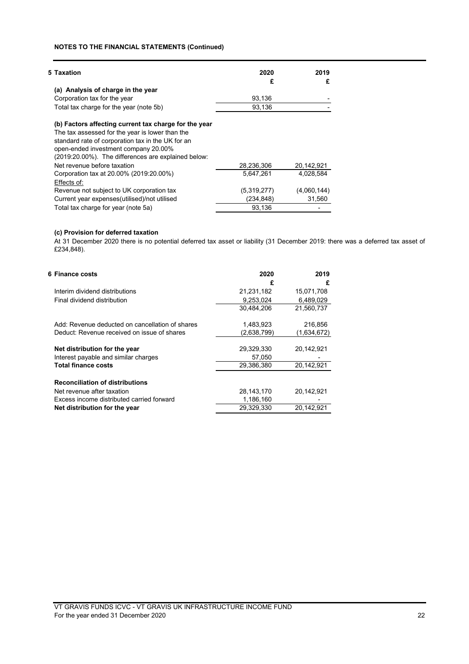| 5 Taxation                                            | 2020        | 2019        |
|-------------------------------------------------------|-------------|-------------|
|                                                       | £           | £           |
| (a) Analysis of charge in the year                    |             |             |
| Corporation tax for the year                          | 93,136      |             |
| Total tax charge for the year (note 5b)               | 93,136      |             |
| (b) Factors affecting current tax charge for the year |             |             |
| The tax assessed for the year is lower than the       |             |             |
| standard rate of corporation tax in the UK for an     |             |             |
| open-ended investment company 20.00%                  |             |             |
| (2019:20.00%). The differences are explained below:   |             |             |
| Net revenue before taxation                           | 28,236,306  | 20,142,921  |
| Corporation tax at 20.00% (2019:20.00%)               | 5.647.261   | 4.028.584   |
| Effects of:                                           |             |             |
| Revenue not subject to UK corporation tax             | (5.319.277) | (4,060,144) |
| Current year expenses (utilised)/not utilised         | (234,848)   | 31,560      |
| Total tax charge for year (note 5a)                   | 93,136      |             |

### **(c) Provision for deferred taxation**

At 31 December 2020 there is no potential deferred tax asset or liability (31 December 2019: there was a deferred tax asset of £234,848).

| 6 Finance costs                                 | 2020        | 2019        |
|-------------------------------------------------|-------------|-------------|
|                                                 | £           | £           |
| Interim dividend distributions                  | 21,231,182  | 15,071,708  |
| Final dividend distribution                     | 9.253.024   | 6,489,029   |
|                                                 | 30.484.206  | 21,560,737  |
| Add: Revenue deducted on cancellation of shares | 1,483,923   | 216,856     |
| Deduct: Revenue received on issue of shares     | (2,638,799) | (1,634,672) |
| Net distribution for the year                   | 29,329,330  | 20.142.921  |
| Interest payable and similar charges            | 57,050      |             |
| Total finance costs                             | 29,386,380  | 20,142,921  |
| <b>Reconciliation of distributions</b>          |             |             |
| Net revenue after taxation                      | 28,143,170  | 20.142.921  |
| Excess income distributed carried forward       | 1,186,160   |             |
| Net distribution for the year                   | 29,329,330  | 20,142,921  |
|                                                 |             |             |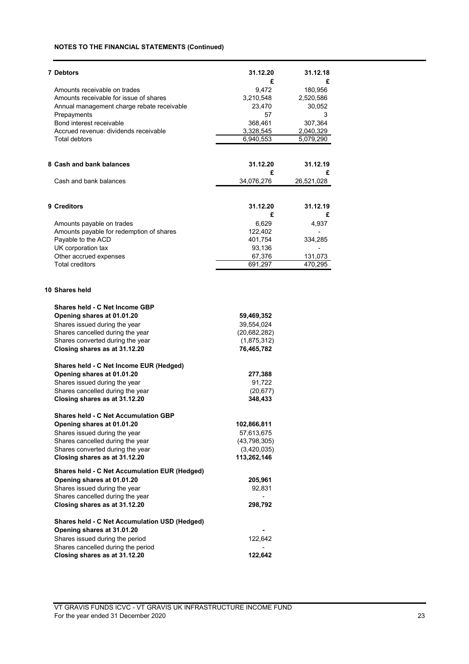| <b>7 Debtors</b> |                                                      | 31.12.20     | 31.12.18   |
|------------------|------------------------------------------------------|--------------|------------|
|                  |                                                      | £            | £          |
|                  | Amounts receivable on trades                         | 9,472        | 180,956    |
|                  | Amounts receivable for issue of shares               | 3,210,548    | 2,520,586  |
|                  | Annual management charge rebate receivable           | 23,470       | 30,052     |
|                  | Prepayments                                          | 57           | 3          |
|                  | Bond interest receivable                             | 368,461      | 307,364    |
|                  | Accrued revenue: dividends receivable                | 3,328,545    | 2,040,329  |
|                  | Total debtors                                        | 6,940,553    | 5,079,290  |
|                  | 8 Cash and bank balances                             | 31.12.20     | 31.12.19   |
|                  |                                                      | £            |            |
|                  | Cash and bank balances                               | 34,076,276   | 26,521,028 |
|                  |                                                      |              |            |
| 9 Creditors      |                                                      | 31.12.20     | 31.12.19   |
|                  |                                                      | £            |            |
|                  | Amounts payable on trades                            | 6,629        | 4,937      |
|                  | Amounts payable for redemption of shares             | 122,402      |            |
|                  | Payable to the ACD                                   | 401,754      | 334,285    |
|                  | UK corporation tax                                   | 93,136       |            |
|                  | Other accrued expenses                               | 67,376       | 131,073    |
|                  | <b>Total creditors</b>                               | 691,297      | 470.295    |
|                  |                                                      |              |            |
|                  | 10 Shares held                                       |              |            |
|                  | Shares held - C Net Income GBP                       |              |            |
|                  | Opening shares at 01.01.20                           | 59,469,352   |            |
|                  | Shares issued during the year                        | 39,554,024   |            |
|                  | Shares cancelled during the year                     | (20,682,282) |            |
|                  | Shares converted during the year                     | (1,875,312)  |            |
|                  | Closing shares as at 31.12.20                        | 76,465,782   |            |
|                  | Shares held - C Net Income EUR (Hedged)              |              |            |
|                  | Opening shares at 01.01.20                           | 277,388      |            |
|                  | Shares issued during the year                        | 91,722       |            |
|                  | Shares cancelled during the year                     | (20, 677)    |            |
|                  | Closing shares as at 31.12.20                        | 348,433      |            |
|                  | Shares held - C Net Accumulation GBP                 |              |            |
|                  | Opening shares at 01.01.20                           | 102,866,811  |            |
|                  | Shares issued during the year                        | 57,613,675   |            |
|                  | Shares cancelled during the year                     | (43,798,305) |            |
|                  | Shares converted during the year                     | (3,420,035)  |            |
|                  | Closing shares as at 31.12.20                        | 113,262,146  |            |
|                  | <b>Shares held - C Net Accumulation EUR (Hedged)</b> |              |            |
|                  | Opening shares at 01.01.20                           | 205,961      |            |
|                  | Shares issued during the year                        | 92,831       |            |
|                  | Shares cancelled during the year                     |              |            |
|                  | Closing shares as at 31.12.20                        | 298,792      |            |
|                  | Shares held - C Net Accumulation USD (Hedged)        |              |            |
|                  | Opening shares at 31.01.20                           |              |            |
|                  | Shares issued during the period                      | 122,642      |            |
|                  | Shares cancelled during the period                   |              |            |
|                  | Closing shares as at 31.12.20                        | 122,642      |            |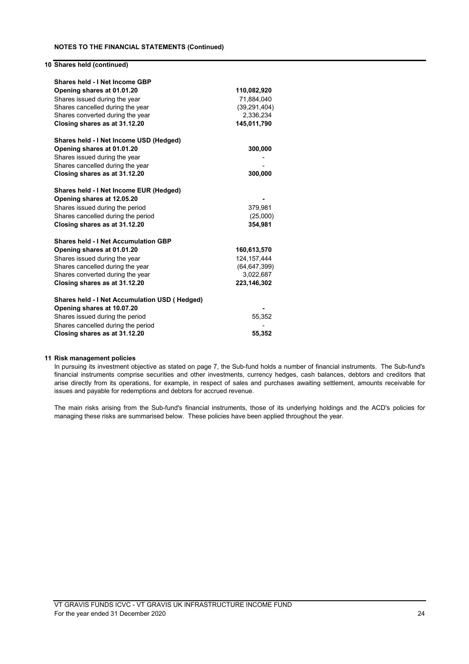### **10 Shares held (continued)**

| Shares held - I Net Income GBP                |                |
|-----------------------------------------------|----------------|
| Opening shares at 01.01.20                    | 110,082,920    |
| Shares issued during the year                 | 71.884.040     |
| Shares cancelled during the year              | (39, 291, 404) |
| Shares converted during the year              | 2,336,234      |
| Closing shares as at 31.12.20                 | 145,011,790    |
| Shares held - I Net Income USD (Hedged)       |                |
| Opening shares at 01.01.20                    | 300,000        |
| Shares issued during the year                 |                |
| Shares cancelled during the year              |                |
| Closing shares as at 31.12.20                 | 300,000        |
| Shares held - I Net Income EUR (Hedged)       |                |
| Opening shares at 12.05.20                    |                |
| Shares issued during the period               | 379,981        |
| Shares cancelled during the period            | (25,000)       |
| Closing shares as at 31.12.20                 | 354,981        |
| <b>Shares held - I Net Accumulation GBP</b>   |                |
| Opening shares at 01.01.20                    | 160,613,570    |
| Shares issued during the year                 | 124, 157, 444  |
| Shares cancelled during the year              | (64, 647, 399) |
| Shares converted during the year              | 3,022,687      |
| Closing shares as at 31.12.20                 | 223, 146, 302  |
| Shares held - I Net Accumulation USD (Hedged) |                |
| Opening shares at 10.07.20                    |                |
| Shares issued during the period               | 55,352         |
| Shares cancelled during the period            |                |
| Closing shares as at 31.12.20                 | 55,352         |

#### **11 Risk management policies**

In pursuing its investment objective as stated on page 7, the Sub-fund holds a number of financial instruments. The Sub-fund's financial instruments comprise securities and other investments, currency hedges, cash balances, debtors and creditors that arise directly from its operations, for example, in respect of sales and purchases awaiting settlement, amounts receivable for issues and payable for redemptions and debtors for accrued revenue.

The main risks arising from the Sub-fund's financial instruments, those of its underlying holdings and the ACD's policies for managing these risks are summarised below. These policies have been applied throughout the year.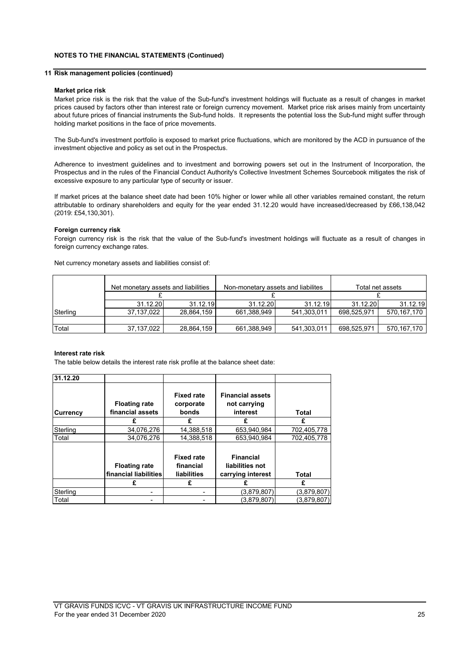### **11 Risk management policies (continued)**

#### **Market price risk**

Market price risk is the risk that the value of the Sub-fund's investment holdings will fluctuate as a result of changes in market prices caused by factors other than interest rate or foreign currency movement. Market price risk arises mainly from uncertainty about future prices of financial instruments the Sub-fund holds. It represents the potential loss the Sub-fund might suffer through holding market positions in the face of price movements.

The Sub-fund's investment portfolio is exposed to market price fluctuations, which are monitored by the ACD in pursuance of the investment objective and policy as set out in the Prospectus.

Adherence to investment guidelines and to investment and borrowing powers set out in the Instrument of Incorporation, the Prospectus and in the rules of the Financial Conduct Authority's Collective Investment Schemes Sourcebook mitigates the risk of excessive exposure to any particular type of security or issuer.

If market prices at the balance sheet date had been 10% higher or lower while all other variables remained constant, the return attributable to ordinary shareholders and equity for the year ended 31.12.20 would have increased/decreased by £66,138,042 (2019: £54,130,301).

### **Foreign currency risk**

Foreign currency risk is the risk that the value of the Sub-fund's investment holdings will fluctuate as a result of changes in foreign currency exchange rates.

Net currency monetary assets and liabilities consist of:

| Net monetary assets and liabilities |                        | Non-monetary assets and liabilites |                         | Total net assets        |                         |                         |
|-------------------------------------|------------------------|------------------------------------|-------------------------|-------------------------|-------------------------|-------------------------|
| Sterling                            | 31.12.20<br>37,137,022 | 31.12.19<br>28,864,159             | 31.12.20<br>661,388,949 | 31.12.19<br>541,303,011 | 31.12.20<br>698,525,971 | 31.12.19<br>570,167,170 |
| Total                               | 37,137,022             | 28,864,159                         | 661,388,949             | 541,303,011             | 698,525,971             | 570,167,170             |

#### **Interest rate risk**

The table below details the interest rate risk profile at the balance sheet date:

| 31.12.20 |                                               |                                               |                                                          |              |
|----------|-----------------------------------------------|-----------------------------------------------|----------------------------------------------------------|--------------|
| Currency | <b>Floating rate</b><br>financial assets      | <b>Fixed rate</b><br>corporate<br>bonds       | <b>Financial assets</b><br>not carrying<br>interest      | Total        |
|          |                                               |                                               | ç                                                        |              |
| Sterling | 34,076,276                                    | 14,388,518                                    | 653.940.984                                              | 702,405,778  |
| Total    | 34,076,276                                    | 14.388.518                                    | 653.940.984                                              | 702,405,778  |
|          | <b>Floating rate</b><br>financial liabilities | <b>Fixed rate</b><br>financial<br>liabilities | <b>Financial</b><br>liabilities not<br>carrying interest | <b>Total</b> |
|          | £                                             | £                                             |                                                          | £            |
| Sterling |                                               |                                               | (3,879,807)                                              | (3,879,807)  |
| Total    |                                               |                                               | (3,879,807)                                              | (3,879,807)  |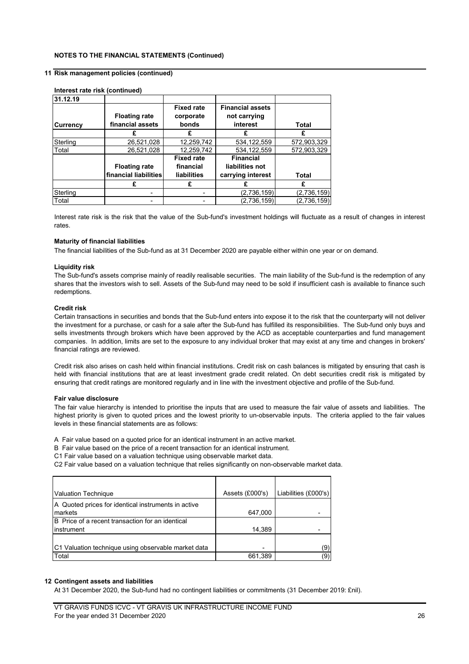### **11 Risk management policies (continued)**

|          | Interest rate risk (continued)           |                                         |                                                     |             |
|----------|------------------------------------------|-----------------------------------------|-----------------------------------------------------|-------------|
| 31.12.19 |                                          |                                         |                                                     |             |
| Currency | <b>Floating rate</b><br>financial assets | <b>Fixed rate</b><br>corporate<br>bonds | <b>Financial assets</b><br>not carrying<br>interest | Total       |
|          |                                          |                                         | £                                                   | £           |
| Sterling | 26.521.028                               | 12.259.742                              | 534.122.559                                         | 572.903.329 |
| Total    | 26.521.028                               | 12.259.742                              | 534,122,559                                         | 572.903.329 |
|          |                                          | <b>Fixed rate</b>                       | <b>Financial</b>                                    |             |
|          | <b>Floating rate</b>                     | financial                               | liabilities not                                     |             |
|          | financial liabilities                    | liabilities                             | carrying interest                                   | Total       |
|          |                                          |                                         |                                                     | £           |
| Sterling |                                          |                                         | (2,736,159)                                         | (2,736,159) |
| Total    |                                          |                                         | (2,736,159)                                         | (2.736.159) |

Interest rate risk is the risk that the value of the Sub-fund's investment holdings will fluctuate as a result of changes in interest rates.

### **Maturity of financial liabilities**

The financial liabilities of the Sub-fund as at 31 December 2020 are payable either within one year or on demand.

### **Liquidity risk**

The Sub-fund's assets comprise mainly of readily realisable securities. The main liability of the Sub-fund is the redemption of any shares that the investors wish to sell. Assets of the Sub-fund may need to be sold if insufficient cash is available to finance such redemptions.

### **Credit risk**

Certain transactions in securities and bonds that the Sub-fund enters into expose it to the risk that the counterparty will not deliver the investment for a purchase, or cash for a sale after the Sub-fund has fulfilled its responsibilities. The Sub-fund only buys and sells investments through brokers which have been approved by the ACD as acceptable counterparties and fund management companies. In addition, limits are set to the exposure to any individual broker that may exist at any time and changes in brokers' financial ratings are reviewed.

Credit risk also arises on cash held within financial institutions. Credit risk on cash balances is mitigated by ensuring that cash is held with financial institutions that are at least investment grade credit related. On debt securities credit risk is mitigated by ensuring that credit ratings are monitored regularly and in line with the investment objective and profile of the Sub-fund.

#### **Fair value disclosure**

The fair value hierarchy is intended to prioritise the inputs that are used to measure the fair value of assets and liabilities. The highest priority is given to quoted prices and the lowest priority to un-observable inputs. The criteria applied to the fair values levels in these financial statements are as follows:

A Fair value based on a quoted price for an identical instrument in an active market.

- B Fair value based on the price of a recent transaction for an identical instrument.
- C1 Fair value based on a valuation technique using observable market data.

C2 Fair value based on a valuation technique that relies significantly on non-observable market data.

| Valuation Technique                                      | Assets (£000's) | Liabilities (£000's) |
|----------------------------------------------------------|-----------------|----------------------|
| A Quoted prices for identical instruments in active      |                 |                      |
| markets                                                  | 647,000         |                      |
| <b>IB</b> Price of a recent transaction for an identical |                 |                      |
| linstrument                                              | 14,389          |                      |
|                                                          |                 |                      |
| C1 Valuation technique using observable market data      |                 | (9)                  |
| Total                                                    | 661,389         | (9)                  |

### **12 Contingent assets and liabilities**

At 31 December 2020, the Sub-fund had no contingent liabilities or commitments (31 December 2019: £nil).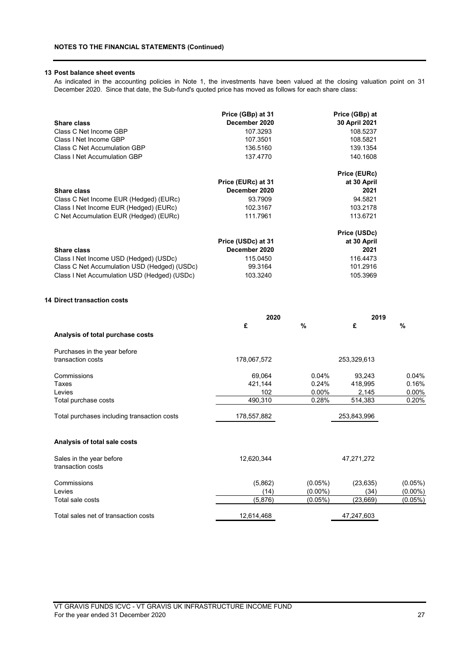### **13 Post balance sheet events**

As indicated in the accounting policies in Note 1, the investments have been valued at the closing valuation point on 31 December 2020. Since that date, the Sub-fund's quoted price has moved as follows for each share class:

|                                               | Price (GBp) at 31  |            | Price (GBp) at |            |
|-----------------------------------------------|--------------------|------------|----------------|------------|
| <b>Share class</b>                            | December 2020      |            | 30 April 2021  |            |
| Class C Net Income GBP                        | 107.3293           |            | 108.5237       |            |
| Class I Net Income GBP                        | 107.3501           |            | 108.5821       |            |
| Class C Net Accumulation GBP                  | 136.5160           |            | 139.1354       |            |
| Class I Net Accumulation GBP                  | 137.4770           |            | 140.1608       |            |
|                                               |                    |            | Price (EURc)   |            |
|                                               | Price (EURc) at 31 |            | at 30 April    |            |
| <b>Share class</b>                            | December 2020      |            | 2021           |            |
| Class C Net Income EUR (Hedged) (EURc)        | 93.7909            |            | 94.5821        |            |
| Class I Net Income EUR (Hedged) (EURc)        | 102.3167           |            | 103.2178       |            |
| C Net Accumulation EUR (Hedged) (EURc)        | 111.7961           |            | 113.6721       |            |
|                                               |                    |            | Price (USDc)   |            |
|                                               | Price (USDc) at 31 |            | at 30 April    |            |
| <b>Share class</b>                            | December 2020      |            | 2021           |            |
| Class I Net Income USD (Hedged) (USDc)        | 115.0450           |            | 116.4473       |            |
| Class C Net Accumulation USD (Hedged) (USDc)  | 99.3164            |            | 101.2916       |            |
| Class I Net Accumulation USD (Hedged) (USDc)  | 103.3240           |            | 105.3969       |            |
| <b>14 Direct transaction costs</b>            |                    |            |                |            |
|                                               | 2020               |            | 2019           |            |
|                                               | £                  | %          | £              | %          |
| Analysis of total purchase costs              |                    |            |                |            |
| Purchases in the year before                  |                    |            |                |            |
| transaction costs                             | 178,067,572        |            | 253,329,613    |            |
| Commissions                                   | 69,064             | 0.04%      | 93,243         | 0.04%      |
| Taxes                                         | 421,144            | 0.24%      | 418,995        | 0.16%      |
| Levies                                        | 102                | $0.00\%$   | 2,145          | 0.00%      |
| Total purchase costs                          | 490,310            | 0.28%      | 514,383        | 0.20%      |
| Total purchases including transaction costs   | 178,557,882        |            | 253,843,996    |            |
| Analysis of total sale costs                  |                    |            |                |            |
| Sales in the year before<br>transaction costs | 12,620,344         |            | 47,271,272     |            |
| Commissions                                   | (5,862)            | $(0.05\%)$ | (23, 635)      | $(0.05\%)$ |
| Levies                                        | (14)               | $(0.00\%)$ | (34)           | $(0.00\%)$ |
| Total sale costs                              | (5,876)            | $(0.05\%)$ | (23, 669)      | $(0.05\%)$ |

Total sales net of transaction costs 12,614,468 12,614,468 47,247,603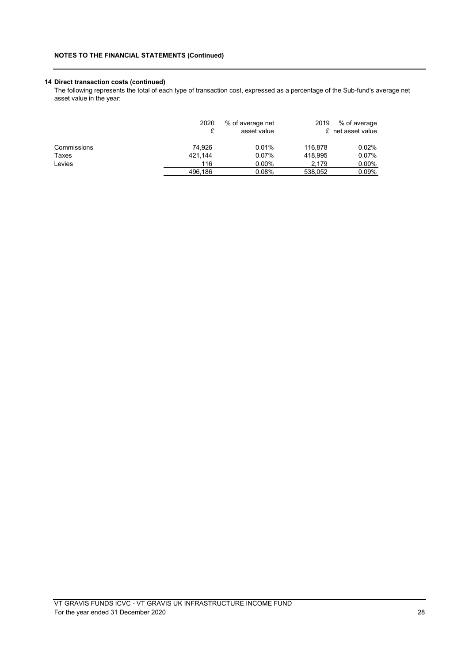### **14 Direct transaction costs (continued)**

The following represents the total of each type of transaction cost, expressed as a percentage of the Sub-fund's average net asset value in the year:

|             | 2020    | % of average net<br>asset value | 2019    | % of average<br>£ net asset value |
|-------------|---------|---------------------------------|---------|-----------------------------------|
| Commissions | 74.926  | 0.01%                           | 116.878 | 0.02%                             |
| Taxes       | 421,144 | 0.07%                           | 418,995 | 0.07%                             |
| Levies      | 116     | $0.00\%$                        | 2.179   | $0.00\%$                          |
|             | 496.186 | 0.08%                           | 538,052 | 0.09%                             |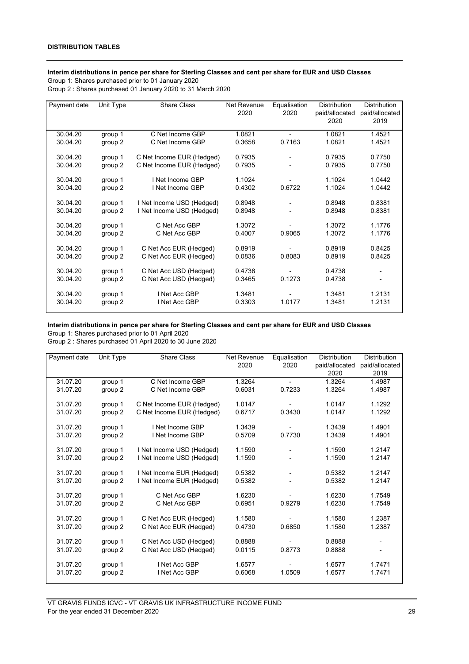### **Interim distributions in pence per share for Sterling Classes and cent per share for EUR and USD Classes**

Group 1: Shares purchased prior to 01 January 2020 Group 2 : Shares purchased 01 January 2020 to 31 March 2020

| Payment date | Unit Type | <b>Share Class</b>        | Net Revenue | Equalisation | <b>Distribution</b> | Distribution   |
|--------------|-----------|---------------------------|-------------|--------------|---------------------|----------------|
|              |           |                           | 2020        | 2020         | paid/allocated      | paid/allocated |
|              |           |                           |             |              | 2020                | 2019           |
| 30.04.20     | group 1   | C Net Income GBP          | 1.0821      | ٠            | 1.0821              | 1.4521         |
| 30.04.20     | group 2   | C Net Income GBP          | 0.3658      | 0.7163       | 1.0821              | 1.4521         |
| 30.04.20     | group 1   | C Net Income EUR (Hedged) | 0.7935      |              | 0.7935              | 0.7750         |
| 30.04.20     | group 2   | C Net Income EUR (Hedged) | 0.7935      |              | 0.7935              | 0.7750         |
| 30.04.20     | group 1   | I Net Income GBP          | 1.1024      |              | 1.1024              | 1.0442         |
| 30.04.20     | group 2   | I Net Income GBP          | 0.4302      | 0.6722       | 1.1024              | 1.0442         |
| 30.04.20     | group 1   | I Net Income USD (Hedged) | 0.8948      |              | 0.8948              | 0.8381         |
| 30.04.20     | group 2   | I Net Income USD (Hedged) | 0.8948      |              | 0.8948              | 0.8381         |
| 30.04.20     | group 1   | C Net Acc GBP             | 1.3072      |              | 1.3072              | 1.1776         |
| 30.04.20     | group 2   | C Net Acc GBP             | 0.4007      | 0.9065       | 1.3072              | 1.1776         |
| 30.04.20     | group 1   | C Net Acc EUR (Hedged)    | 0.8919      |              | 0.8919              | 0.8425         |
| 30.04.20     | group 2   | C Net Acc EUR (Hedged)    | 0.0836      | 0.8083       | 0.8919              | 0.8425         |
| 30.04.20     | group 1   | C Net Acc USD (Hedged)    | 0.4738      |              | 0.4738              |                |
| 30.04.20     | group 2   | C Net Acc USD (Hedged)    | 0.3465      | 0.1273       | 0.4738              |                |
| 30.04.20     | group 1   | I Net Acc GBP             | 1.3481      |              | 1.3481              | 1.2131         |
| 30.04.20     | group 2   | I Net Acc GBP             | 0.3303      | 1.0177       | 1.3481              | 1.2131         |

#### **Interim distributions in pence per share for Sterling Classes and cent per share for EUR and USD Classes**

Group 1: Shares purchased prior to 01 April 2020

Group 2 : Shares purchased 01 April 2020 to 30 June 2020

| Payment date | Unit Type | <b>Share Class</b>        | Net Revenue | Equalisation             | <b>Distribution</b> | <b>Distribution</b>      |
|--------------|-----------|---------------------------|-------------|--------------------------|---------------------|--------------------------|
|              |           |                           | 2020        | 2020                     | paid/allocated      | paid/allocated           |
|              |           |                           |             |                          | 2020                | 2019                     |
| 31.07.20     | group 1   | C Net Income GBP          | 1.3264      | $\overline{\phantom{a}}$ | 1.3264              | 1.4987                   |
| 31.07.20     | group 2   | C Net Income GBP          | 0.6031      | 0.7233                   | 1.3264              | 1.4987                   |
| 31.07.20     | group 1   | C Net Income EUR (Hedged) | 1.0147      |                          | 1.0147              | 1.1292                   |
| 31.07.20     | group 2   | C Net Income EUR (Hedged) | 0.6717      | 0.3430                   | 1.0147              | 1.1292                   |
| 31.07.20     | group 1   | I Net Income GBP          | 1.3439      |                          | 1.3439              | 1.4901                   |
| 31.07.20     | group 2   | I Net Income GBP          | 0.5709      | 0.7730                   | 1.3439              | 1.4901                   |
| 31.07.20     | group 1   | I Net Income USD (Hedged) | 1.1590      |                          | 1.1590              | 1.2147                   |
| 31.07.20     | group 2   | I Net Income USD (Hedged) | 1.1590      |                          | 1.1590              | 1.2147                   |
| 31.07.20     | group 1   | I Net Income EUR (Hedged) | 0.5382      |                          | 0.5382              | 1.2147                   |
| 31.07.20     | group 2   | I Net Income EUR (Hedged) | 0.5382      |                          | 0.5382              | 1.2147                   |
| 31.07.20     | group 1   | C Net Acc GBP             | 1.6230      |                          | 1.6230              | 1.7549                   |
| 31.07.20     | group 2   | C Net Acc GBP             | 0.6951      | 0.9279                   | 1.6230              | 1.7549                   |
| 31.07.20     | group 1   | C Net Acc EUR (Hedged)    | 1.1580      |                          | 1.1580              | 1.2387                   |
| 31.07.20     | group 2   | C Net Acc EUR (Hedged)    | 0.4730      | 0.6850                   | 1.1580              | 1.2387                   |
| 31.07.20     | group 1   | C Net Acc USD (Hedged)    | 0.8888      |                          | 0.8888              |                          |
| 31.07.20     | group 2   | C Net Acc USD (Hedged)    | 0.0115      | 0.8773                   | 0.8888              | $\overline{\phantom{a}}$ |
| 31.07.20     | group 1   | I Net Acc GBP             | 1.6577      |                          | 1.6577              | 1.7471                   |
| 31.07.20     | group 2   | I Net Acc GBP             | 0.6068      | 1.0509                   | 1.6577              | 1.7471                   |
|              |           |                           |             |                          |                     |                          |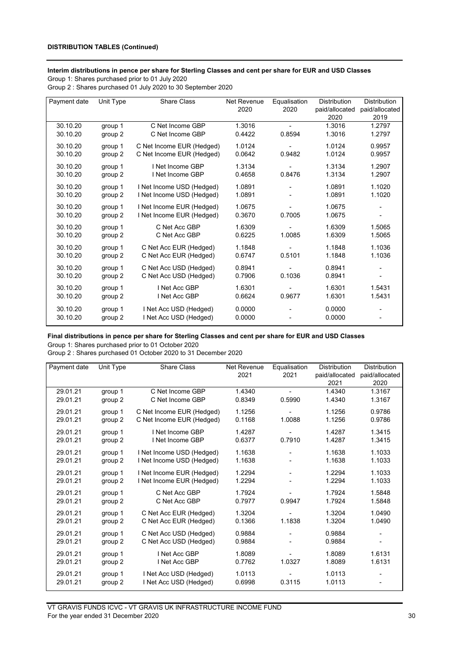### **Interim distributions in pence per share for Sterling Classes and cent per share for EUR and USD Classes**

Group 1: Shares purchased prior to 01 July 2020

Group 2 : Shares purchased 01 July 2020 to 30 September 2020

| Payment date | Unit Type | <b>Share Class</b>        | Net Revenue | Equalisation             | <b>Distribution</b> | <b>Distribution</b> |
|--------------|-----------|---------------------------|-------------|--------------------------|---------------------|---------------------|
|              |           |                           | 2020        | 2020                     | paid/allocated      | paid/allocated      |
|              |           |                           |             |                          | 2020                | 2019                |
| 30.10.20     | group 1   | C Net Income GBP          | 1.3016      | $\overline{\phantom{0}}$ | 1.3016              | 1.2797              |
| 30.10.20     | group 2   | C Net Income GBP          | 0.4422      | 0.8594                   | 1.3016              | 1.2797              |
| 30.10.20     | group 1   | C Net Income EUR (Hedged) | 1.0124      |                          | 1.0124              | 0.9957              |
| 30.10.20     | group 2   | C Net Income EUR (Hedged) | 0.0642      | 0.9482                   | 1.0124              | 0.9957              |
| 30.10.20     | group 1   | I Net Income GBP          | 1.3134      |                          | 1.3134              | 1.2907              |
| 30.10.20     | group 2   | I Net Income GBP          | 0.4658      | 0.8476                   | 1.3134              | 1.2907              |
| 30.10.20     | group 1   | I Net Income USD (Hedged) | 1.0891      |                          | 1.0891              | 1.1020              |
| 30.10.20     | group 2   | I Net Income USD (Hedged) | 1.0891      |                          | 1.0891              | 1.1020              |
| 30.10.20     | group 1   | I Net Income EUR (Hedged) | 1.0675      |                          | 1.0675              |                     |
| 30.10.20     | group 2   | I Net Income EUR (Hedged) | 0.3670      | 0.7005                   | 1.0675              |                     |
| 30.10.20     | group 1   | C Net Acc GBP             | 1.6309      |                          | 1.6309              | 1.5065              |
| 30.10.20     | group 2   | C Net Acc GBP             | 0.6225      | 1.0085                   | 1.6309              | 1.5065              |
| 30.10.20     | group 1   | C Net Acc EUR (Hedged)    | 1.1848      |                          | 1.1848              | 1.1036              |
| 30.10.20     | group 2   | C Net Acc EUR (Hedged)    | 0.6747      | 0.5101                   | 1.1848              | 1.1036              |
| 30.10.20     | group 1   | C Net Acc USD (Hedged)    | 0.8941      |                          | 0.8941              |                     |
| 30.10.20     | group 2   | C Net Acc USD (Hedged)    | 0.7906      | 0.1036                   | 0.8941              |                     |
| 30.10.20     | group 1   | I Net Acc GBP             | 1.6301      |                          | 1.6301              | 1.5431              |
| 30.10.20     | group 2   | I Net Acc GBP             | 0.6624      | 0.9677                   | 1.6301              | 1.5431              |
| 30.10.20     | group 1   | I Net Acc USD (Hedged)    | 0.0000      |                          | 0.0000              |                     |
| 30.10.20     | group 2   | I Net Acc USD (Hedged)    | 0.0000      |                          | 0.0000              |                     |
|              |           |                           |             |                          |                     |                     |

### **Final distributions in pence per share for Sterling Classes and cent per share for EUR and USD Classes**

Group 1: Shares purchased prior to 01 October 2020

Group 2 : Shares purchased 01 October 2020 to 31 December 2020

| Payment date | Unit Type | <b>Share Class</b>        | Net Revenue | Equalisation             | <b>Distribution</b> | <b>Distribution</b> |
|--------------|-----------|---------------------------|-------------|--------------------------|---------------------|---------------------|
|              |           |                           | 2021        | 2021                     | paid/allocated      | paid/allocated      |
|              |           |                           |             |                          | 2021                | 2020                |
| 29.01.21     | group 1   | C Net Income GBP          | 1.4340      | ٠                        | 1.4340              | 1.3167              |
| 29.01.21     | group 2   | C Net Income GBP          | 0.8349      | 0.5990                   | 1.4340              | 1.3167              |
| 29.01.21     | group 1   | C Net Income EUR (Hedged) | 1.1256      |                          | 1.1256              | 0.9786              |
| 29.01.21     | group 2   | C Net Income EUR (Hedged) | 0.1168      | 1.0088                   | 1.1256              | 0.9786              |
| 29.01.21     | group 1   | I Net Income GBP          | 1.4287      |                          | 1.4287              | 1.3415              |
| 29.01.21     | group 2   | I Net Income GBP          | 0.6377      | 0.7910                   | 1.4287              | 1.3415              |
| 29.01.21     | group 1   | I Net Income USD (Hedged) | 1.1638      |                          | 1.1638              | 1.1033              |
| 29.01.21     | group 2   | I Net Income USD (Hedged) | 1.1638      |                          | 1.1638              | 1.1033              |
| 29.01.21     | group 1   | I Net Income EUR (Hedged) | 1.2294      | $\overline{\phantom{a}}$ | 1.2294              | 1.1033              |
| 29.01.21     | group 2   | I Net Income EUR (Hedged) | 1.2294      |                          | 1.2294              | 1.1033              |
| 29.01.21     | group 1   | C Net Acc GBP             | 1.7924      |                          | 1.7924              | 1.5848              |
| 29.01.21     | group 2   | C Net Acc GBP             | 0.7977      | 0.9947                   | 1.7924              | 1.5848              |
| 29.01.21     | group 1   | C Net Acc EUR (Hedged)    | 1.3204      |                          | 1.3204              | 1.0490              |
| 29.01.21     | group 2   | C Net Acc EUR (Hedged)    | 0.1366      | 1.1838                   | 1.3204              | 1.0490              |
| 29.01.21     | group 1   | C Net Acc USD (Hedged)    | 0.9884      |                          | 0.9884              |                     |
| 29.01.21     | group 2   | C Net Acc USD (Hedged)    | 0.9884      |                          | 0.9884              |                     |
| 29.01.21     | group 1   | I Net Acc GBP             | 1.8089      |                          | 1.8089              | 1.6131              |
| 29.01.21     | group 2   | I Net Acc GBP             | 0.7762      | 1.0327                   | 1.8089              | 1.6131              |
| 29.01.21     | group 1   | I Net Acc USD (Hedged)    | 1.0113      |                          | 1.0113              |                     |
| 29.01.21     | group 2   | I Net Acc USD (Hedged)    | 0.6998      | 0.3115                   | 1.0113              |                     |
|              |           |                           |             |                          |                     |                     |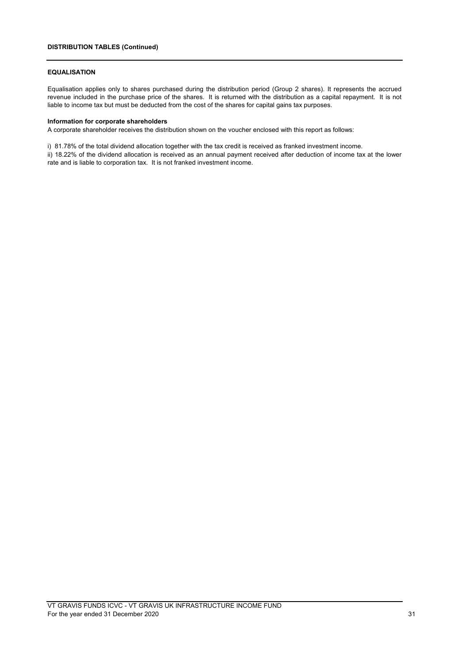#### **EQUALISATION**

Equalisation applies only to shares purchased during the distribution period (Group 2 shares). It represents the accrued revenue included in the purchase price of the shares. It is returned with the distribution as a capital repayment. It is not liable to income tax but must be deducted from the cost of the shares for capital gains tax purposes.

#### **Information for corporate shareholders**

A corporate shareholder receives the distribution shown on the voucher enclosed with this report as follows:

i) 81.78% of the total dividend allocation together with the tax credit is received as franked investment income.

ii) 18.22% of the dividend allocation is received as an annual payment received after deduction of income tax at the lower rate and is liable to corporation tax. It is not franked investment income.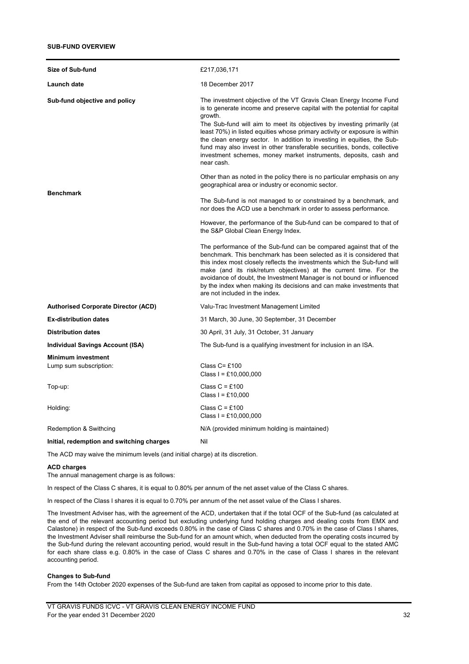### **SUB-FUND OVERVIEW**

| Size of Sub-fund                                    | £217,036,171                                                                                                                                                                                                                                                                                                                                                                                                                                                                                                                                                 |  |  |
|-----------------------------------------------------|--------------------------------------------------------------------------------------------------------------------------------------------------------------------------------------------------------------------------------------------------------------------------------------------------------------------------------------------------------------------------------------------------------------------------------------------------------------------------------------------------------------------------------------------------------------|--|--|
| <b>Launch date</b>                                  | 18 December 2017                                                                                                                                                                                                                                                                                                                                                                                                                                                                                                                                             |  |  |
| Sub-fund objective and policy                       | The investment objective of the VT Gravis Clean Energy Income Fund<br>is to generate income and preserve capital with the potential for capital<br>growth.<br>The Sub-fund will aim to meet its objectives by investing primarily (at<br>least 70%) in listed equities whose primary activity or exposure is within<br>the clean energy sector. In addition to investing in equities, the Sub-<br>fund may also invest in other transferable securities, bonds, collective<br>investment schemes, money market instruments, deposits, cash and<br>near cash. |  |  |
|                                                     | Other than as noted in the policy there is no particular emphasis on any<br>geographical area or industry or economic sector.                                                                                                                                                                                                                                                                                                                                                                                                                                |  |  |
| <b>Benchmark</b>                                    | The Sub-fund is not managed to or constrained by a benchmark, and<br>nor does the ACD use a benchmark in order to assess performance.                                                                                                                                                                                                                                                                                                                                                                                                                        |  |  |
|                                                     | However, the performance of the Sub-fund can be compared to that of<br>the S&P Global Clean Energy Index.                                                                                                                                                                                                                                                                                                                                                                                                                                                    |  |  |
|                                                     | The performance of the Sub-fund can be compared against that of the<br>benchmark. This benchmark has been selected as it is considered that<br>this index most closely reflects the investments which the Sub-fund will<br>make (and its risk/return objectives) at the current time. For the<br>avoidance of doubt, the Investment Manager is not bound or influenced<br>by the index when making its decisions and can make investments that<br>are not included in the index.                                                                             |  |  |
| <b>Authorised Corporate Director (ACD)</b>          | Valu-Trac Investment Management Limited                                                                                                                                                                                                                                                                                                                                                                                                                                                                                                                      |  |  |
| <b>Ex-distribution dates</b>                        | 31 March, 30 June, 30 September, 31 December                                                                                                                                                                                                                                                                                                                                                                                                                                                                                                                 |  |  |
| <b>Distribution dates</b>                           | 30 April, 31 July, 31 October, 31 January                                                                                                                                                                                                                                                                                                                                                                                                                                                                                                                    |  |  |
| <b>Individual Savings Account (ISA)</b>             | The Sub-fund is a qualifying investment for inclusion in an ISA.                                                                                                                                                                                                                                                                                                                                                                                                                                                                                             |  |  |
| <b>Minimum investment</b><br>Lump sum subscription: | Class $C = £100$<br>Class I = £10,000,000                                                                                                                                                                                                                                                                                                                                                                                                                                                                                                                    |  |  |
| Top-up:                                             | Class $C = £100$<br>Class $I = £10,000$                                                                                                                                                                                                                                                                                                                                                                                                                                                                                                                      |  |  |
| Holding:                                            | Class $C = £100$<br>Class $I = £10,000,000$                                                                                                                                                                                                                                                                                                                                                                                                                                                                                                                  |  |  |
| Redemption & Swithcing                              | N/A (provided minimum holding is maintained)                                                                                                                                                                                                                                                                                                                                                                                                                                                                                                                 |  |  |
| Initial, redemption and switching charges           | Nil                                                                                                                                                                                                                                                                                                                                                                                                                                                                                                                                                          |  |  |

The ACD may waive the minimum levels (and initial charge) at its discretion.

### **ACD charges**

The annual management charge is as follows:

In respect of the Class C shares, it is equal to 0.80% per annum of the net asset value of the Class C shares.

In respect of the Class I shares it is equal to 0.70% per annum of the net asset value of the Class I shares.

The Investment Adviser has, with the agreement of the ACD, undertaken that if the total OCF of the Sub-fund (as calculated at the end of the relevant accounting period but excluding underlying fund holding charges and dealing costs from EMX and Calastone) in respect of the Sub-fund exceeds 0.80% in the case of Class C shares and 0.70% in the case of Class I shares, the Investment Adviser shall reimburse the Sub-fund for an amount which, when deducted from the operating costs incurred by the Sub-fund during the relevant accounting period, would result in the Sub-fund having a total OCF equal to the stated AMC for each share class e.g. 0.80% in the case of Class C shares and 0.70% in the case of Class I shares in the relevant accounting period.

#### **Changes to Sub-fund**

From the 14th October 2020 expenses of the Sub-fund are taken from capital as opposed to income prior to this date.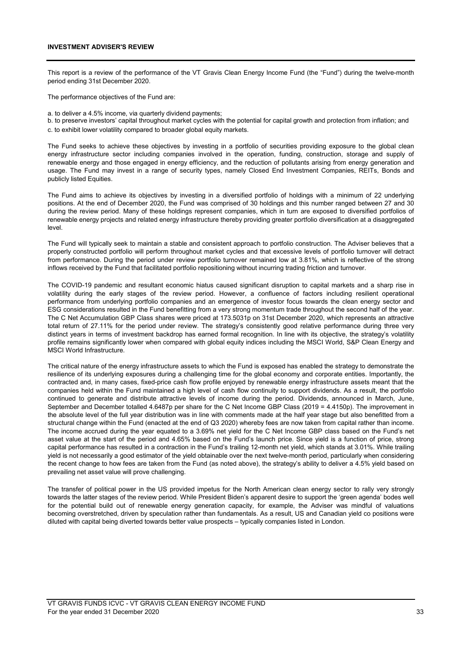This report is a review of the performance of the VT Gravis Clean Energy Income Fund (the "Fund") during the twelve-month period ending 31st December 2020.

The performance objectives of the Fund are:

- a. to deliver a 4.5% income, via quarterly dividend payments;
- b. to preserve investors' capital throughout market cycles with the potential for capital growth and protection from inflation; and c. to exhibit lower volatility compared to broader global equity markets.

The Fund seeks to achieve these objectives by investing in a portfolio of securities providing exposure to the global clean energy infrastructure sector including companies involved in the operation, funding, construction, storage and supply of renewable energy and those engaged in energy efficiency, and the reduction of pollutants arising from energy generation and usage. The Fund may invest in a range of security types, namely Closed End Investment Companies, REITs, Bonds and publicly listed Equities.

The Fund aims to achieve its objectives by investing in a diversified portfolio of holdings with a minimum of 22 underlying positions. At the end of December 2020, the Fund was comprised of 30 holdings and this number ranged between 27 and 30 during the review period. Many of these holdings represent companies, which in turn are exposed to diversified portfolios of renewable energy projects and related energy infrastructure thereby providing greater portfolio diversification at a disaggregated level.

The Fund will typically seek to maintain a stable and consistent approach to portfolio construction. The Adviser believes that a properly constructed portfolio will perform throughout market cycles and that excessive levels of portfolio turnover will detract from performance. During the period under review portfolio turnover remained low at 3.81%, which is reflective of the strong inflows received by the Fund that facilitated portfolio repositioning without incurring trading friction and turnover.

The COVID-19 pandemic and resultant economic hiatus caused significant disruption to capital markets and a sharp rise in volatility during the early stages of the review period. However, a confluence of factors including resilient operational performance from underlying portfolio companies and an emergence of investor focus towards the clean energy sector and ESG considerations resulted in the Fund benefitting from a very strong momentum trade throughout the second half of the year. The C Net Accumulation GBP Class shares were priced at 173.5031p on 31st December 2020, which represents an attractive total return of 27.11% for the period under review. The strategy's consistently good relative performance during three very distinct years in terms of investment backdrop has earned formal recognition. In line with its objective, the strategy's volatility profile remains significantly lower when compared with global equity indices including the MSCI World, S&P Clean Energy and MSCI World Infrastructure.

The critical nature of the energy infrastructure assets to which the Fund is exposed has enabled the strategy to demonstrate the resilience of its underlying exposures during a challenging time for the global economy and corporate entities. Importantly, the contracted and, in many cases, fixed-price cash flow profile enjoyed by renewable energy infrastructure assets meant that the companies held within the Fund maintained a high level of cash flow continuity to support dividends. As a result, the portfolio continued to generate and distribute attractive levels of income during the period. Dividends, announced in March, June, September and December totalled 4.6487p per share for the C Net Income GBP Class (2019 = 4.4150p). The improvement in the absolute level of the full year distribution was in line with comments made at the half year stage but also benefitted from a structural change within the Fund (enacted at the end of Q3 2020) whereby fees are now taken from capital rather than income. The income accrued during the year equated to a 3.69% net yield for the C Net Income GBP class based on the Fund's net asset value at the start of the period and 4.65% based on the Fund's launch price. Since yield is a function of price, strong capital performance has resulted in a contraction in the Fund's trailing 12-month net yield, which stands at 3.01%. While trailing yield is not necessarily a good estimator of the yield obtainable over the next twelve-month period, particularly when considering the recent change to how fees are taken from the Fund (as noted above), the strategy's ability to deliver a 4.5% yield based on prevailing net asset value will prove challenging.

The transfer of political power in the US provided impetus for the North American clean energy sector to rally very strongly towards the latter stages of the review period. While President Biden's apparent desire to support the 'green agenda' bodes well for the potential build out of renewable energy generation capacity, for example, the Adviser was mindful of valuations becoming overstretched, driven by speculation rather than fundamentals. As a result, US and Canadian yield co positions were diluted with capital being diverted towards better value prospects – typically companies listed in London.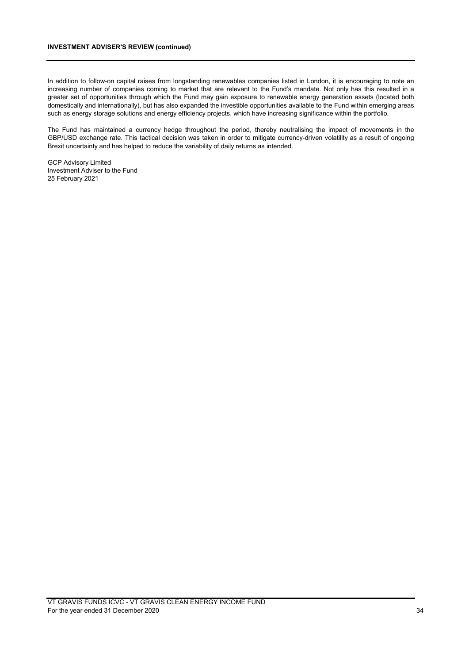### **INVESTMENT ADVISER'S REVIEW (continued)**

In addition to follow-on capital raises from longstanding renewables companies listed in London, it is encouraging to note an increasing number of companies coming to market that are relevant to the Fund's mandate. Not only has this resulted in a greater set of opportunities through which the Fund may gain exposure to renewable energy generation assets (located both domestically and internationally), but has also expanded the investible opportunities available to the Fund within emerging areas such as energy storage solutions and energy efficiency projects, which have increasing significance within the portfolio.

The Fund has maintained a currency hedge throughout the period, thereby neutralising the impact of movements in the GBP/USD exchange rate. This tactical decision was taken in order to mitigate currency-driven volatility as a result of ongoing Brexit uncertainty and has helped to reduce the variability of daily returns as intended.

GCP Advisory Limited Investment Adviser to the Fund 25 February 2021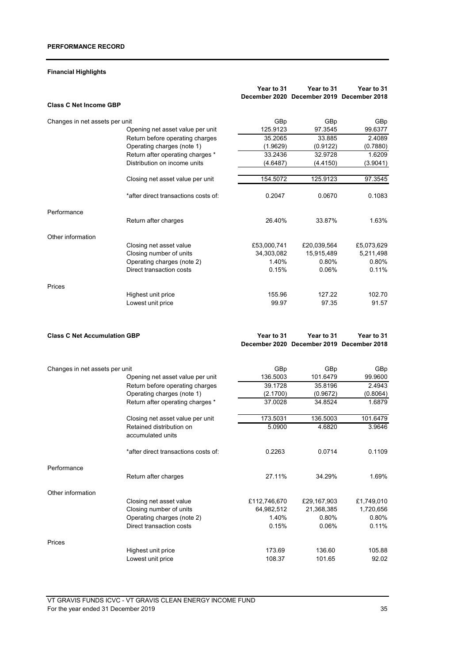### **Financial Highlights**

|                                     |                                                                | Year to 31          | Year to 31          | Year to 31                                |
|-------------------------------------|----------------------------------------------------------------|---------------------|---------------------|-------------------------------------------|
|                                     |                                                                |                     |                     | December 2020 December 2019 December 2018 |
| <b>Class C Net Income GBP</b>       |                                                                |                     |                     |                                           |
| Changes in net assets per unit      |                                                                | GBp                 | GBp                 | GBp                                       |
|                                     | Opening net asset value per unit                               | 125.9123            | 97.3545             | 99.6377                                   |
|                                     | Return before operating charges                                | 35.2065             | 33.885              | 2.4089                                    |
|                                     | Operating charges (note 1)                                     | (1.9629)            | (0.9122)            | (0.7880)                                  |
|                                     | Return after operating charges *                               | 33.2436             | 32.9728             | 1.6209                                    |
|                                     | Distribution on income units                                   | (4.6487)            | (4.4150)            | (3.9041)                                  |
|                                     | Closing net asset value per unit                               | 154.5072            | 125.9123            | 97.3545                                   |
|                                     | *after direct transactions costs of:                           | 0.2047              | 0.0670              | 0.1083                                    |
| Performance                         |                                                                |                     |                     |                                           |
|                                     | Return after charges                                           | 26.40%              | 33.87%              | 1.63%                                     |
| Other information                   |                                                                |                     |                     |                                           |
|                                     | Closing net asset value                                        | £53,000,741         | £20,039,564         | £5,073,629                                |
|                                     | Closing number of units                                        | 34,303,082          | 15,915,489          | 5,211,498                                 |
|                                     | Operating charges (note 2)                                     | 1.40%               | 0.80%               | 0.80%                                     |
|                                     | Direct transaction costs                                       | 0.15%               | 0.06%               | 0.11%                                     |
| Prices                              |                                                                |                     |                     |                                           |
|                                     | Highest unit price                                             | 155.96              | 127.22              | 102.70                                    |
|                                     | Lowest unit price                                              | 99.97               | 97.35               | 91.57                                     |
| <b>Class C Net Accumulation GBP</b> |                                                                | Year to 31          | Year to 31          | Year to 31                                |
|                                     |                                                                |                     |                     | December 2020 December 2019 December 2018 |
|                                     |                                                                |                     |                     |                                           |
| Changes in net assets per unit      |                                                                | GBp                 | GBp                 | GBp                                       |
|                                     | Opening net asset value per unit                               | 136.5003            | 101.6479            | 99.9600                                   |
|                                     | Return before operating charges                                | 39.1728             | 35.8196             | 2.4943                                    |
|                                     | Operating charges (note 1)<br>Return after operating charges * | (2.1700)<br>37.0028 | (0.9672)<br>34.8524 | (0.8064)<br>1.6879                        |
|                                     |                                                                |                     |                     |                                           |
|                                     | Closing net asset value per unit                               | 173.5031            | 136.5003            | 101.6479                                  |
|                                     | Retained distribution on<br>accumulated units                  | 5.0900              | 4.6820              | 3.9646                                    |
|                                     | *after direct transactions costs of:                           | 0.2263              | 0.0714              | 0.1109                                    |
| Performance                         |                                                                |                     |                     |                                           |
|                                     | Return after charges                                           | 27.11%              | 34.29%              | 1.69%                                     |
| Other information                   |                                                                |                     |                     |                                           |
|                                     | Closing net asset value                                        | £112,746,670        | £29,167,903         | £1,749,010                                |
|                                     | Closing number of units                                        | 64,982,512          | 21,368,385          | 1,720,656                                 |
|                                     | Operating charges (note 2)                                     | 1.40%               | 0.80%               | $0.80\%$                                  |
|                                     | Direct transaction costs                                       | 0.15%               | 0.06%               | 0.11%                                     |
| Prices                              |                                                                |                     |                     |                                           |
|                                     |                                                                |                     |                     |                                           |
|                                     | Highest unit price<br>Lowest unit price                        | 173.69<br>108.37    | 136.60<br>101.65    | 105.88<br>92.02                           |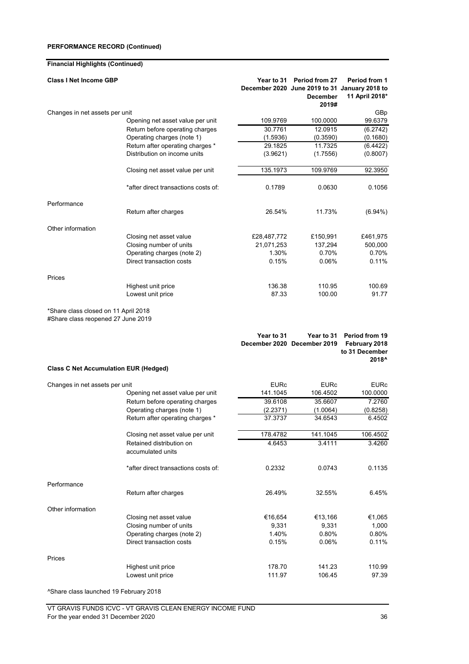### **Financial Highlights (Continued)**

| <b>Class I Net Income GBP</b>                                              |                                                                | Year to 31          | <b>Period from 27</b><br>December 2020 June 2019 to 31 January 2018 to<br>December<br>2019# | <b>Period from 1</b><br>11 April 2018*                            |
|----------------------------------------------------------------------------|----------------------------------------------------------------|---------------------|---------------------------------------------------------------------------------------------|-------------------------------------------------------------------|
| Changes in net assets per unit                                             |                                                                |                     |                                                                                             | GBp                                                               |
|                                                                            | Opening net asset value per unit                               | 109.9769            | 100.0000                                                                                    | 99.6379                                                           |
|                                                                            | Return before operating charges                                | 30.7761             | 12.0915                                                                                     | (6.2742)                                                          |
|                                                                            | Operating charges (note 1)<br>Return after operating charges * | (1.5936)<br>29.1825 | (0.3590)<br>11.7325                                                                         | (0.1680)<br>(6.4422)                                              |
|                                                                            | Distribution on income units                                   | (3.9621)            | (1.7556)                                                                                    | (0.8007)                                                          |
|                                                                            | Closing net asset value per unit                               | 135.1973            | 109.9769                                                                                    | 92.3950                                                           |
|                                                                            | *after direct transactions costs of:                           | 0.1789              | 0.0630                                                                                      | 0.1056                                                            |
| Performance                                                                |                                                                |                     |                                                                                             |                                                                   |
|                                                                            | Return after charges                                           | 26.54%              | 11.73%                                                                                      | $(6.94\%)$                                                        |
| Other information                                                          |                                                                |                     |                                                                                             |                                                                   |
|                                                                            | Closing net asset value                                        | £28,487,772         | £150,991                                                                                    | £461,975                                                          |
|                                                                            | Closing number of units                                        | 21,071,253          | 137.294                                                                                     | 500,000                                                           |
|                                                                            | Operating charges (note 2)                                     | 1.30%               | 0.70%                                                                                       | 0.70%                                                             |
|                                                                            | Direct transaction costs                                       | 0.15%               | 0.06%                                                                                       | 0.11%                                                             |
| Prices                                                                     |                                                                |                     |                                                                                             |                                                                   |
|                                                                            | Highest unit price<br>Lowest unit price                        | 136.38<br>87.33     | 110.95<br>100.00                                                                            | 100.69<br>91.77                                                   |
| *Share class closed on 11 April 2018<br>#Share class reopened 27 June 2019 |                                                                |                     |                                                                                             |                                                                   |
|                                                                            |                                                                | Year to 31          | Year to 31<br>December 2020 December 2019                                                   | <b>Period from 19</b><br>February 2018<br>to 31 December<br>2018^ |
| <b>Class C Net Accumulation EUR (Hedged)</b>                               |                                                                |                     |                                                                                             |                                                                   |
| Changes in net assets per unit                                             |                                                                | EURc                | <b>EURc</b>                                                                                 | <b>EURc</b>                                                       |
|                                                                            | Opening net asset value per unit                               | 141.1045            | 106.4502                                                                                    | 100.0000                                                          |
|                                                                            | Return before operating charges                                | 39.6108             | 35.6607                                                                                     | 7.2760                                                            |
|                                                                            | Operating charges (note 1)                                     | (2.2371)            | (1.0064)                                                                                    | (0.8258)                                                          |
|                                                                            | Return after operating charges *                               | 37.3737             | 34.6543                                                                                     | 6.4502                                                            |
|                                                                            | Closing net asset value per unit                               | 178.4782            | 141.1045                                                                                    | 106.4502                                                          |
|                                                                            | Retained distribution on<br>accumulated units                  | 4.6453              | 3.4111                                                                                      | 3.4260                                                            |
|                                                                            | *after direct transactions costs of:                           | 0.2332              | 0.0743                                                                                      | 0.1135                                                            |
| Performance                                                                | Return after charges                                           | 26.49%              | 32.55%                                                                                      | 6.45%                                                             |
|                                                                            |                                                                |                     |                                                                                             |                                                                   |
| Other information                                                          |                                                                |                     |                                                                                             |                                                                   |
|                                                                            | Closing net asset value                                        | €16,654             | €13,166                                                                                     | €1,065                                                            |
|                                                                            | Closing number of units                                        | 9,331               | 9,331                                                                                       | 1,000                                                             |
|                                                                            | Operating charges (note 2)<br>Direct transaction costs         | 1.40%<br>0.15%      | 0.80%<br>0.06%                                                                              | 0.80%<br>$0.11\%$                                                 |
| Prices                                                                     |                                                                |                     |                                                                                             |                                                                   |

Highest unit price 178.70 141.23 110.99<br>
Lowest unit price 111.97 106.45 97.39

^Share class launched 19 February 2018

### VT GRAVIS FUNDS ICVC - VT GRAVIS CLEAN ENERGY INCOME FUND For the year ended 31 December 2020 36

Lowest unit price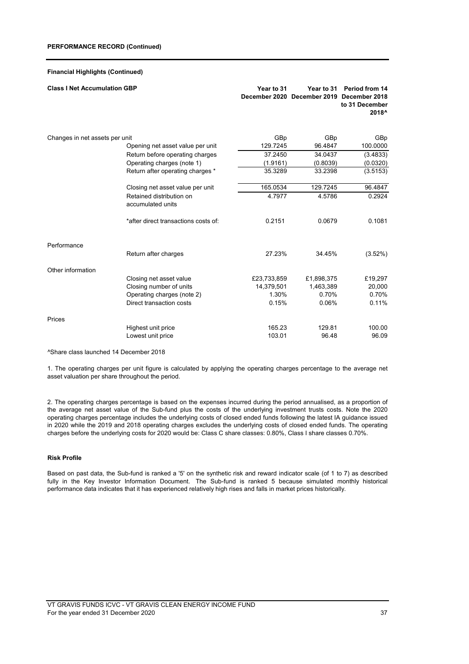| <b>Financial Highlights (Continued)</b> |                                               |             |            |                                                                                        |  |
|-----------------------------------------|-----------------------------------------------|-------------|------------|----------------------------------------------------------------------------------------|--|
| <b>Class I Net Accumulation GBP</b>     |                                               | Year to 31  | Year to 31 | Period from 14<br>December 2020 December 2019 December 2018<br>to 31 December<br>2018^ |  |
| Changes in net assets per unit          |                                               | GBp         | GBp        | GBp                                                                                    |  |
|                                         | Opening net asset value per unit              | 129.7245    | 96.4847    | 100.0000                                                                               |  |
|                                         | Return before operating charges               | 37.2450     | 34.0437    | (3.4833)                                                                               |  |
|                                         | Operating charges (note 1)                    | (1.9161)    | (0.8039)   | (0.0320)                                                                               |  |
|                                         | Return after operating charges *              | 35.3289     | 33.2398    | (3.5153)                                                                               |  |
|                                         | Closing net asset value per unit              | 165.0534    | 129.7245   | 96.4847                                                                                |  |
|                                         | Retained distribution on<br>accumulated units | 4.7977      | 4.5786     | 0.2924                                                                                 |  |
|                                         | *after direct transactions costs of:          | 0.2151      | 0.0679     | 0.1081                                                                                 |  |
| Performance                             | Return after charges                          | 27.23%      | 34.45%     | (3.52%)                                                                                |  |
| Other information                       |                                               |             |            |                                                                                        |  |
|                                         | Closing net asset value                       | £23,733,859 | £1,898,375 | £19,297                                                                                |  |
|                                         | Closing number of units                       | 14,379,501  | 1,463,389  | 20,000                                                                                 |  |
|                                         | Operating charges (note 2)                    | 1.30%       | 0.70%      | 0.70%                                                                                  |  |
|                                         | Direct transaction costs                      | 0.15%       | 0.06%      | 0.11%                                                                                  |  |
| Prices                                  |                                               |             |            |                                                                                        |  |
|                                         | Highest unit price                            | 165.23      | 129.81     | 100.00                                                                                 |  |
|                                         | Lowest unit price                             | 103.01      | 96.48      | 96.09                                                                                  |  |

^Share class launched 14 December 2018

1. The operating charges per unit figure is calculated by applying the operating charges percentage to the average net asset valuation per share throughout the period.

2. The operating charges percentage is based on the expenses incurred during the period annualised, as a proportion of the average net asset value of the Sub-fund plus the costs of the underlying investment trusts costs. Note the 2020 operating charges percentage includes the underlying costs of closed ended funds following the latest IA guidance issued in 2020 while the 2019 and 2018 operating charges excludes the underlying costs of closed ended funds. The operating charges before the underlying costs for 2020 would be: Class C share classes: 0.80%, Class I share classes 0.70%.

### **Risk Profile**

Based on past data, the Sub-fund is ranked a '5' on the synthetic risk and reward indicator scale (of 1 to 7) as described fully in the Key Investor Information Document. The Sub-fund is ranked 5 because simulated monthly historical performance data indicates that it has experienced relatively high rises and falls in market prices historically.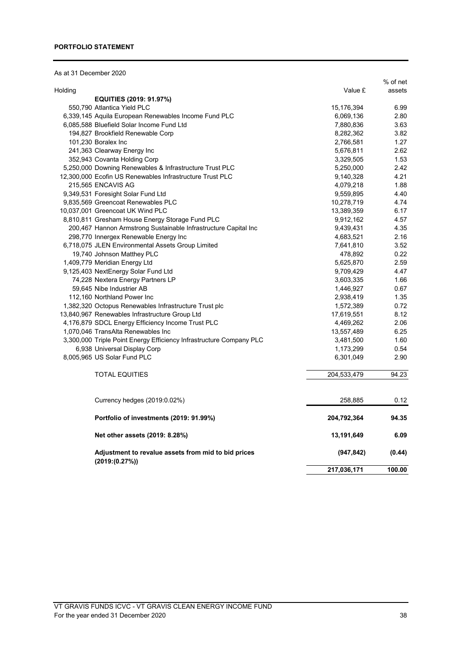As at 31 December 2020

|         |                                                                     |             | % of net |
|---------|---------------------------------------------------------------------|-------------|----------|
| Holding |                                                                     | Value £     | assets   |
|         | <b>EQUITIES (2019: 91.97%)</b>                                      |             |          |
|         | 550,790 Atlantica Yield PLC                                         | 15,176,394  | 6.99     |
|         | 6,339,145 Aquila European Renewables Income Fund PLC                | 6,069,136   | 2.80     |
|         | 6,085,588 Bluefield Solar Income Fund Ltd                           | 7,880,836   | 3.63     |
|         | 194,827 Brookfield Renewable Corp                                   | 8,282,362   | 3.82     |
|         | 101,230 Boralex Inc                                                 | 2,766,581   | 1.27     |
|         | 241,363 Clearway Energy Inc                                         | 5,676,811   | 2.62     |
|         | 352,943 Covanta Holding Corp                                        | 3,329,505   | 1.53     |
|         | 5,250,000 Downing Renewables & Infrastructure Trust PLC             | 5,250,000   | 2.42     |
|         | 12,300,000 Ecofin US Renewables Infrastructure Trust PLC            | 9,140,328   | 4.21     |
|         | 215,565 ENCAVIS AG                                                  | 4,079,218   | 1.88     |
|         | 9,349,531 Foresight Solar Fund Ltd                                  | 9,559,895   | 4.40     |
|         | 9,835,569 Greencoat Renewables PLC                                  | 10,278,719  | 4.74     |
|         | 10,037,001 Greencoat UK Wind PLC                                    | 13,389,359  | 6.17     |
|         | 8,810,811 Gresham House Energy Storage Fund PLC                     | 9,912,162   | 4.57     |
|         | 200,467 Hannon Armstrong Sustainable Infrastructure Capital Inc     | 9,439,431   | 4.35     |
|         | 298,770 Innergex Renewable Energy Inc                               | 4,683,521   | 2.16     |
|         | 6,718,075 JLEN Environmental Assets Group Limited                   | 7,641,810   | 3.52     |
|         | 19,740 Johnson Matthey PLC                                          | 478,892     | 0.22     |
|         | 1,409,779 Meridian Energy Ltd                                       | 5,625,870   | 2.59     |
|         | 9,125,403 NextEnergy Solar Fund Ltd                                 | 9,709,429   | 4.47     |
|         | 74,228 Nextera Energy Partners LP                                   | 3,603,335   | 1.66     |
|         | 59.645 Nibe Industrier AB                                           | 1,446,927   | 0.67     |
|         | 112,160 Northland Power Inc                                         | 2,938,419   | 1.35     |
|         | 1,382,320 Octopus Renewables Infrastructure Trust plc               | 1,572,389   | 0.72     |
|         | 13,840,967 Renewables Infrastructure Group Ltd                      | 17,619,551  | 8.12     |
|         | 4,176,879 SDCL Energy Efficiency Income Trust PLC                   | 4,469,262   | 2.06     |
|         | 1,070,046 TransAlta Renewables Inc                                  | 13,557,489  | 6.25     |
|         | 3,300,000 Triple Point Energy Efficiency Infrastructure Company PLC | 3,481,500   | 1.60     |
|         | 6,938 Universal Display Corp                                        | 1,173,299   | 0.54     |
|         | 8,005,965 US Solar Fund PLC                                         | 6,301,049   | 2.90     |
|         |                                                                     |             |          |
|         | <b>TOTAL EQUITIES</b>                                               | 204,533,479 | 94.23    |
|         |                                                                     |             |          |
|         | Currency hedges (2019:0.02%)                                        | 258,885     | 0.12     |
|         | Portfolio of investments (2019: 91.99%)                             | 204,792,364 | 94.35    |
|         | Net other assets (2019: 8.28%)                                      | 13,191,649  | 6.09     |
|         | Adjustment to revalue assets from mid to bid prices                 | (947, 842)  | (0.44)   |
|         | (2019:(0.27%)                                                       | 217,036,171 | 100.00   |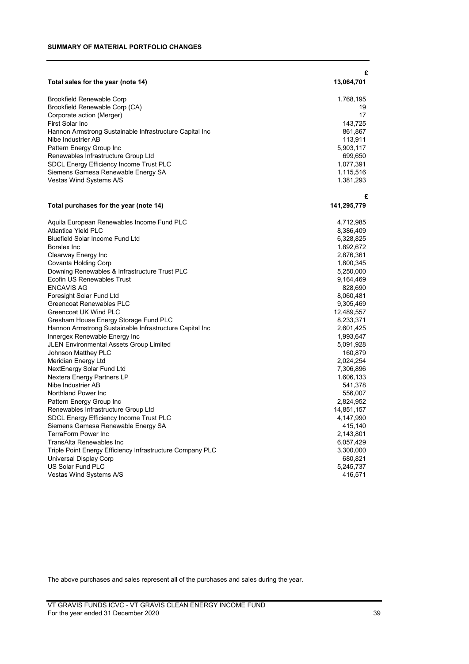|                                                           | £                      |
|-----------------------------------------------------------|------------------------|
| Total sales for the year (note 14)                        | 13,064,701             |
| <b>Brookfield Renewable Corp</b>                          | 1,768,195              |
| Brookfield Renewable Corp (CA)                            | 19                     |
| Corporate action (Merger)                                 | 17                     |
| First Solar Inc                                           | 143,725                |
| Hannon Armstrong Sustainable Infrastructure Capital Inc   | 861,867                |
| Nibe Industrier AB                                        | 113,911                |
| Pattern Energy Group Inc                                  | 5,903,117              |
| Renewables Infrastructure Group Ltd                       | 699,650                |
| SDCL Energy Efficiency Income Trust PLC                   | 1,077,391              |
| Siemens Gamesa Renewable Energy SA                        | 1,115,516              |
| Vestas Wind Systems A/S                                   | 1,381,293              |
|                                                           | £<br>141,295,779       |
| Total purchases for the year (note 14)                    |                        |
| Aquila European Renewables Income Fund PLC                | 4,712,985              |
| Atlantica Yield PLC                                       | 8,386,409              |
| <b>Bluefield Solar Income Fund Ltd</b>                    | 6,328,825              |
| Boralex Inc                                               | 1,892,672              |
| Clearway Energy Inc                                       | 2,876,361              |
| Covanta Holding Corp                                      | 1,800,345              |
| Downing Renewables & Infrastructure Trust PLC             | 5,250,000              |
| Ecofin US Renewables Trust                                | 9,164,469              |
| <b>ENCAVIS AG</b><br>Foresight Solar Fund Ltd             | 828,690                |
| Greencoat Renewables PLC                                  | 8,060,481<br>9,305,469 |
| <b>Greencoat UK Wind PLC</b>                              | 12,489,557             |
| Gresham House Energy Storage Fund PLC                     | 8,233,371              |
| Hannon Armstrong Sustainable Infrastructure Capital Inc   | 2,601,425              |
| Innergex Renewable Energy Inc                             | 1,993,647              |
| <b>JLEN Environmental Assets Group Limited</b>            | 5,091,928              |
| Johnson Matthey PLC                                       | 160,879                |
| Meridian Energy Ltd                                       | 2,024,254              |
| NextEnergy Solar Fund Ltd                                 | 7,306,896              |
| Nextera Energy Partners LP                                | 1,606,133              |
| Nibe Industrier AB                                        | 541,378                |
| Northland Power Inc                                       | 556,007                |
| Pattern Energy Group Inc                                  | 2,824,952              |
| Renewables Infrastructure Group Ltd                       | 14,851,157             |
| SDCL Energy Efficiency Income Trust PLC                   | 4,147,990              |
| Siemens Gamesa Renewable Energy SA                        | 415,140                |
| TerraForm Power Inc                                       | 2,143,801              |
| TransAlta Renewables Inc                                  | 6,057,429              |
| Triple Point Energy Efficiency Infrastructure Company PLC | 3,300,000              |
| Universal Display Corp                                    | 680,821                |
| US Solar Fund PLC                                         | 5,245,737              |
| Vestas Wind Systems A/S                                   | 416,571                |

The above purchases and sales represent all of the purchases and sales during the year.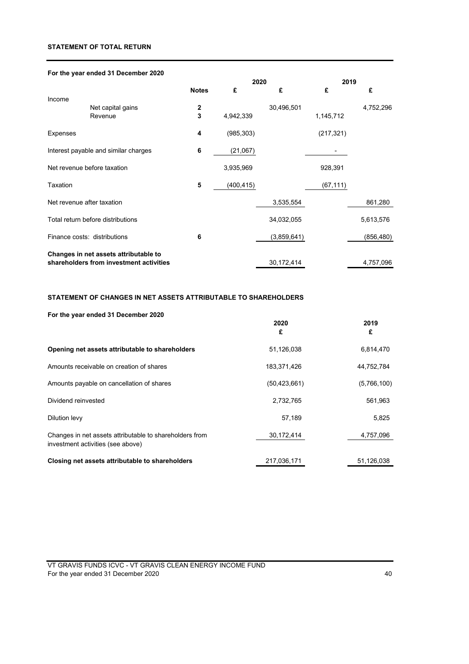### **STATEMENT OF TOTAL RETURN**

|                            | For the year ended 31 December 2020     |                |            |             |            |            |
|----------------------------|-----------------------------------------|----------------|------------|-------------|------------|------------|
|                            |                                         |                |            | 2020        | 2019       |            |
|                            |                                         | <b>Notes</b>   | £          | £           | £          | £          |
| Income                     |                                         |                |            |             |            |            |
|                            | Net capital gains                       | $\overline{2}$ |            | 30,496,501  |            | 4,752,296  |
|                            | Revenue                                 | 3              | 4,942,339  |             | 1,145,712  |            |
| Expenses                   |                                         | 4              | (985, 303) |             | (217, 321) |            |
|                            | Interest payable and similar charges    | 6              | (21,067)   |             |            |            |
|                            | Net revenue before taxation             |                | 3,935,969  |             | 928,391    |            |
| Taxation                   |                                         | 5              | (400, 415) |             | (67, 111)  |            |
| Net revenue after taxation |                                         |                |            | 3,535,554   |            | 861,280    |
|                            | Total return before distributions       |                |            | 34,032,055  |            | 5,613,576  |
|                            | Finance costs: distributions            | 6              |            | (3,859,641) |            | (856, 480) |
|                            | Changes in net assets attributable to   |                |            |             |            |            |
|                            | shareholders from investment activities |                |            | 30,172,414  |            | 4,757,096  |

### **STATEMENT OF CHANGES IN NET ASSETS ATTRIBUTABLE TO SHAREHOLDERS**

| For the year ended 31 December 2020                                                          |                |             |
|----------------------------------------------------------------------------------------------|----------------|-------------|
|                                                                                              | 2020           | 2019        |
|                                                                                              | £              | £           |
| Opening net assets attributable to shareholders                                              | 51,126,038     | 6,814,470   |
| Amounts receivable on creation of shares                                                     | 183.371.426    | 44,752,784  |
| Amounts payable on cancellation of shares                                                    | (50, 423, 661) | (5,766,100) |
| Dividend reinvested                                                                          | 2,732,765      | 561,963     |
| <b>Dilution levy</b>                                                                         | 57.189         | 5,825       |
| Changes in net assets attributable to shareholders from<br>investment activities (see above) | 30,172,414     | 4,757,096   |
| Closing net assets attributable to shareholders                                              | 217,036,171    | 51,126,038  |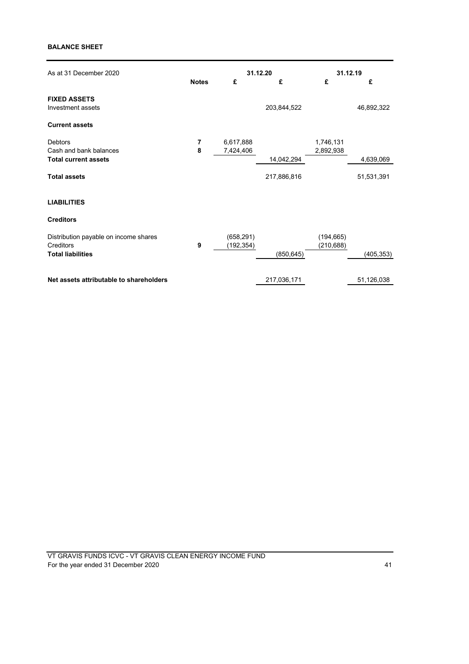### **BALANCE SHEET**

| As at 31 December 2020                  | <b>Notes</b> | 31.12.20   |             | 31.12.19   |            |
|-----------------------------------------|--------------|------------|-------------|------------|------------|
|                                         |              | £          | £           | £          | £          |
| <b>FIXED ASSETS</b>                     |              |            |             |            |            |
| Investment assets                       |              |            | 203,844,522 |            | 46,892,322 |
| <b>Current assets</b>                   |              |            |             |            |            |
| Debtors                                 | 7            | 6,617,888  |             | 1,746,131  |            |
| Cash and bank balances                  | 8            | 7,424,406  |             | 2,892,938  |            |
| <b>Total current assets</b>             |              |            | 14,042,294  |            | 4,639,069  |
| <b>Total assets</b>                     |              |            | 217,886,816 |            | 51,531,391 |
| <b>LIABILITIES</b>                      |              |            |             |            |            |
| <b>Creditors</b>                        |              |            |             |            |            |
| Distribution payable on income shares   |              | (658, 291) |             | (194, 665) |            |
| Creditors                               | 9            | (192, 354) |             | (210, 688) |            |
| <b>Total liabilities</b>                |              |            | (850, 645)  |            | (405, 353) |
|                                         |              |            |             |            |            |
| Net assets attributable to shareholders |              |            | 217,036,171 |            | 51,126,038 |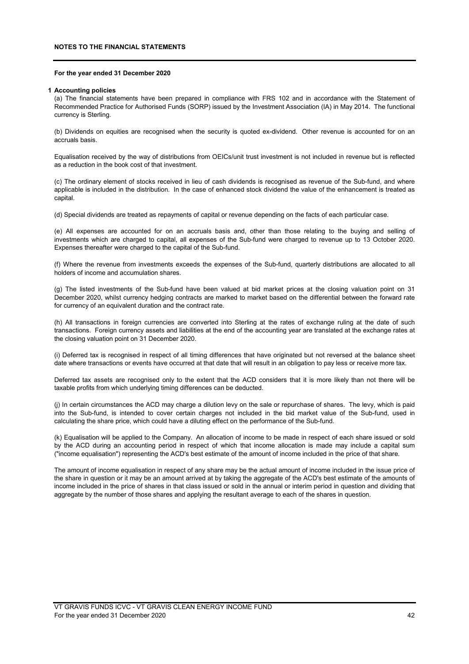#### **For the year ended 31 December 2020**

#### **1 Accounting policies**

(a) The financial statements have been prepared in compliance with FRS 102 and in accordance with the Statement of Recommended Practice for Authorised Funds (SORP) issued by the Investment Association (IA) in May 2014. The functional currency is Sterling.

(b) Dividends on equities are recognised when the security is quoted ex-dividend. Other revenue is accounted for on an accruals basis.

Equalisation received by the way of distributions from OEICs/unit trust investment is not included in revenue but is reflected as a reduction in the book cost of that investment.

(c) The ordinary element of stocks received in lieu of cash dividends is recognised as revenue of the Sub-fund, and where applicable is included in the distribution. In the case of enhanced stock dividend the value of the enhancement is treated as capital.

(d) Special dividends are treated as repayments of capital or revenue depending on the facts of each particular case.

(e) All expenses are accounted for on an accruals basis and, other than those relating to the buying and selling of investments which are charged to capital, all expenses of the Sub-fund were charged to revenue up to 13 October 2020. Expenses thereafter were charged to the capital of the Sub-fund.

(f) Where the revenue from investments exceeds the expenses of the Sub-fund, quarterly distributions are allocated to all holders of income and accumulation shares.

(g) The listed investments of the Sub-fund have been valued at bid market prices at the closing valuation point on 31 December 2020, whilst currency hedging contracts are marked to market based on the differential between the forward rate for currency of an equivalent duration and the contract rate.

(h) All transactions in foreign currencies are converted into Sterling at the rates of exchange ruling at the date of such transactions. Foreign currency assets and liabilities at the end of the accounting year are translated at the exchange rates at the closing valuation point on 31 December 2020.

(i) Deferred tax is recognised in respect of all timing differences that have originated but not reversed at the balance sheet date where transactions or events have occurred at that date that will result in an obligation to pay less or receive more tax.

Deferred tax assets are recognised only to the extent that the ACD considers that it is more likely than not there will be taxable profits from which underlying timing differences can be deducted.

(j) In certain circumstances the ACD may charge a dilution levy on the sale or repurchase of shares. The levy, which is paid into the Sub-fund, is intended to cover certain charges not included in the bid market value of the Sub-fund, used in calculating the share price, which could have a diluting effect on the performance of the Sub-fund.

(k) Equalisation will be applied to the Company. An allocation of income to be made in respect of each share issued or sold by the ACD during an accounting period in respect of which that income allocation is made may include a capital sum ("income equalisation") representing the ACD's best estimate of the amount of income included in the price of that share.

The amount of income equalisation in respect of any share may be the actual amount of income included in the issue price of the share in question or it may be an amount arrived at by taking the aggregate of the ACD's best estimate of the amounts of income included in the price of shares in that class issued or sold in the annual or interim period in question and dividing that aggregate by the number of those shares and applying the resultant average to each of the shares in question.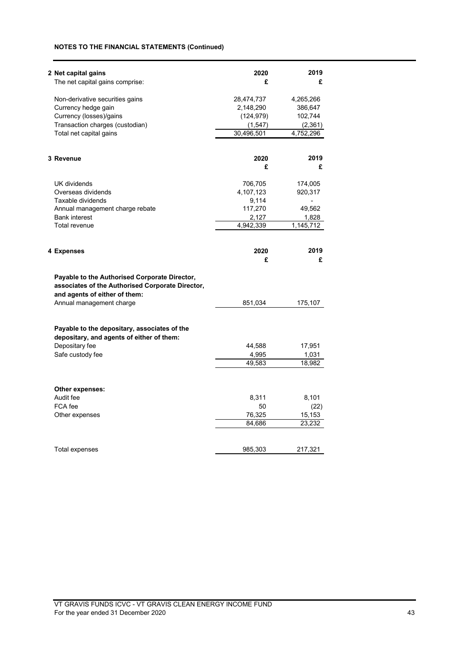| 2 Net capital gains<br>The net capital gains comprise:                                                                             | 2020<br>£    | 2019<br>£        |
|------------------------------------------------------------------------------------------------------------------------------------|--------------|------------------|
| Non-derivative securities gains                                                                                                    | 28,474,737   | 4,265,266        |
| Currency hedge gain                                                                                                                | 2,148,290    | 386,647          |
| Currency (losses)/gains                                                                                                            | (124, 979)   | 102,744          |
| Transaction charges (custodian)                                                                                                    | (1, 547)     | (2,361)          |
| Total net capital gains                                                                                                            | 30,496,501   | 4,752,296        |
|                                                                                                                                    |              |                  |
| 3 Revenue                                                                                                                          | 2020         | 2019             |
|                                                                                                                                    | £            | £                |
| <b>UK dividends</b>                                                                                                                | 706,705      | 174,005          |
| Overseas dividends                                                                                                                 | 4,107,123    | 920,317          |
| Taxable dividends                                                                                                                  | 9,114        | $\blacksquare$   |
| Annual management charge rebate                                                                                                    | 117,270      | 49,562           |
| <b>Bank interest</b>                                                                                                               | 2,127        | 1,828            |
| Total revenue                                                                                                                      | 4,942,339    | 1,145,712        |
| 4 Expenses                                                                                                                         | 2020<br>£    | 2019<br>£        |
| Payable to the Authorised Corporate Director,<br>associates of the Authorised Corporate Director,<br>and agents of either of them: |              |                  |
| Annual management charge                                                                                                           | 851,034      | 175,107          |
| Payable to the depositary, associates of the<br>depositary, and agents of either of them:                                          |              |                  |
| Depositary fee                                                                                                                     | 44,588       | 17,951           |
| Safe custody fee                                                                                                                   | 4,995        | 1,031            |
|                                                                                                                                    | 49,583       | 18,982           |
|                                                                                                                                    |              |                  |
| Other expenses:                                                                                                                    |              |                  |
| Audit fee<br>FCA fee                                                                                                               | 8,311        | 8,101            |
|                                                                                                                                    | 50<br>76,325 | (22)             |
| Other expenses                                                                                                                     | 84,686       | 15,153<br>23,232 |
|                                                                                                                                    |              |                  |
| Total expenses                                                                                                                     | 985,303      | 217,321          |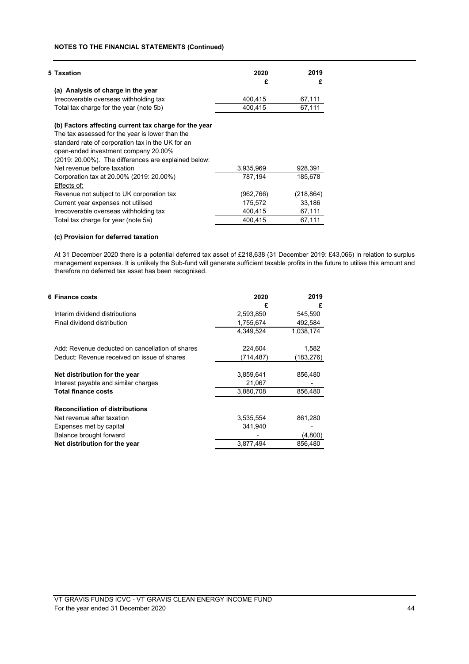| 5 Taxation                                            | 2020      | 2019       |
|-------------------------------------------------------|-----------|------------|
|                                                       | £         | £          |
| (a) Analysis of charge in the year                    |           |            |
| Irrecoverable overseas withholding tax                | 400,415   | 67,111     |
| Total tax charge for the year (note 5b)               | 400.415   | 67,111     |
| (b) Factors affecting current tax charge for the year |           |            |
| The tax assessed for the year is lower than the       |           |            |
| standard rate of corporation tax in the UK for an     |           |            |
| open-ended investment company 20.00%                  |           |            |
| (2019: 20.00%). The differences are explained below:  |           |            |
| Net revenue before taxation                           | 3,935,969 | 928,391    |
| Corporation tax at 20.00% (2019: 20.00%)              | 787,194   | 185,678    |
| Effects of:                                           |           |            |
| Revenue not subject to UK corporation tax             | (962,766) | (218, 864) |
| Current year expenses not utilised                    | 175,572   | 33,186     |
| Irrecoverable overseas withholding tax                | 400,415   | 67,111     |
| Total tax charge for year (note 5a)                   | 400,415   | 67,111     |

**(c) Provision for deferred taxation**

At 31 December 2020 there is a potential deferred tax asset of £218,638 (31 December 2019: £43,066) in relation to surplus management expenses. It is unlikely the Sub-fund will generate sufficient taxable profits in the future to utilise this amount and therefore no deferred tax asset has been recognised.

| 6 Finance costs                                 | 2020      | 2019       |
|-------------------------------------------------|-----------|------------|
|                                                 | £         | £          |
| Interim dividend distributions                  | 2,593,850 | 545,590    |
| Final dividend distribution                     | 1,755,674 | 492,584    |
|                                                 | 4.349.524 | 1,038,174  |
| Add: Revenue deducted on cancellation of shares | 224,604   | 1,582      |
| Deduct: Revenue received on issue of shares     | (714,487) | (183, 276) |
| Net distribution for the year                   | 3,859,641 | 856,480    |
| Interest payable and similar charges            | 21,067    |            |
| <b>Total finance costs</b>                      | 3,880,708 | 856,480    |
| <b>Reconciliation of distributions</b>          |           |            |
| Net revenue after taxation                      | 3,535,554 | 861,280    |
| Expenses met by capital                         | 341,940   |            |
| Balance brought forward                         |           | (4,800)    |
| Net distribution for the year                   | 3,877,494 | 856,480    |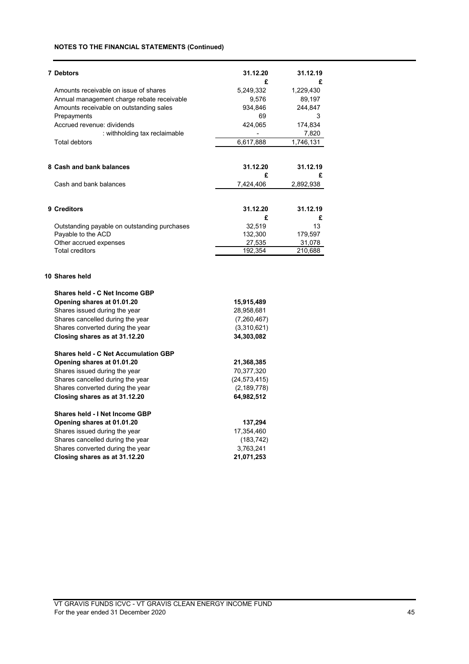| <b>7 Debtors</b>                             | 31.12.20<br>£  | 31.12.19  |
|----------------------------------------------|----------------|-----------|
| Amounts receivable on issue of shares        | 5,249,332      | 1,229,430 |
| Annual management charge rebate receivable   | 9,576          | 89,197    |
| Amounts receivable on outstanding sales      | 934,846        | 244,847   |
| Prepayments                                  | 69             | 3         |
| Accrued revenue: dividends                   | 424,065        | 174,834   |
| : withholding tax reclaimable                | L,             | 7,820     |
| <b>Total debtors</b>                         | 6,617,888      | 1,746,131 |
|                                              |                |           |
| 8 Cash and bank balances                     | 31.12.20       | 31.12.19  |
|                                              | £              | £         |
| Cash and bank balances                       | 7,424,406      | 2,892,938 |
| 9 Creditors                                  | 31.12.20       | 31.12.19  |
|                                              | £              |           |
| Outstanding payable on outstanding purchases | 32,519         | 13        |
| Payable to the ACD                           | 132,300        | 179,597   |
| Other accrued expenses                       | 27,535         | 31,078    |
| <b>Total creditors</b>                       | 192,354        | 210,688   |
| 10 Shares held                               |                |           |
| Shares held - C Net Income GBP               |                |           |
| Opening shares at 01.01.20                   | 15,915,489     |           |
| Shares issued during the year                | 28,958,681     |           |
| Shares cancelled during the year             | (7,260,467)    |           |
| Shares converted during the year             | (3,310,621)    |           |
| Closing shares as at 31.12.20                | 34,303,082     |           |
| <b>Shares held - C Net Accumulation GBP</b>  |                |           |
| Opening shares at 01.01.20                   | 21,368,385     |           |
| Shares issued during the year                | 70,377,320     |           |
| Shares cancelled during the year             | (24, 573, 415) |           |
| Shares converted during the year             | (2, 189, 778)  |           |
| Closing shares as at 31.12.20                | 64,982,512     |           |
| Shares held - I Net Income GBP               |                |           |
| Opening shares at 01.01.20                   | 137,294        |           |
| Shares issued during the year                | 17,354,460     |           |
| Shares cancelled during the year             | (183, 742)     |           |
| Shares converted during the year             | 3,763,241      |           |
| Closing shares as at 31.12.20                | 21,071,253     |           |
|                                              |                |           |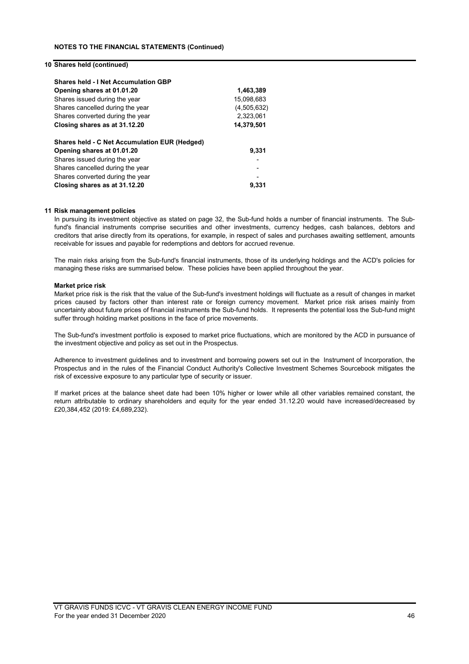### **10 Shares held (continued)**

| Shares held - I Net Accumulation GBP          |             |
|-----------------------------------------------|-------------|
| Opening shares at 01.01.20                    | 1,463,389   |
| Shares issued during the year                 | 15,098,683  |
| Shares cancelled during the year              | (4,505,632) |
| Shares converted during the year              | 2.323.061   |
| Closing shares as at 31.12.20                 | 14,379,501  |
| Shares held - C Net Accumulation EUR (Hedged) |             |
| Opening shares at 01.01.20                    | 9.331       |
| Shares issued during the year                 |             |
| Shares cancelled during the year              |             |
| Shares converted during the year              |             |
| Closing shares as at 31.12.20                 | 9.331       |

### **11 Risk management policies**

In pursuing its investment objective as stated on page 32, the Sub-fund holds a number of financial instruments. The Subfund's financial instruments comprise securities and other investments, currency hedges, cash balances, debtors and creditors that arise directly from its operations, for example, in respect of sales and purchases awaiting settlement, amounts receivable for issues and payable for redemptions and debtors for accrued revenue.

The main risks arising from the Sub-fund's financial instruments, those of its underlying holdings and the ACD's policies for managing these risks are summarised below. These policies have been applied throughout the year.

#### **Market price risk**

Market price risk is the risk that the value of the Sub-fund's investment holdings will fluctuate as a result of changes in market prices caused by factors other than interest rate or foreign currency movement. Market price risk arises mainly from uncertainty about future prices of financial instruments the Sub-fund holds. It represents the potential loss the Sub-fund might suffer through holding market positions in the face of price movements.

The Sub-fund's investment portfolio is exposed to market price fluctuations, which are monitored by the ACD in pursuance of the investment objective and policy as set out in the Prospectus.

Adherence to investment guidelines and to investment and borrowing powers set out in the Instrument of Incorporation, the Prospectus and in the rules of the Financial Conduct Authority's Collective Investment Schemes Sourcebook mitigates the risk of excessive exposure to any particular type of security or issuer.

If market prices at the balance sheet date had been 10% higher or lower while all other variables remained constant, the return attributable to ordinary shareholders and equity for the year ended 31.12.20 would have increased/decreased by £20,384,452 (2019: £4,689,232).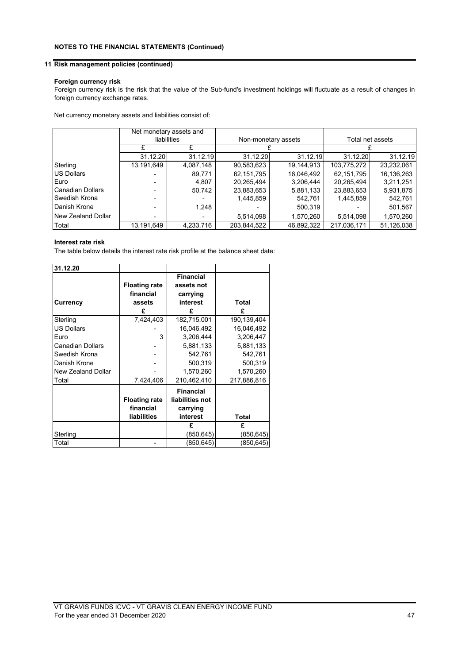### **11 Risk management policies (continued)**

### **Foreign currency risk**

Foreign currency risk is the risk that the value of the Sub-fund's investment holdings will fluctuate as a result of changes in foreign currency exchange rates.

Net currency monetary assets and liabilities consist of:

|                    | Net monetary assets and |           |                     |            |                  |            |
|--------------------|-------------------------|-----------|---------------------|------------|------------------|------------|
|                    | liabilities             |           | Non-monetary assets |            | Total net assets |            |
|                    |                         |           |                     |            |                  |            |
|                    | 31.12.20                | 31.12.19  | 31.12.20            | 31.12.19   | 31.12.20         | 31.12.19   |
| Sterling           | 13,191,649              | 4,087,148 | 90,583,623          | 19.144.913 | 103,775,272      | 23,232,061 |
| <b>US Dollars</b>  |                         | 89.771    | 62,151,795          | 16,046,492 | 62,151,795       | 16,136,263 |
| Euro               |                         | 4,807     | 20,265,494          | 3,206,444  | 20,265,494       | 3,211,251  |
| Canadian Dollars   |                         | 50,742    | 23,883,653          | 5,881,133  | 23,883,653       | 5,931,875  |
| Swedish Krona      |                         |           | 1,445,859           | 542,761    | 1,445,859        | 542,761    |
| Danish Krone       |                         | 1,248     |                     | 500,319    |                  | 501,567    |
| New Zealand Dollar |                         |           | 5,514,098           | 1,570,260  | 5,514,098        | 1,570,260  |
| Total              | 13,191,649              | 4,233,716 | 203,844,522         | 46,892,322 | 217,036,171      | 51,126,038 |

### **Interest rate risk**

The table below details the interest rate risk profile at the balance sheet date:

| 31.12.20                  |                      |                  |              |
|---------------------------|----------------------|------------------|--------------|
|                           |                      | <b>Financial</b> |              |
|                           | <b>Floating rate</b> | assets not       |              |
|                           | financial            | carrying         |              |
| Currency                  | assets               | interest         | Total        |
|                           | £                    | £                | £            |
| Sterling                  | 7,424,403            | 182,715,001      | 190,139,404  |
| <b>US Dollars</b>         |                      | 16,046,492       | 16,046,492   |
| Euro                      | 3                    | 3,206,444        | 3,206,447    |
| Canadian Dollars          |                      | 5,881,133        | 5,881,133    |
| Swedish Krona             |                      | 542,761          | 542,761      |
| Danish Krone              |                      | 500,319          | 500,319      |
| <b>New Zealand Dollar</b> |                      | 1,570,260        | 1,570,260    |
| Total                     | 7,424,406            | 210,462,410      | 217,886,816  |
|                           |                      | <b>Financial</b> |              |
|                           | <b>Floating rate</b> | liabilities not  |              |
|                           | financial            | carrying         |              |
|                           | liabilities          | interest         | <b>Total</b> |
|                           |                      | £                | £            |
| Sterling                  |                      | (850,645)        | (850, 645)   |
| Total                     |                      | (850, 645)       | (850, 645)   |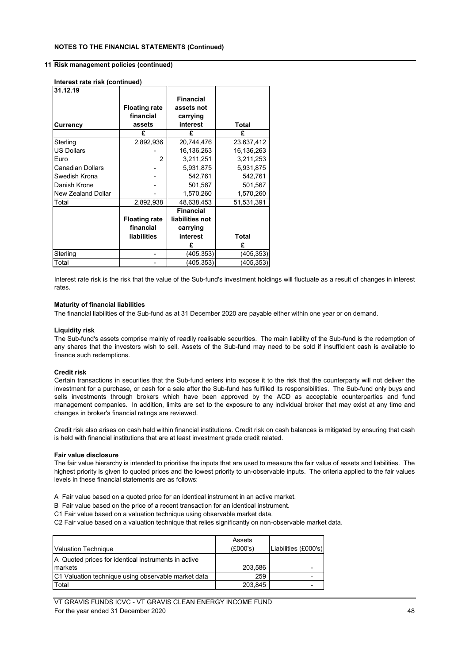### **11 Risk management policies (continued)**

### **Interest rate risk (continued)**

| 31.12.19                  |                      |                  |              |
|---------------------------|----------------------|------------------|--------------|
|                           |                      | <b>Financial</b> |              |
|                           | <b>Floating rate</b> | assets not       |              |
|                           | financial            | carrying         |              |
| Currency                  | assets               | interest         | Total        |
|                           | £                    | £                | £            |
| Sterling                  | 2,892,936            | 20,744,476       | 23,637,412   |
| <b>US Dollars</b>         |                      | 16,136,263       | 16,136,263   |
| Euro                      | $\overline{2}$       | 3,211,251        | 3,211,253    |
| <b>Canadian Dollars</b>   |                      | 5,931,875        | 5,931,875    |
| Swedish Krona             |                      | 542,761          | 542,761      |
| Danish Krone              |                      | 501,567          | 501,567      |
| <b>New Zealand Dollar</b> |                      | 1,570,260        | 1,570,260    |
| Total                     | 2,892,938            | 48,638,453       | 51,531,391   |
|                           |                      | <b>Financial</b> |              |
|                           | <b>Floating rate</b> | liabilities not  |              |
|                           | financial            | carrying         |              |
|                           | liabilities          | interest         | <b>Total</b> |
|                           |                      | £                | £            |
| Sterling                  |                      | (405, 353)       | (405,353)    |
| Total                     |                      | (405,353)        | (405,353)    |

Interest rate risk is the risk that the value of the Sub-fund's investment holdings will fluctuate as a result of changes in interest rates.

### **Maturity of financial liabilities**

The financial liabilities of the Sub-fund as at 31 December 2020 are payable either within one year or on demand.

#### **Liquidity risk**

The Sub-fund's assets comprise mainly of readily realisable securities. The main liability of the Sub-fund is the redemption of any shares that the investors wish to sell. Assets of the Sub-fund may need to be sold if insufficient cash is available to finance such redemptions.

### **Credit risk**

Certain transactions in securities that the Sub-fund enters into expose it to the risk that the counterparty will not deliver the investment for a purchase, or cash for a sale after the Sub-fund has fulfilled its responsibilities. The Sub-fund only buys and sells investments through brokers which have been approved by the ACD as acceptable counterparties and fund management companies. In addition, limits are set to the exposure to any individual broker that may exist at any time and changes in broker's financial ratings are reviewed.

Credit risk also arises on cash held within financial institutions. Credit risk on cash balances is mitigated by ensuring that cash is held with financial institutions that are at least investment grade credit related.

#### **Fair value disclosure**

The fair value hierarchy is intended to prioritise the inputs that are used to measure the fair value of assets and liabilities. The highest priority is given to quoted prices and the lowest priority to un-observable inputs. The criteria applied to the fair values levels in these financial statements are as follows:

- A Fair value based on a quoted price for an identical instrument in an active market.
- B Fair value based on the price of a recent transaction for an identical instrument.
- C1 Fair value based on a valuation technique using observable market data.

C2 Fair value based on a valuation technique that relies significantly on non-observable market data.

| Valuation Technique                                             | Assets<br>(E000's) | Liabilities (£000's) |
|-----------------------------------------------------------------|--------------------|----------------------|
| A Quoted prices for identical instruments in active<br>Imarkets | 203,586            |                      |
| C1 Valuation technique using observable market data             | 259                |                      |
| Total                                                           | 203.845            |                      |

VT GRAVIS FUNDS ICVC - VT GRAVIS CLEAN ENERGY INCOME FUND For the year ended 31 December 2020 48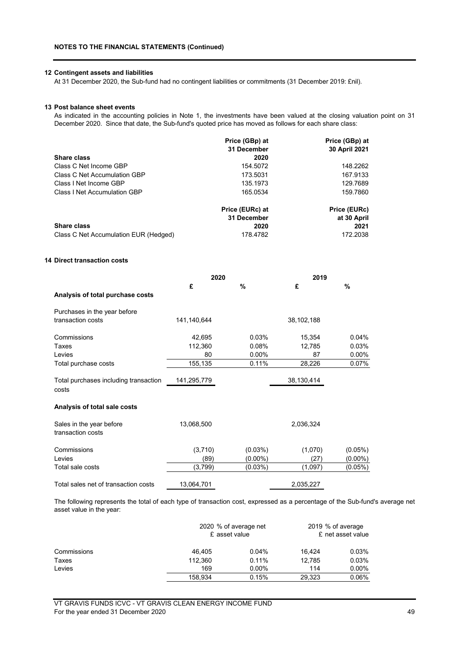### **12 Contingent assets and liabilities**

At 31 December 2020, the Sub-fund had no contingent liabilities or commitments (31 December 2019: £nil).

#### **13 Post balance sheet events**

As indicated in the accounting policies in Note 1, the investments have been valued at the closing valuation point on 31 December 2020. Since that date, the Sub-fund's quoted price has moved as follows for each share class:

|                                       | Price (GBp) at  | Price (GBp) at       |
|---------------------------------------|-----------------|----------------------|
|                                       | 31 December     | <b>30 April 2021</b> |
| <b>Share class</b>                    | 2020            |                      |
| Class C Net Income GBP                | 154.5072        | 148.2262             |
| Class C Net Accumulation GBP          | 173.5031        | 167.9133             |
| Class I Net Income GBP                | 135.1973        | 129.7689             |
| Class I Net Accumulation GBP          | 165.0534        | 159.7860             |
|                                       | Price (EURc) at | Price (EURc)         |
|                                       | 31 December     | at 30 April          |
| <b>Share class</b>                    | 2020            | 2021                 |
| Class C Net Accumulation EUR (Hedged) | 178.4782        | 172.2038             |

#### **14 Direct transaction costs**

|                                                | 2020             |            | 2019       |            |  |
|------------------------------------------------|------------------|------------|------------|------------|--|
| Analysis of total purchase costs               | £                | %          | £          | $\%$       |  |
| Purchases in the year before                   |                  |            |            |            |  |
| transaction costs                              | 141,140,644      |            | 38,102,188 |            |  |
| Commissions                                    | 42.695           | 0.03%      | 15,354     | 0.04%      |  |
| Taxes                                          | 112,360          | 0.08%      | 12,785     | 0.03%      |  |
| Levies                                         | 80               | $0.00\%$   | 87         | $0.00\%$   |  |
| Total purchase costs                           | 155,135<br>0.11% |            | 28,226     | 0.07%      |  |
| Total purchases including transaction<br>costs | 141,295,779      | 38,130,414 |            |            |  |
| Analysis of total sale costs                   |                  |            |            |            |  |
| Sales in the year before<br>transaction costs  | 13,068,500       |            | 2,036,324  |            |  |
| Commissions                                    | (3,710)          | $(0.03\%)$ | (1,070)    | $(0.05\%)$ |  |
| Levies                                         | (89)             | $(0.00\%)$ | (27)       | $(0.00\%)$ |  |
| Total sale costs                               | (3,799)          | $(0.03\%)$ | (1,097)    | (0.05%)    |  |
| Total sales net of transaction costs           | 13,064,701       |            | 2,035,227  |            |  |

The following represents the total of each type of transaction cost, expressed as a percentage of the Sub-fund's average net asset value in the year:

|             |         | 2020 % of average net<br>£ asset value |        |          |
|-------------|---------|----------------------------------------|--------|----------|
| Commissions | 46.405  | 0.04%                                  | 16.424 | 0.03%    |
| Taxes       | 112,360 | 0.11%                                  | 12.785 | 0.03%    |
| Levies      | 169     | $0.00\%$                               | 114    | $0.00\%$ |
|             | 158.934 | 0.15%                                  | 29.323 | 0.06%    |

VT GRAVIS FUNDS ICVC - VT GRAVIS CLEAN ENERGY INCOME FUND For the year ended 31 December 2020 49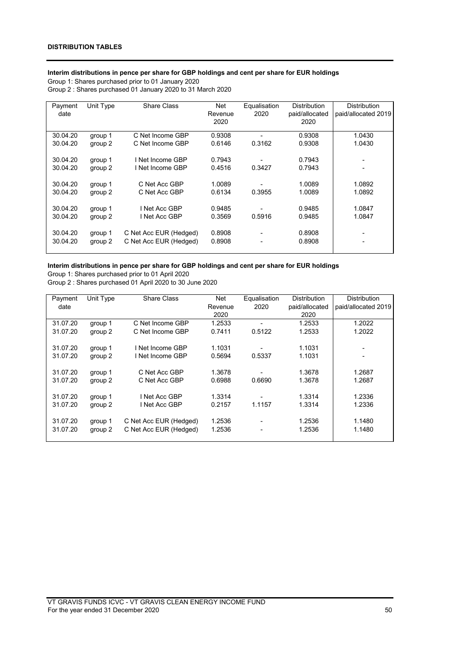### **Interim distributions in pence per share for GBP holdings and cent per share for EUR holdings**

Group 1: Shares purchased prior to 01 January 2020 Group 2 : Shares purchased 01 January 2020 to 31 March 2020

| Payment<br>date | Unit Type | <b>Share Class</b>     | Net<br>Revenue | Equalisation<br>2020 | <b>Distribution</b><br>paid/allocated | <b>Distribution</b><br>paid/allocated 2019 |
|-----------------|-----------|------------------------|----------------|----------------------|---------------------------------------|--------------------------------------------|
|                 |           |                        | 2020           |                      | 2020                                  |                                            |
| 30.04.20        | group 1   | C Net Income GBP       | 0.9308         |                      | 0.9308                                | 1.0430                                     |
| 30.04.20        | group 2   | C Net Income GBP       | 0.6146         | 0.3162               | 0.9308                                | 1.0430                                     |
| 30.04.20        | group 1   | I Net Income GBP       | 0.7943         |                      | 0.7943                                |                                            |
| 30.04.20        | group 2   | I Net Income GBP       | 0.4516         | 0.3427               | 0.7943                                |                                            |
| 30.04.20        | group 1   | C Net Acc GBP          | 1.0089         |                      | 1.0089                                | 1.0892                                     |
| 30.04.20        | group 2   | C Net Acc GBP          | 0.6134         | 0.3955               | 1.0089                                | 1.0892                                     |
| 30.04.20        | group 1   | I Net Acc GBP          | 0.9485         |                      | 0.9485                                | 1.0847                                     |
| 30.04.20        | group 2   | I Net Acc GBP          | 0.3569         | 0.5916               | 0.9485                                | 1.0847                                     |
| 30.04.20        | group 1   | C Net Acc EUR (Hedged) | 0.8908         |                      | 0.8908                                |                                            |
| 30.04.20        | group 2   | C Net Acc EUR (Hedged) | 0.8908         |                      | 0.8908                                |                                            |

### **Interim distributions in pence per share for GBP holdings and cent per share for EUR holdings**

Group 1: Shares purchased prior to 01 April 2020

Group 2 : Shares purchased 01 April 2020 to 30 June 2020

| Payment  | Unit Type | <b>Share Class</b>     | Net     | Equalisation | <b>Distribution</b> | <b>Distribution</b> |
|----------|-----------|------------------------|---------|--------------|---------------------|---------------------|
| date     |           |                        | Revenue | 2020         | paid/allocated      | paid/allocated 2019 |
|          |           |                        | 2020    |              | 2020                |                     |
| 31.07.20 | group 1   | C Net Income GBP       | 1.2533  |              | 1.2533              | 1.2022              |
| 31.07.20 | group 2   | C Net Income GBP       | 0.7411  | 0.5122       | 1.2533              | 1.2022              |
|          |           |                        |         |              |                     |                     |
| 31.07.20 | group 1   | I Net Income GBP       | 1.1031  |              | 1.1031              | ٠                   |
| 31.07.20 | group 2   | I Net Income GBP       | 0.5694  | 0.5337       | 1.1031              | ۰                   |
|          |           |                        |         |              |                     |                     |
| 31.07.20 | group 1   | C Net Acc GBP          | 1.3678  |              | 1.3678              | 1.2687              |
| 31.07.20 | group 2   | C Net Acc GBP          | 0.6988  | 0.6690       | 1.3678              | 1.2687              |
|          |           |                        |         |              |                     |                     |
| 31.07.20 | group 1   | I Net Acc GBP          | 1.3314  |              | 1.3314              | 1.2336              |
| 31.07.20 | group 2   | I Net Acc GBP          | 0.2157  | 1.1157       | 1.3314              | 1.2336              |
|          |           |                        |         |              |                     |                     |
| 31.07.20 | group 1   | C Net Acc EUR (Hedged) | 1.2536  |              | 1.2536              | 1.1480              |
| 31.07.20 | group 2   | C Net Acc EUR (Hedged) | 1.2536  |              | 1.2536              | 1.1480              |
|          |           |                        |         |              |                     |                     |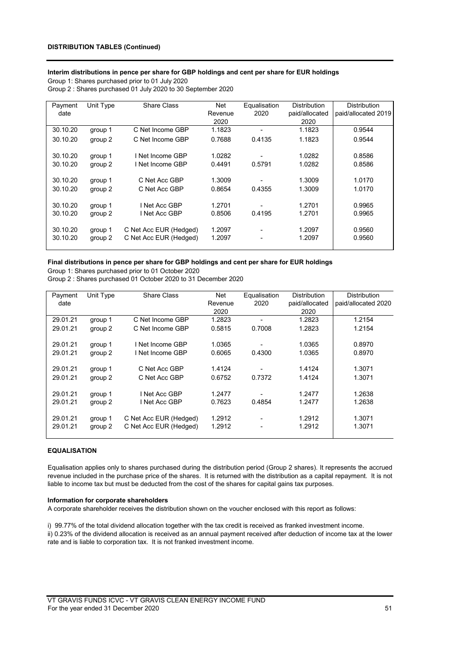### **Interim distributions in pence per share for GBP holdings and cent per share for EUR holdings**

Group 1: Shares purchased prior to 01 July 2020 Group 2 : Shares purchased 01 July 2020 to 30 September 2020

| Payment  | Unit Type | <b>Share Class</b>     | Net     | Equalisation | <b>Distribution</b> | <b>Distribution</b> |
|----------|-----------|------------------------|---------|--------------|---------------------|---------------------|
| date     |           |                        | Revenue | 2020         | paid/allocated      | paid/allocated 2019 |
|          |           |                        | 2020    |              | 2020                |                     |
| 30.10.20 | group 1   | C Net Income GBP       | 1.1823  |              | 1.1823              | 0.9544              |
| 30.10.20 | group 2   | C Net Income GBP       | 0.7688  | 0.4135       | 1.1823              | 0.9544              |
|          |           |                        |         |              |                     |                     |
| 30.10.20 | group 1   | I Net Income GBP       | 1.0282  |              | 1.0282              | 0.8586              |
| 30.10.20 | group 2   | I Net Income GBP       | 0.4491  | 0.5791       | 1.0282              | 0.8586              |
|          |           |                        |         |              |                     |                     |
| 30.10.20 | group 1   | C Net Acc GBP          | 1.3009  |              | 1.3009              | 1.0170              |
| 30.10.20 | group 2   | C Net Acc GBP          | 0.8654  | 0.4355       | 1.3009              | 1.0170              |
|          |           |                        |         |              |                     |                     |
| 30.10.20 | group 1   | I Net Acc GBP          | 1.2701  |              | 1.2701              | 0.9965              |
| 30.10.20 | group 2   | I Net Acc GBP          | 0.8506  | 0.4195       | 1.2701              | 0.9965              |
|          |           |                        |         |              |                     |                     |
| 30.10.20 | group 1   | C Net Acc EUR (Hedged) | 1.2097  |              | 1.2097              | 0.9560              |
| 30.10.20 | group 2   | C Net Acc EUR (Hedged) | 1.2097  |              | 1.2097              | 0.9560              |
|          |           |                        |         |              |                     |                     |

### **Final distributions in pence per share for GBP holdings and cent per share for EUR holdings**

Group 1: Shares purchased prior to 01 October 2020

Group 2 : Shares purchased 01 October 2020 to 31 December 2020

| Payment  | Unit Type | <b>Share Class</b>     | Net     | Equalisation | <b>Distribution</b> | <b>Distribution</b> |
|----------|-----------|------------------------|---------|--------------|---------------------|---------------------|
| date     |           |                        | Revenue | 2020         | paid/allocated      | paid/allocated 2020 |
|          |           |                        | 2020    |              | 2020                |                     |
| 29.01.21 | group 1   | C Net Income GBP       | 1.2823  |              | 1.2823              | 1.2154              |
| 29.01.21 | group 2   | C Net Income GBP       | 0.5815  | 0.7008       | 1.2823              | 1.2154              |
|          |           |                        |         |              |                     |                     |
| 29.01.21 | group 1   | I Net Income GBP       | 1.0365  |              | 1.0365              | 0.8970              |
| 29.01.21 | group 2   | I Net Income GBP       | 0.6065  | 0.4300       | 1.0365              | 0.8970              |
|          |           |                        |         |              |                     |                     |
| 29.01.21 | group 1   | C Net Acc GBP          | 1.4124  |              | 1.4124              | 1.3071              |
| 29.01.21 | group 2   | C Net Acc GBP          | 0.6752  | 0.7372       | 1.4124              | 1.3071              |
|          |           |                        |         |              |                     |                     |
| 29.01.21 | group 1   | I Net Acc GBP          | 1.2477  |              | 1.2477              | 1.2638              |
| 29.01.21 | group 2   | I Net Acc GBP          | 0.7623  | 0.4854       | 1.2477              | 1.2638              |
|          |           |                        |         |              |                     |                     |
| 29.01.21 | group 1   | C Net Acc EUR (Hedged) | 1.2912  |              | 1.2912              | 1.3071              |
| 29.01.21 | group 2   | C Net Acc EUR (Hedged) | 1.2912  |              | 1.2912              | 1.3071              |
|          |           |                        |         |              |                     |                     |

#### **EQUALISATION**

Equalisation applies only to shares purchased during the distribution period (Group 2 shares). It represents the accrued revenue included in the purchase price of the shares. It is returned with the distribution as a capital repayment. It is not liable to income tax but must be deducted from the cost of the shares for capital gains tax purposes.

#### **Information for corporate shareholders**

A corporate shareholder receives the distribution shown on the voucher enclosed with this report as follows:

i) 99.77% of the total dividend allocation together with the tax credit is received as franked investment income. ii) 0.23% of the dividend allocation is received as an annual payment received after deduction of income tax at the lower rate and is liable to corporation tax. It is not franked investment income.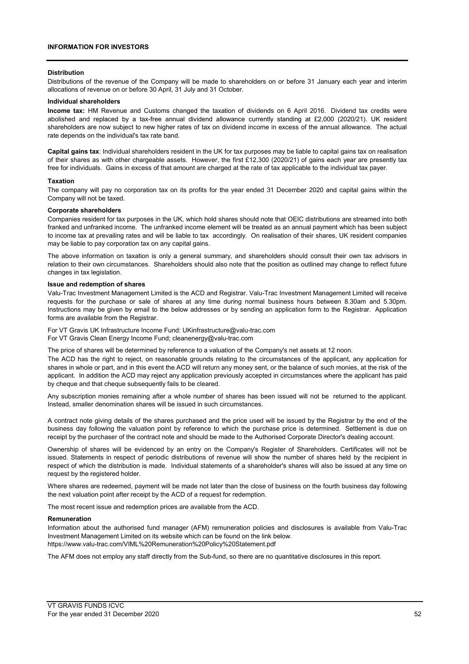#### **Distribution**

Distributions of the revenue of the Company will be made to shareholders on or before 31 January each year and interim allocations of revenue on or before 30 April, 31 July and 31 October.

#### **Individual shareholders**

**Income tax:** HM Revenue and Customs changed the taxation of dividends on 6 April 2016. Dividend tax credits were abolished and replaced by a tax-free annual dividend allowance currently standing at £2,000 (2020/21). UK resident shareholders are now subject to new higher rates of tax on dividend income in excess of the annual allowance. The actual rate depends on the individual's tax rate band.

**Capital gains tax**: Individual shareholders resident in the UK for tax purposes may be liable to capital gains tax on realisation of their shares as with other chargeable assets. However, the first £12,300 (2020/21) of gains each year are presently tax free for individuals. Gains in excess of that amount are charged at the rate of tax applicable to the individual tax payer.

### **Taxation**

The company will pay no corporation tax on its profits for the year ended 31 December 2020 and capital gains within the Company will not be taxed.

### **Corporate shareholders**

Companies resident for tax purposes in the UK, which hold shares should note that OEIC distributions are streamed into both franked and unfranked income. The unfranked income element will be treated as an annual payment which has been subject to income tax at prevailing rates and will be liable to tax accordingly. On realisation of their shares, UK resident companies may be liable to pay corporation tax on any capital gains.

The above information on taxation is only a general summary, and shareholders should consult their own tax advisors in relation to their own circumstances. Shareholders should also note that the position as outlined may change to reflect future changes in tax legislation.

### **Issue and redemption of shares**

Valu-Trac Investment Management Limited is the ACD and Registrar. Valu-Trac Investment Management Limited will receive requests for the purchase or sale of shares at any time during normal business hours between 8.30am and 5.30pm. Instructions may be given by email to the below addresses or by sending an application form to the Registrar. Application forms are available from the Registrar.

For VT Gravis UK Infrastructure Income Fund: UKinfrastructure@valu-trac.com For VT Gravis Clean Energy Income Fund; cleanenergy@valu-trac.com

The price of shares will be determined by reference to a valuation of the Company's net assets at 12 noon.

The ACD has the right to reject, on reasonable grounds relating to the circumstances of the applicant, any application for shares in whole or part, and in this event the ACD will return any money sent, or the balance of such monies, at the risk of the applicant. In addition the ACD may reject any application previously accepted in circumstances where the applicant has paid by cheque and that cheque subsequently fails to be cleared.

Any subscription monies remaining after a whole number of shares has been issued will not be returned to the applicant. Instead, smaller denomination shares will be issued in such circumstances.

A contract note giving details of the shares purchased and the price used will be issued by the Registrar by the end of the business day following the valuation point by reference to which the purchase price is determined. Settlement is due on receipt by the purchaser of the contract note and should be made to the Authorised Corporate Director's dealing account.

Ownership of shares will be evidenced by an entry on the Company's Register of Shareholders. Certificates will not be issued. Statements in respect of periodic distributions of revenue will show the number of shares held by the recipient in respect of which the distribution is made. Individual statements of a shareholder's shares will also be issued at any time on request by the registered holder.

Where shares are redeemed, payment will be made not later than the close of business on the fourth business day following the next valuation point after receipt by the ACD of a request for redemption.

The most recent issue and redemption prices are available from the ACD.

#### **Remuneration**

Information about the authorised fund manager (AFM) remuneration policies and disclosures is available from Valu-Trac Investment Management Limited on its website which can be found on the link below. <https://www.valu-trac.com/VIML%20Remuneration%20Policy%20Statement.pdf>

The AFM does not employ any staff directly from the Sub-fund, so there are no quantitative disclosures in this report.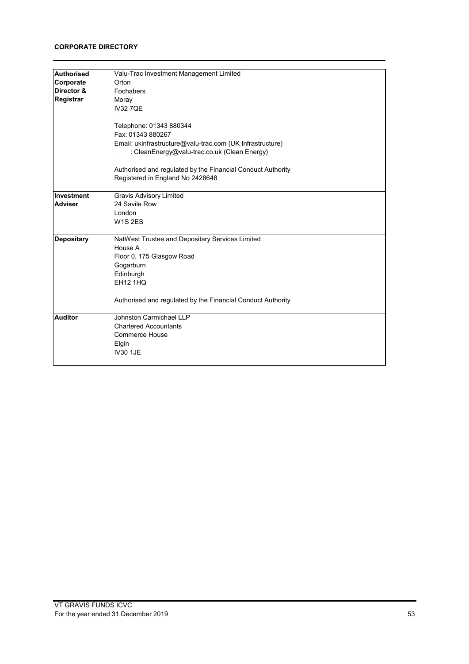### **CORPORATE DIRECTORY**

| <b>Authorised</b> | Valu-Trac Investment Management Limited                     |
|-------------------|-------------------------------------------------------------|
| Corporate         | Orton                                                       |
| Director &        | Fochabers                                                   |
| Registrar         | Moray                                                       |
|                   | <b>IV327OE</b>                                              |
|                   |                                                             |
|                   | Telephone: 01343 880344                                     |
|                   | Fax: 01343 880267                                           |
|                   | Email: ukinfrastructure@valu-trac.com (UK Infrastructure)   |
|                   | : CleanEnergy@valu-trac.co.uk (Clean Energy)                |
|                   |                                                             |
|                   | Authorised and regulated by the Financial Conduct Authority |
|                   | Registered in England No 2428648                            |
|                   |                                                             |
| Investment        | <b>Gravis Advisory Limited</b>                              |
| <b>Adviser</b>    | 24 Savile Row                                               |
|                   | London                                                      |
|                   | <b>W1S 2ES</b>                                              |
|                   |                                                             |
| <b>Depositary</b> | NatWest Trustee and Depositary Services Limited             |
|                   | House A                                                     |
|                   | Floor 0, 175 Glasgow Road                                   |
|                   | Gogarburn                                                   |
|                   | Edinburgh                                                   |
|                   | <b>EH12 1HQ</b>                                             |
|                   |                                                             |
|                   | Authorised and regulated by the Financial Conduct Authority |
|                   |                                                             |
| <b>Auditor</b>    | Johnston Carmichael LLP                                     |
|                   | <b>Chartered Accountants</b>                                |
|                   | Commerce House                                              |
|                   | Elgin                                                       |
|                   | <b>IV30 1JE</b>                                             |
|                   |                                                             |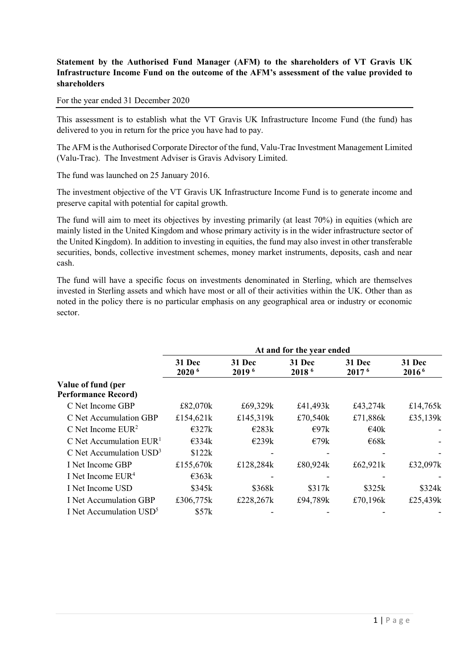# **Statement by the Authorised Fund Manager (AFM) to the shareholders of VT Gravis UK Infrastructure Income Fund on the outcome of the AFM's assessment of the value provided to shareholders**

For the year ended 31 December 2020

This assessment is to establish what the VT Gravis UK Infrastructure Income Fund (the fund) has delivered to you in return for the price you have had to pay.

The AFM is the Authorised Corporate Director of the fund, Valu-Trac Investment Management Limited (Valu-Trac). The Investment Adviser is Gravis Advisory Limited.

The fund was launched on 25 January 2016.

The investment objective of the VT Gravis UK Infrastructure Income Fund is to generate income and preserve capital with potential for capital growth.

The fund will aim to meet its objectives by investing primarily (at least 70%) in equities (which are mainly listed in the United Kingdom and whose primary activity is in the wider infrastructure sector of the United Kingdom). In addition to investing in equities, the fund may also invest in other transferable securities, bonds, collective investment schemes, money market instruments, deposits, cash and near cash.

The fund will have a specific focus on investments denominated in Sterling, which are themselves invested in Sterling assets and which have most or all of their activities within the UK. Other than as noted in the policy there is no particular emphasis on any geographical area or industry or economic sector.

|                                                  | At and for the year ended   |                             |                 |                             |                             |  |
|--------------------------------------------------|-----------------------------|-----------------------------|-----------------|-----------------------------|-----------------------------|--|
|                                                  | 31 Dec<br>2020 <sup>6</sup> | 31 Dec<br>2019 <sup>6</sup> | 31 Dec<br>20186 | 31 Dec<br>2017 <sup>6</sup> | 31 Dec<br>2016 <sup>6</sup> |  |
| Value of fund (per<br><b>Performance Record)</b> |                             |                             |                 |                             |                             |  |
| C Net Income GBP                                 | £82,070k                    | £69,329 $k$                 | £41,493k        | £43,274k                    | £14,765 $k$                 |  |
| C Net Accumulation GBP                           | £154,621 $k$                | £145,319k                   | £70,540k        | £71,886k                    | £35,139k                    |  |
| C Net Income $EUR^2$                             | E327k                       | E283k                       | $\epsilon$ 97k  | $\epsilon$ 40 $k$           |                             |  |
| C Net Accumulation $EUR1$                        | $\epsilon$ 334k             | E239k                       | $E$ 79 $k$      | $\epsilon$ 68 $k$           |                             |  |
| C Net Accumulation $USD3$                        | \$122k                      |                             |                 |                             |                             |  |
| I Net Income GBP                                 | £155,670k                   | £128,284k                   | £80,924k        | £62,921k                    | £32,097k                    |  |
| I Net Income EUR <sup>4</sup>                    | $\epsilon$ 363 $k$          |                             |                 |                             |                             |  |
| I Net Income USD                                 | \$345k                      | \$368k                      | \$317k          | \$325k                      | \$324k                      |  |
| I Net Accumulation GBP                           | £306,775k                   | £228,267k                   | £94,789k        | £70,196k                    | £25,439k                    |  |
| I Net Accumulation USD <sup>5</sup>              | \$57k                       |                             |                 |                             |                             |  |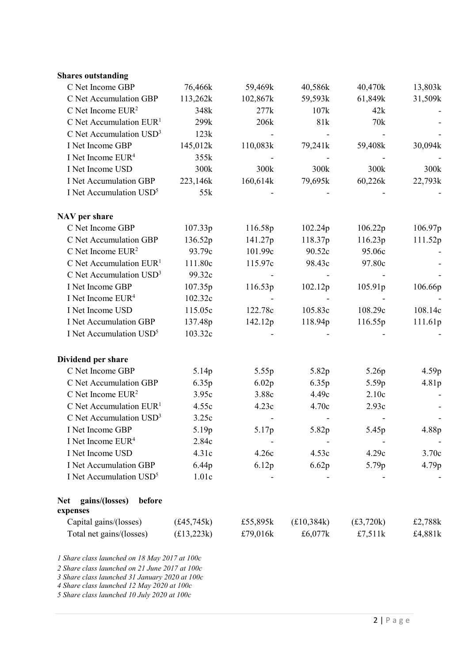| <b>Shares outstanding</b>                          |            |          |             |                    |         |
|----------------------------------------------------|------------|----------|-------------|--------------------|---------|
| C Net Income GBP                                   | 76,466k    | 59,469k  | 40,586k     | 40,470k            | 13,803k |
| C Net Accumulation GBP                             | 113,262k   | 102,867k | 59,593k     | 61,849k            | 31,509k |
| C Net Income $EUR^2$                               | 348k       | 277k     | 107k        | 42k                |         |
| C Net Accumulation $EUR1$                          | 299k       | 206k     | 81k         | 70k                |         |
| C Net Accumulation USD <sup>3</sup>                | 123k       |          |             |                    |         |
| I Net Income GBP                                   | 145,012k   | 110,083k | 79,241k     | 59,408k            | 30,094k |
| I Net Income EUR <sup>4</sup>                      | 355k       |          |             |                    |         |
| I Net Income USD                                   | 300k       | 300k     | 300k        | 300k               | 300k    |
| I Net Accumulation GBP                             | 223,146k   | 160,614k | 79,695k     | 60,226k            | 22,793k |
| I Net Accumulation USD <sup>5</sup>                | 55k        |          |             |                    |         |
| NAV per share                                      |            |          |             |                    |         |
| C Net Income GBP                                   | 107.33p    | 116.58p  | 102.24p     | 106.22p            | 106.97p |
| C Net Accumulation GBP                             | 136.52p    | 141.27p  | 118.37p     | 116.23p            | 111.52p |
| C Net Income $EUR^2$                               | 93.79c     | 101.99c  | 90.52c      | 95.06c             |         |
| $C$ Net Accumulation EUR <sup>1</sup>              | 111.80c    | 115.97c  | 98.43c      | 97.80c             |         |
| C Net Accumulation USD <sup>3</sup>                | 99.32c     |          |             |                    |         |
| I Net Income GBP                                   | 107.35p    | 116.53p  | 102.12p     | 105.91p            | 106.66p |
| I Net Income EUR <sup>4</sup>                      | 102.32c    |          |             |                    |         |
| I Net Income USD                                   | 115.05c    | 122.78c  | 105.83c     | 108.29c            | 108.14c |
| I Net Accumulation GBP                             | 137.48p    | 142.12p  | 118.94p     | 116.55p            | 111.61p |
| I Net Accumulation USD <sup>5</sup>                | 103.32c    |          |             |                    |         |
| Dividend per share                                 |            |          |             |                    |         |
| C Net Income GBP                                   | 5.14p      | 5.55p    | 5.82p       | 5.26p              | 4.59p   |
| C Net Accumulation GBP                             | 6.35p      | 6.02p    | 6.35p       | 5.59p              | 4.81p   |
| $C$ Net Income $EUR2$                              | 3.95c      | 3.88c    | 4.49c       | 2.10c              |         |
| $C$ Net Accumulation EUR <sup>1</sup>              | 4.55c      | 4.23c    | 4.70c       | 2.93c              |         |
| C Net Accumulation $\text{USD}^3$                  | 3.25c      |          |             |                    |         |
| I Net Income GBP                                   | 5.19p      | 5.17p    | 5.82p       | 5.45p              | 4.88p   |
| I Net Income EUR <sup>4</sup>                      | 2.84c      |          |             |                    |         |
| I Net Income USD                                   | 4.31c      | 4.26c    | 4.53c       | 4.29c              | 3.70c   |
| I Net Accumulation GBP                             | 6.44p      | 6.12p    | 6.62p       | 5.79p              | 4.79p   |
| I Net Accumulation USD <sup>5</sup>                | 1.01c      |          |             |                    |         |
| gains/(losses)<br>before<br><b>Net</b><br>expenses |            |          |             |                    |         |
| Capital gains/(losses)                             | (£45,745k) | £55,895k | (E10, 384k) | $(\pounds3, 720k)$ | £2,788k |
| Total net gains/(losses)                           | (£13,223k) | £79,016k | £6,077k     | £7,511k            | £4,881k |

*1 Share class launched on 18 May 2017 at 100c*

*2 Share class launched on 21 June 2017 at 100c*

*3 Share class launched 31 January 2020 at 100c*

*4 Share class launched 12 May 2020 at 100c*

*5 Share class launched 10 July 2020 at 100c*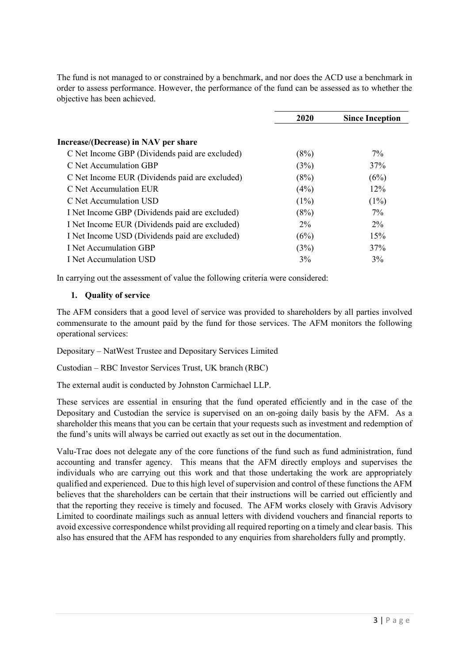|                                                | 2020  | <b>Since Inception</b> |
|------------------------------------------------|-------|------------------------|
| Increase/(Decrease) in NAV per share           |       |                        |
| C Net Income GBP (Dividends paid are excluded) | (8%)  | $7\%$                  |
| C Net Accumulation GBP                         | (3%)  | 37%                    |
| C Net Income EUR (Dividends paid are excluded) | (8%)  | (6%)                   |
| C Net Accumulation EUR                         | (4%)  | 12%                    |
| C Net Accumulation USD                         | (1%)  | $(1\%)$                |
| I Net Income GBP (Dividends paid are excluded) | (8%)  | $7\%$                  |
| I Net Income EUR (Dividends paid are excluded) | $2\%$ | $2\%$                  |
| I Net Income USD (Dividends paid are excluded) | (6%)  | 15%                    |
| <b>I</b> Net Accumulation GBP                  | (3%)  | 37%                    |
| I Net Accumulation USD                         | $3\%$ | $3\%$                  |
|                                                |       |                        |

The fund is not managed to or constrained by a benchmark, and nor does the ACD use a benchmark in order to assess performance. However, the performance of the fund can be assessed as to whether the objective has been achieved.

In carrying out the assessment of value the following criteria were considered:

# **1. Quality of service**

The AFM considers that a good level of service was provided to shareholders by all parties involved commensurate to the amount paid by the fund for those services. The AFM monitors the following operational services:

Depositary – NatWest Trustee and Depositary Services Limited

Custodian – RBC Investor Services Trust, UK branch (RBC)

The external audit is conducted by Johnston Carmichael LLP.

These services are essential in ensuring that the fund operated efficiently and in the case of the Depositary and Custodian the service is supervised on an on-going daily basis by the AFM. As a shareholder this means that you can be certain that your requests such as investment and redemption of the fund's units will always be carried out exactly as set out in the documentation.

Valu-Trac does not delegate any of the core functions of the fund such as fund administration, fund accounting and transfer agency. This means that the AFM directly employs and supervises the individuals who are carrying out this work and that those undertaking the work are appropriately qualified and experienced. Due to this high level of supervision and control of these functions the AFM believes that the shareholders can be certain that their instructions will be carried out efficiently and that the reporting they receive is timely and focused. The AFM works closely with Gravis Advisory Limited to coordinate mailings such as annual letters with dividend vouchers and financial reports to avoid excessive correspondence whilst providing all required reporting on a timely and clear basis. This also has ensured that the AFM has responded to any enquiries from shareholders fully and promptly.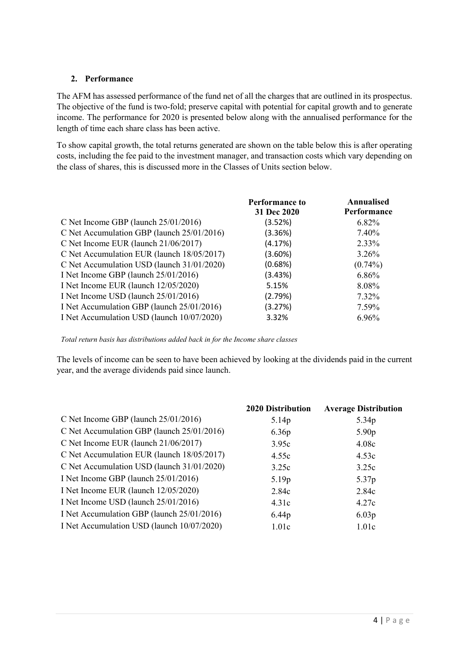# **2. Performance**

The AFM has assessed performance of the fund net of all the charges that are outlined in its prospectus. The objective of the fund is two-fold; preserve capital with potential for capital growth and to generate income. The performance for 2020 is presented below along with the annualised performance for the length of time each share class has been active.

To show capital growth, the total returns generated are shown on the table below this is after operating costs, including the fee paid to the investment manager, and transaction costs which vary depending on the class of shares, this is discussed more in the Classes of Units section below.

|                                            | <b>Performance to</b><br>31 Dec 2020 | Annualised<br>Performance |
|--------------------------------------------|--------------------------------------|---------------------------|
| C Net Income GBP (launch $25/01/2016$ )    | (3.52%)                              | $6.82\%$                  |
| C Net Accumulation GBP (launch 25/01/2016) | (3.36%)                              | 7.40%                     |
| C Net Income EUR (launch 21/06/2017)       | (4.17%)                              | 2.33%                     |
| C Net Accumulation EUR (launch 18/05/2017) | $(3.60\%)$                           | 3.26%                     |
| C Net Accumulation USD (launch 31/01/2020) | (0.68%)                              | $(0.74\%)$                |
| I Net Income GBP (launch 25/01/2016)       | (3.43%)                              | 6.86%                     |
| I Net Income EUR (launch 12/05/2020)       | 5.15%                                | 8.08%                     |
| I Net Income USD (launch 25/01/2016)       | (2.79%)                              | 7.32%                     |
| I Net Accumulation GBP (launch 25/01/2016) | (3.27%)                              | 7.59%                     |
| I Net Accumulation USD (launch 10/07/2020) | 3.32%                                | 6.96%                     |

*Total return basis has distributions added back in for the Income share classes*

The levels of income can be seen to have been achieved by looking at the dividends paid in the current year, and the average dividends paid since launch.

|                                            | <b>2020 Distribution</b> | <b>Average Distribution</b> |
|--------------------------------------------|--------------------------|-----------------------------|
| C Net Income GBP (launch 25/01/2016)       | 5.14p                    | 5.34 <sub>p</sub>           |
| C Net Accumulation GBP (launch 25/01/2016) | 6.36 <sub>p</sub>        | 5.90 <sub>p</sub>           |
| C Net Income EUR (launch 21/06/2017)       | 3.95c                    | 4.08c                       |
| C Net Accumulation EUR (launch 18/05/2017) | 4.55c                    | 4.53c                       |
| C Net Accumulation USD (launch 31/01/2020) | 3.25c                    | 3.25c                       |
| I Net Income GBP (launch 25/01/2016)       | 5.19p                    | 5.37 <sub>p</sub>           |
| I Net Income EUR (launch 12/05/2020)       | 2.84c                    | 2.84c                       |
| I Net Income USD (launch 25/01/2016)       | 4.31c                    | 4.27c                       |
| I Net Accumulation GBP (launch 25/01/2016) | 6.44 <sub>p</sub>        | 6.03p                       |
| I Net Accumulation USD (launch 10/07/2020) | 1.01c                    | 1.01c                       |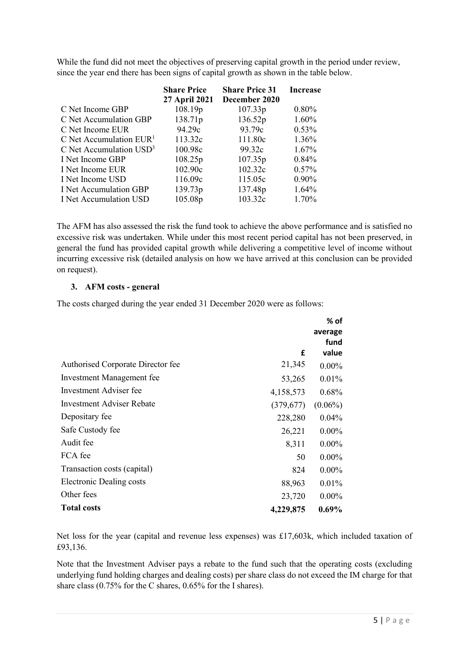While the fund did not meet the objectives of preserving capital growth in the period under review, since the year end there has been signs of capital growth as shown in the table below.

|                             | <b>Share Price</b><br>27 April 2021 | <b>Share Price 31</b><br>December 2020 | <b>Increase</b> |
|-----------------------------|-------------------------------------|----------------------------------------|-----------------|
| C Net Income GBP            | 108.19p                             | 107.33p                                | $0.80\%$        |
| C Net Accumulation GBP      | 138.71p                             | 136.52p                                | 1.60%           |
| C Net Income EUR            | 94.29c                              | 93.79c                                 | $0.53\%$        |
| C Net Accumulation $EUR1$   | 113.32c                             | 111.80c                                | 1.36%           |
| $C$ Net Accumulation $USD3$ | 100.98c                             | 99.32c                                 | $1.67\%$        |
| I Net Income GBP            | 108.25p                             | 107.35p                                | 0.84%           |
| I Net Income EUR            | 102.90c                             | 102.32c                                | $0.57\%$        |
| I Net Income USD            | 116.09c                             | 115.05c                                | $0.90\%$        |
| I Net Accumulation GBP      | 139.73p                             | 137.48p                                | 1.64%           |
| I Net Accumulation USD      | 105.08p                             | 103.32c                                | 1.70%           |

The AFM has also assessed the risk the fund took to achieve the above performance and is satisfied no excessive risk was undertaken. While under this most recent period capital has not been preserved, in general the fund has provided capital growth while delivering a competitive level of income without incurring excessive risk (detailed analysis on how we have arrived at this conclusion can be provided on request).

# **3. AFM costs - general**

The costs charged during the year ended 31 December 2020 were as follows:

|                                   |           | % of       |
|-----------------------------------|-----------|------------|
|                                   |           | average    |
|                                   |           | fund       |
|                                   | £         | value      |
| Authorised Corporate Director fee | 21,345    | $0.00\%$   |
| Investment Management fee         | 53,265    | 0.01%      |
| Investment Adviser fee            | 4,158,573 | 0.68%      |
| Investment Adviser Rebate         | (379,677) | $(0.06\%)$ |
| Depositary fee                    | 228,280   | $0.04\%$   |
| Safe Custody fee                  | 26,221    | $0.00\%$   |
| Audit fee                         | 8,311     | $0.00\%$   |
| FCA fee                           | 50        | $0.00\%$   |
| Transaction costs (capital)       | 824       | $0.00\%$   |
| <b>Electronic Dealing costs</b>   | 88,963    | 0.01%      |
| Other fees                        | 23,720    | $0.00\%$   |
| <b>Total costs</b>                | 4,229,875 | $0.69\%$   |

Net loss for the year (capital and revenue less expenses) was £17,603k, which included taxation of £93,136.

Note that the Investment Adviser pays a rebate to the fund such that the operating costs (excluding underlying fund holding charges and dealing costs) per share class do not exceed the IM charge for that share class (0.75% for the C shares, 0.65% for the I shares).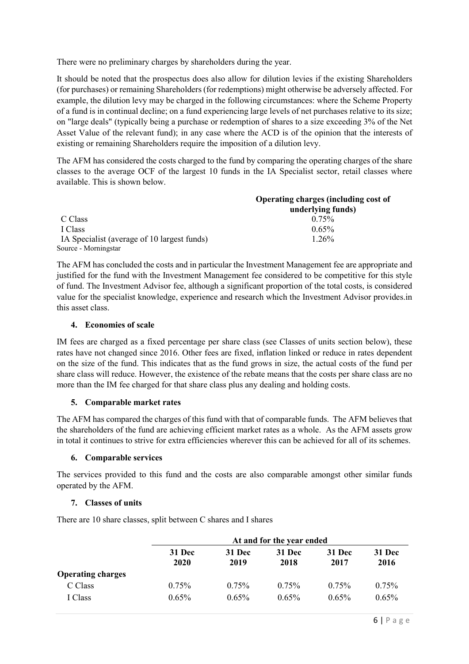There were no preliminary charges by shareholders during the year.

It should be noted that the prospectus does also allow for dilution levies if the existing Shareholders (for purchases) or remaining Shareholders (for redemptions) might otherwise be adversely affected. For example, the dilution levy may be charged in the following circumstances: where the Scheme Property of a fund is in continual decline; on a fund experiencing large levels of net purchases relative to its size; on "large deals" (typically being a purchase or redemption of shares to a size exceeding 3% of the Net Asset Value of the relevant fund); in any case where the ACD is of the opinion that the interests of existing or remaining Shareholders require the imposition of a dilution levy.

The AFM has considered the costs charged to the fund by comparing the operating charges of the share classes to the average OCF of the largest 10 funds in the IA Specialist sector, retail classes where available. This is shown below.

|                                             | Operating charges (including cost of |
|---------------------------------------------|--------------------------------------|
|                                             | underlying funds)                    |
| C Class                                     | $0.75\%$                             |
| I Class                                     | $0.65\%$                             |
| IA Specialist (average of 10 largest funds) | 1.26%                                |
| Source - Morningstar                        |                                      |

The AFM has concluded the costs and in particular the Investment Management fee are appropriate and justified for the fund with the Investment Management fee considered to be competitive for this style of fund. The Investment Advisor fee, although a significant proportion of the total costs, is considered value for the specialist knowledge, experience and research which the Investment Advisor provides.in this asset class.

# **4. Economies of scale**

IM fees are charged as a fixed percentage per share class (see Classes of units section below), these rates have not changed since 2016. Other fees are fixed, inflation linked or reduce in rates dependent on the size of the fund. This indicates that as the fund grows in size, the actual costs of the fund per share class will reduce. However, the existence of the rebate means that the costs per share class are no more than the IM fee charged for that share class plus any dealing and holding costs.

# **5. Comparable market rates**

The AFM has compared the charges of this fund with that of comparable funds. The AFM believes that the shareholders of the fund are achieving efficient market rates as a whole. As the AFM assets grow in total it continues to strive for extra efficiencies wherever this can be achieved for all of its schemes.

# **6. Comparable services**

The services provided to this fund and the costs are also comparable amongst other similar funds operated by the AFM.

# **7. Classes of units**

There are 10 share classes, split between C shares and I shares

|                          | At and for the year ended |                |                |                |                |
|--------------------------|---------------------------|----------------|----------------|----------------|----------------|
|                          | 31 Dec<br><b>2020</b>     | 31 Dec<br>2019 | 31 Dec<br>2018 | 31 Dec<br>2017 | 31 Dec<br>2016 |
| <b>Operating charges</b> |                           |                |                |                |                |
| C Class                  | 0.75%                     | $0.75\%$       | $0.75\%$       | $0.75\%$       | $0.75\%$       |
| I Class                  | $0.65\%$                  | $0.65\%$       | $0.65\%$       | $0.65\%$       | $0.65\%$       |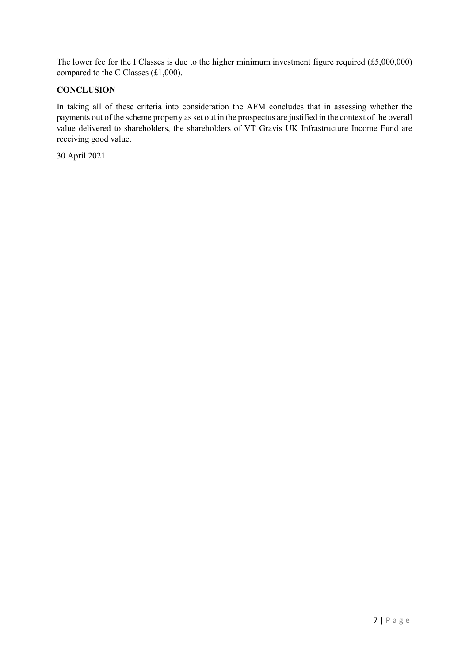The lower fee for the I Classes is due to the higher minimum investment figure required  $(\text{\pounds}5,000,000)$ compared to the C Classes (£1,000).

# **CONCLUSION**

In taking all of these criteria into consideration the AFM concludes that in assessing whether the payments out of the scheme property as set out in the prospectus are justified in the context of the overall value delivered to shareholders, the shareholders of VT Gravis UK Infrastructure Income Fund are receiving good value.

30 April 2021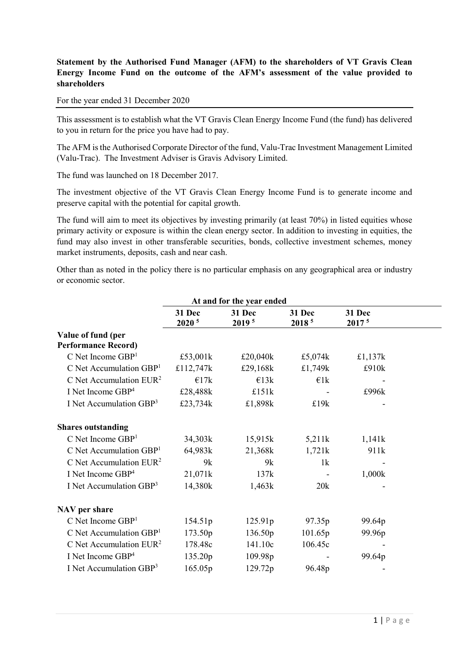# **Statement by the Authorised Fund Manager (AFM) to the shareholders of VT Gravis Clean Energy Income Fund on the outcome of the AFM's assessment of the value provided to shareholders**

For the year ended 31 December 2020

This assessment is to establish what the VT Gravis Clean Energy Income Fund (the fund) has delivered to you in return for the price you have had to pay.

The AFM is the Authorised Corporate Director of the fund, Valu-Trac Investment Management Limited (Valu-Trac). The Investment Adviser is Gravis Advisory Limited.

The fund was launched on 18 December 2017.

The investment objective of the VT Gravis Clean Energy Income Fund is to generate income and preserve capital with the potential for capital growth.

The fund will aim to meet its objectives by investing primarily (at least 70%) in listed equities whose primary activity or exposure is within the clean energy sector. In addition to investing in equities, the fund may also invest in other transferable securities, bonds, collective investment schemes, money market instruments, deposits, cash and near cash.

Other than as noted in the policy there is no particular emphasis on any geographical area or industry or economic sector.

| At and for the year ended           |                  |                  |                             |                 |  |
|-------------------------------------|------------------|------------------|-----------------------------|-----------------|--|
|                                     | 31 Dec<br>2020 5 | 31 Dec<br>2019 5 | 31 Dec<br>2018 <sup>5</sup> | 31 Dec<br>20175 |  |
| Value of fund (per                  |                  |                  |                             |                 |  |
| <b>Performance Record)</b>          |                  |                  |                             |                 |  |
| $C$ Net Income $GBP1$               | £53,001k         | £20,040k         | £5,074 $k$                  | £1,137 $k$      |  |
| C Net Accumulation GBP <sup>1</sup> | £112,747 $k$     | £29,168k         | £1,749 $k$                  | £910k           |  |
| C Net Accumulation $EUR2$           | €17k             | E13k             | E1k                         |                 |  |
| I Net Income GBP <sup>4</sup>       | £28,488k         | £151 $k$         |                             | £996k           |  |
| I Net Accumulation GBP <sup>3</sup> | £23,734k         | £1,898k          | £19k                        |                 |  |
| <b>Shares outstanding</b>           |                  |                  |                             |                 |  |
| $C$ Net Income $GBP1$               | 34,303k          | 15,915k          | 5,211k                      | 1,141k          |  |
| C Net Accumulation $GBP1$           | 64,983k          | 21,368k          | 1,721k                      | 911k            |  |
| C Net Accumulation $EUR^2$          | 9k               | 9k               | 1k                          |                 |  |
| I Net Income GBP <sup>4</sup>       | 21,071k          | 137k             |                             | 1,000k          |  |
| I Net Accumulation GBP <sup>3</sup> | 14,380k          | 1,463k           | 20k                         |                 |  |
| NAV per share                       |                  |                  |                             |                 |  |
| $C$ Net Income $GBP1$               | 154.51p          | 125.91p          | 97.35p                      | 99.64p          |  |
| C Net Accumulation GBP <sup>1</sup> | 173.50p          | 136.50p          | 101.65p                     | 99.96p          |  |
| C Net Accumulation $EUR2$           | 178.48c          | 141.10c          | 106.45c                     |                 |  |
| I Net Income GBP <sup>4</sup>       | 135.20p          | 109.98p          |                             | 99.64p          |  |
| I Net Accumulation GBP <sup>3</sup> | 165.05p          | 129.72p          | 96.48p                      |                 |  |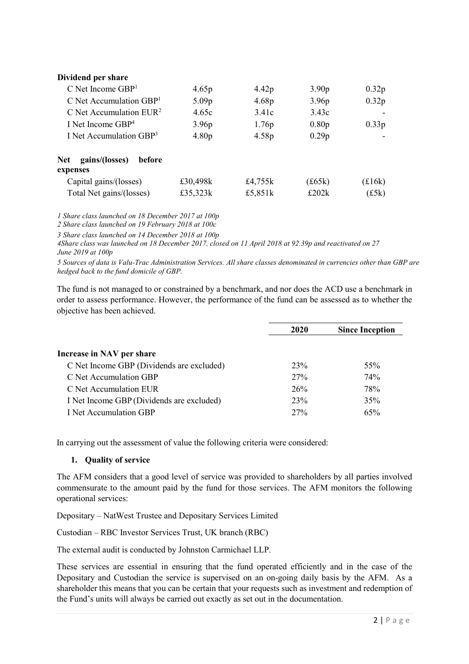| Dividend per share                            |                   |         |                   |                |
|-----------------------------------------------|-------------------|---------|-------------------|----------------|
| C Net Income $GBP1$                           | 4.65p             | 4.42p   | 3.90 <sub>p</sub> | 0.32p          |
| C Net Accumulation $GBP1$                     | 5.09 <sub>p</sub> | 4.68p   | 3.96 <sub>p</sub> | 0.32p          |
| C Net Accumulation $EUR^2$                    | 4.65c             | 3.41c   | 3.43c             |                |
| I Net Income GBP <sup>4</sup>                 | 3.96 <sub>p</sub> | 1.76p   | 0.80 <sub>p</sub> | 0.33p          |
| I Net Accumulation $GBP^3$                    | 4.80 <sub>p</sub> | 4.58p   | 0.29 <sub>p</sub> |                |
| gains/(losses)<br><b>Net</b><br><b>before</b> |                   |         |                   |                |
| expenses                                      |                   |         |                   |                |
| Capital gains/(losses)                        | £30,498k          | £4,755k | $(\pounds 65k)$   | $(\pounds16k)$ |
| Total Net gains/(losses)                      | £35,323k          | £5,851k | £202 $k$          | (f.5k)         |

*1 Share class launched on 18 December 2017 at 100p*

*2 Share class launched on 19 February 2018 at 100c*

*3 Share class launched on 14 December 2018 at 100p*

*4Share class was launched on 18 December 2017, closed on 11 April 2018 at 92.39p and reactivated on 27 June 2019 at 100p*

*5 Sources of data is Valu-Trac Administration Services. All share classes denominated in currencies other than GBP are hedged back to the fund domicile of GBP.*

The fund is not managed to or constrained by a benchmark, and nor does the ACD use a benchmark in order to assess performance. However, the performance of the fund can be assessed as to whether the objective has been achieved.

|                                           | <b>2020</b> | <b>Since Inception</b> |
|-------------------------------------------|-------------|------------------------|
|                                           |             |                        |
| Increase in NAV per share                 |             |                        |
| C Net Income GBP (Dividends are excluded) | 23%         | 55%                    |
| C Net Accumulation GBP                    | 27%         | 74%                    |
| C Net Accumulation EUR                    | 26%         | 78%                    |
| I Net Income GBP (Dividends are excluded) | 23%         | 35%                    |
| I Net Accumulation GBP                    | $27\%$      | 65%                    |

In carrying out the assessment of value the following criteria were considered:

### **1. Quality of service**

The AFM considers that a good level of service was provided to shareholders by all parties involved commensurate to the amount paid by the fund for those services. The AFM monitors the following operational services:

Depositary – NatWest Trustee and Depositary Services Limited

Custodian – RBC Investor Services Trust, UK branch (RBC)

The external audit is conducted by Johnston Carmichael LLP.

These services are essential in ensuring that the fund operated efficiently and in the case of the Depositary and Custodian the service is supervised on an on-going daily basis by the AFM. As a shareholder this means that you can be certain that your requests such as investment and redemption of the Fund's units will always be carried out exactly as set out in the documentation.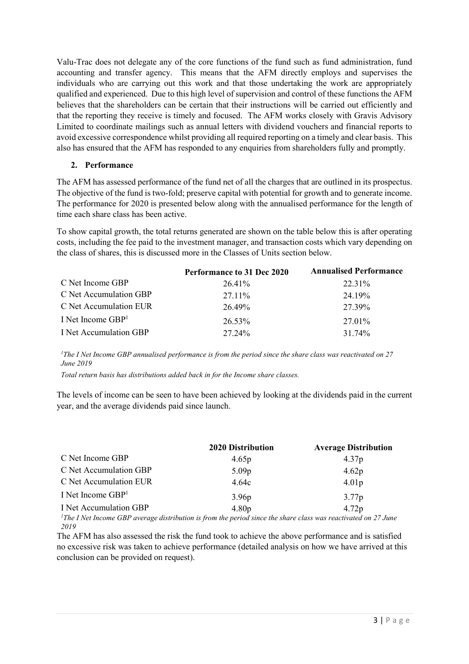Valu-Trac does not delegate any of the core functions of the fund such as fund administration, fund accounting and transfer agency. This means that the AFM directly employs and supervises the individuals who are carrying out this work and that those undertaking the work are appropriately qualified and experienced. Due to this high level of supervision and control of these functions the AFM believes that the shareholders can be certain that their instructions will be carried out efficiently and that the reporting they receive is timely and focused. The AFM works closely with Gravis Advisory Limited to coordinate mailings such as annual letters with dividend vouchers and financial reports to avoid excessive correspondence whilst providing all required reporting on a timely and clear basis. This also has ensured that the AFM has responded to any enquiries from shareholders fully and promptly.

# **2. Performance**

The AFM has assessed performance of the fund net of all the charges that are outlined in its prospectus. The objective of the fund is two-fold; preserve capital with potential for growth and to generate income. The performance for 2020 is presented below along with the annualised performance for the length of time each share class has been active.

To show capital growth, the total returns generated are shown on the table below this is after operating costs, including the fee paid to the investment manager, and transaction costs which vary depending on the class of shares, this is discussed more in the Classes of Units section below.

|                        | Performance to 31 Dec 2020 | <b>Annualised Performance</b> |
|------------------------|----------------------------|-------------------------------|
| C Net Income GBP       | 26.41%                     | 22.31%                        |
| C Net Accumulation GBP | 27.11%                     | 24.19%                        |
| C Net Accumulation EUR | 26.49%                     | 27.39%                        |
| I Net Income $GBP1$    | 26.53%                     | 27.01%                        |
| I Net Accumulation GBP | 27.24%                     | 31.74%                        |

*1 The I Net Income GBP annualised performance is from the period since the share class was reactivated on 27 June 2019*

*Total return basis has distributions added back in for the Income share classes.*

The levels of income can be seen to have been achieved by looking at the dividends paid in the current year, and the average dividends paid since launch.

|                        | <b>2020 Distribution</b> | <b>Average Distribution</b> |
|------------------------|--------------------------|-----------------------------|
| C Net Income GBP       | 4.65p                    | 4.37 <sub>p</sub>           |
| C Net Accumulation GBP | 5.09 <sub>p</sub>        | 4.62p                       |
| C Net Accumulation EUR | 4.64c                    | 4.01 <sub>p</sub>           |
| I Net Income $GBP1$    | 3.96 <sub>p</sub>        | 3.77p                       |
| I Net Accumulation GBP | 4.80 <sub>p</sub>        | 4.72p                       |

*1 The I Net Income GBP average distribution is from the period since the share class was reactivated on 27 June 2019*

The AFM has also assessed the risk the fund took to achieve the above performance and is satisfied no excessive risk was taken to achieve performance (detailed analysis on how we have arrived at this conclusion can be provided on request).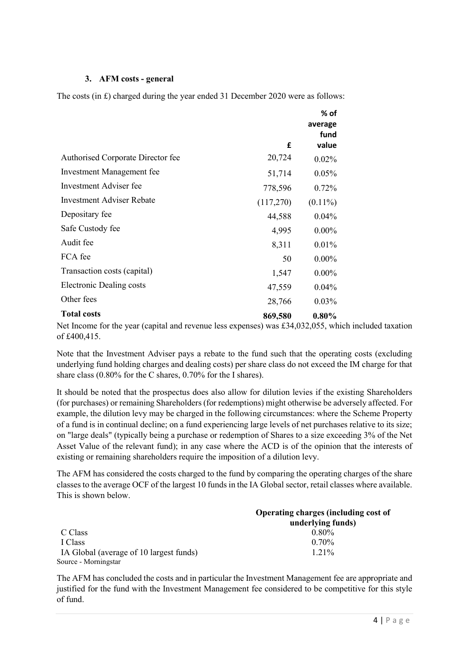# **3. AFM costs - general**

The costs (in £) charged during the year ended 31 December 2020 were as follows:

|                                   |           | $%$ of     |
|-----------------------------------|-----------|------------|
|                                   |           | average    |
|                                   |           | fund       |
|                                   | £         | value      |
| Authorised Corporate Director fee | 20,724    | $0.02\%$   |
| Investment Management fee         | 51,714    | 0.05%      |
| Investment Adviser fee            | 778,596   | 0.72%      |
| Investment Adviser Rebate         | (117,270) | $(0.11\%)$ |
| Depositary fee                    | 44,588    | $0.04\%$   |
| Safe Custody fee                  | 4,995     | $0.00\%$   |
| Audit fee                         | 8,311     | 0.01%      |
| FCA fee                           | 50        | $0.00\%$   |
| Transaction costs (capital)       | 1,547     | $0.00\%$   |
| <b>Electronic Dealing costs</b>   | 47,559    | $0.04\%$   |
| Other fees                        | 28,766    | $0.03\%$   |
| <b>Total costs</b>                | 869,580   | $0.80\%$   |

Net Income for the year (capital and revenue less expenses) was £34,032,055, which included taxation of £400,415.

Note that the Investment Adviser pays a rebate to the fund such that the operating costs (excluding underlying fund holding charges and dealing costs) per share class do not exceed the IM charge for that share class (0.80% for the C shares, 0.70% for the I shares).

It should be noted that the prospectus does also allow for dilution levies if the existing Shareholders (for purchases) or remaining Shareholders (for redemptions) might otherwise be adversely affected. For example, the dilution levy may be charged in the following circumstances: where the Scheme Property of a fund is in continual decline; on a fund experiencing large levels of net purchases relative to its size; on "large deals" (typically being a purchase or redemption of Shares to a size exceeding 3% of the Net Asset Value of the relevant fund); in any case where the ACD is of the opinion that the interests of existing or remaining shareholders require the imposition of a dilution levy.

The AFM has considered the costs charged to the fund by comparing the operating charges of the share classes to the average OCF of the largest 10 funds in the IA Global sector, retail classes where available. This is shown below.

|                                         | Operating charges (including cost of |  |  |
|-----------------------------------------|--------------------------------------|--|--|
|                                         | underlying funds)                    |  |  |
| C Class                                 | $0.80\%$                             |  |  |
| I Class                                 | $0.70\%$                             |  |  |
| IA Global (average of 10 largest funds) | $1.21\%$                             |  |  |
| Source - Morningstar                    |                                      |  |  |

The AFM has concluded the costs and in particular the Investment Management fee are appropriate and justified for the fund with the Investment Management fee considered to be competitive for this style of fund.